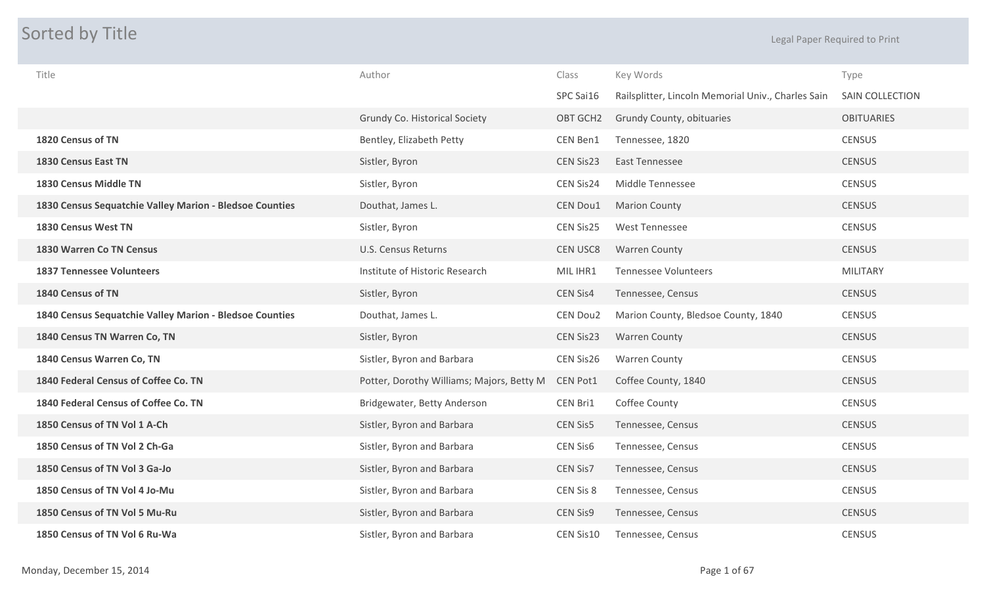## **Sorted by Title Legal Paper Required to Print**

| Title                                                   | Author                                    | Class           | Key Words                                          | Type              |
|---------------------------------------------------------|-------------------------------------------|-----------------|----------------------------------------------------|-------------------|
|                                                         |                                           | SPC Sai16       | Railsplitter, Lincoln Memorial Univ., Charles Sain | SAIN COLLECTION   |
|                                                         | Grundy Co. Historical Society             | OBT GCH2        | Grundy County, obituaries                          | <b>OBITUARIES</b> |
| 1820 Census of TN                                       | Bentley, Elizabeth Petty                  | CEN Ben1        | Tennessee, 1820                                    | <b>CENSUS</b>     |
| 1830 Census East TN                                     | Sistler, Byron                            | CEN Sis23       | <b>East Tennessee</b>                              | <b>CENSUS</b>     |
| 1830 Census Middle TN                                   | Sistler, Byron                            | CEN Sis24       | Middle Tennessee                                   | <b>CENSUS</b>     |
| 1830 Census Sequatchie Valley Marion - Bledsoe Counties | Douthat, James L.                         | CEN Dou1        | <b>Marion County</b>                               | <b>CENSUS</b>     |
| 1830 Census West TN                                     | Sistler, Byron                            | CEN Sis25       | <b>West Tennessee</b>                              | <b>CENSUS</b>     |
| <b>1830 Warren Co TN Census</b>                         | <b>U.S. Census Returns</b>                | <b>CEN USC8</b> | <b>Warren County</b>                               | <b>CENSUS</b>     |
| <b>1837 Tennessee Volunteers</b>                        | Institute of Historic Research            | MIL IHR1        | <b>Tennessee Volunteers</b>                        | <b>MILITARY</b>   |
| 1840 Census of TN                                       | Sistler, Byron                            | <b>CEN Sis4</b> | Tennessee, Census                                  | <b>CENSUS</b>     |
| 1840 Census Sequatchie Valley Marion - Bledsoe Counties | Douthat, James L.                         | CEN Dou2        | Marion County, Bledsoe County, 1840                | <b>CENSUS</b>     |
| 1840 Census TN Warren Co, TN                            | Sistler, Byron                            | CEN Sis23       | <b>Warren County</b>                               | <b>CENSUS</b>     |
| 1840 Census Warren Co, TN                               | Sistler, Byron and Barbara                | CEN Sis26       | <b>Warren County</b>                               | <b>CENSUS</b>     |
| 1840 Federal Census of Coffee Co. TN                    | Potter, Dorothy Williams; Majors, Betty M | CEN Pot1        | Coffee County, 1840                                | <b>CENSUS</b>     |
| 1840 Federal Census of Coffee Co. TN                    | Bridgewater, Betty Anderson               | CEN Bri1        | Coffee County                                      | <b>CENSUS</b>     |
| 1850 Census of TN Vol 1 A-Ch                            | Sistler, Byron and Barbara                | <b>CEN Sis5</b> | Tennessee, Census                                  | <b>CENSUS</b>     |
| 1850 Census of TN Vol 2 Ch-Ga                           | Sistler, Byron and Barbara                | CEN Sis6        | Tennessee, Census                                  | <b>CENSUS</b>     |
| 1850 Census of TN Vol 3 Ga-Jo                           | Sistler, Byron and Barbara                | CEN Sis7        | Tennessee, Census                                  | <b>CENSUS</b>     |
| 1850 Census of TN Vol 4 Jo-Mu                           | Sistler, Byron and Barbara                | CEN Sis 8       | Tennessee, Census                                  | <b>CENSUS</b>     |
| 1850 Census of TN Vol 5 Mu-Ru                           | Sistler, Byron and Barbara                | <b>CEN Sis9</b> | Tennessee, Census                                  | <b>CENSUS</b>     |
| 1850 Census of TN Vol 6 Ru-Wa                           | Sistler, Byron and Barbara                | CEN Sis10       | Tennessee, Census                                  | <b>CENSUS</b>     |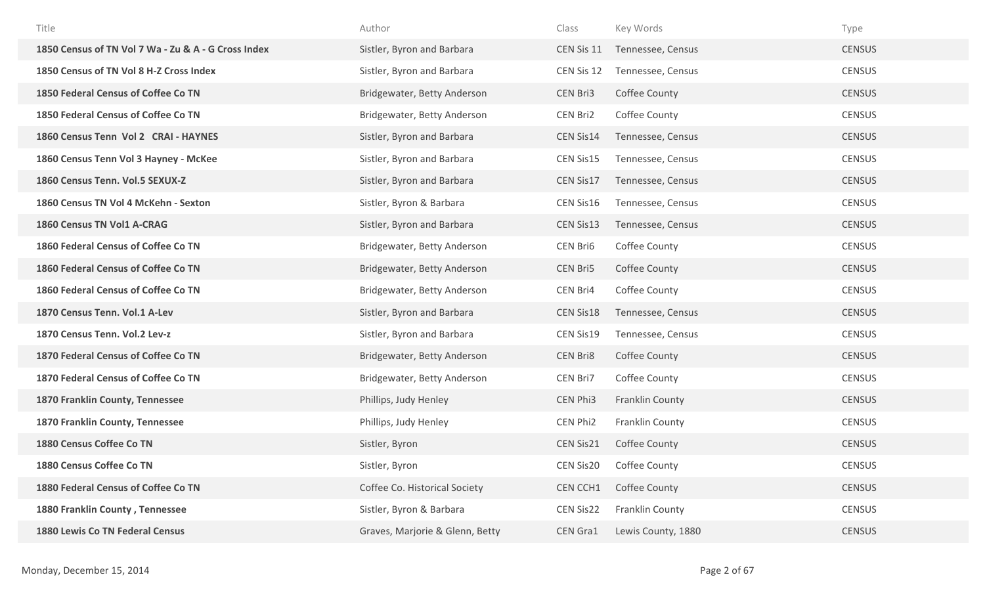| Title                                               | Author                          | Class      | Key Words          | Type          |
|-----------------------------------------------------|---------------------------------|------------|--------------------|---------------|
| 1850 Census of TN Vol 7 Wa - Zu & A - G Cross Index | Sistler, Byron and Barbara      | CEN Sis 11 | Tennessee, Census  | <b>CENSUS</b> |
| 1850 Census of TN Vol 8 H-Z Cross Index             | Sistler, Byron and Barbara      | CEN Sis 12 | Tennessee, Census  | <b>CENSUS</b> |
| 1850 Federal Census of Coffee Co TN                 | Bridgewater, Betty Anderson     | CEN Bri3   | Coffee County      | <b>CENSUS</b> |
| 1850 Federal Census of Coffee Co TN                 | Bridgewater, Betty Anderson     | CEN Bri2   | Coffee County      | <b>CENSUS</b> |
| 1860 Census Tenn Vol 2 CRAI - HAYNES                | Sistler, Byron and Barbara      | CEN Sis14  | Tennessee, Census  | <b>CENSUS</b> |
| 1860 Census Tenn Vol 3 Hayney - McKee               | Sistler, Byron and Barbara      | CEN Sis15  | Tennessee, Census  | <b>CENSUS</b> |
| 1860 Census Tenn. Vol.5 SEXUX-Z                     | Sistler, Byron and Barbara      | CEN Sis17  | Tennessee, Census  | <b>CENSUS</b> |
| 1860 Census TN Vol 4 McKehn - Sexton                | Sistler, Byron & Barbara        | CEN Sis16  | Tennessee, Census  | <b>CENSUS</b> |
| 1860 Census TN Vol1 A-CRAG                          | Sistler, Byron and Barbara      | CEN Sis13  | Tennessee, Census  | <b>CENSUS</b> |
| 1860 Federal Census of Coffee Co TN                 | Bridgewater, Betty Anderson     | CEN Bri6   | Coffee County      | <b>CENSUS</b> |
| 1860 Federal Census of Coffee Co TN                 | Bridgewater, Betty Anderson     | CEN Bri5   | Coffee County      | <b>CENSUS</b> |
| 1860 Federal Census of Coffee Co TN                 | Bridgewater, Betty Anderson     | CEN Bri4   | Coffee County      | <b>CENSUS</b> |
| 1870 Census Tenn. Vol.1 A-Lev                       | Sistler, Byron and Barbara      | CEN Sis18  | Tennessee, Census  | <b>CENSUS</b> |
| 1870 Census Tenn. Vol.2 Lev-z                       | Sistler, Byron and Barbara      | CEN Sis19  | Tennessee, Census  | <b>CENSUS</b> |
| 1870 Federal Census of Coffee Co TN                 | Bridgewater, Betty Anderson     | CEN Bri8   | Coffee County      | <b>CENSUS</b> |
| 1870 Federal Census of Coffee Co TN                 | Bridgewater, Betty Anderson     | CEN Bri7   | Coffee County      | <b>CENSUS</b> |
| 1870 Franklin County, Tennessee                     | Phillips, Judy Henley           | CEN Phi3   | Franklin County    | <b>CENSUS</b> |
| 1870 Franklin County, Tennessee                     | Phillips, Judy Henley           | CEN Phi2   | Franklin County    | <b>CENSUS</b> |
| 1880 Census Coffee Co TN                            | Sistler, Byron                  | CEN Sis21  | Coffee County      | <b>CENSUS</b> |
| 1880 Census Coffee Co TN                            | Sistler, Byron                  | CEN Sis20  | Coffee County      | <b>CENSUS</b> |
| 1880 Federal Census of Coffee Co TN                 | Coffee Co. Historical Society   | CEN CCH1   | Coffee County      | <b>CENSUS</b> |
| 1880 Franklin County, Tennessee                     | Sistler, Byron & Barbara        | CEN Sis22  | Franklin County    | <b>CENSUS</b> |
| <b>1880 Lewis Co TN Federal Census</b>              | Graves, Marjorie & Glenn, Betty | CEN Gra1   | Lewis County, 1880 | <b>CENSUS</b> |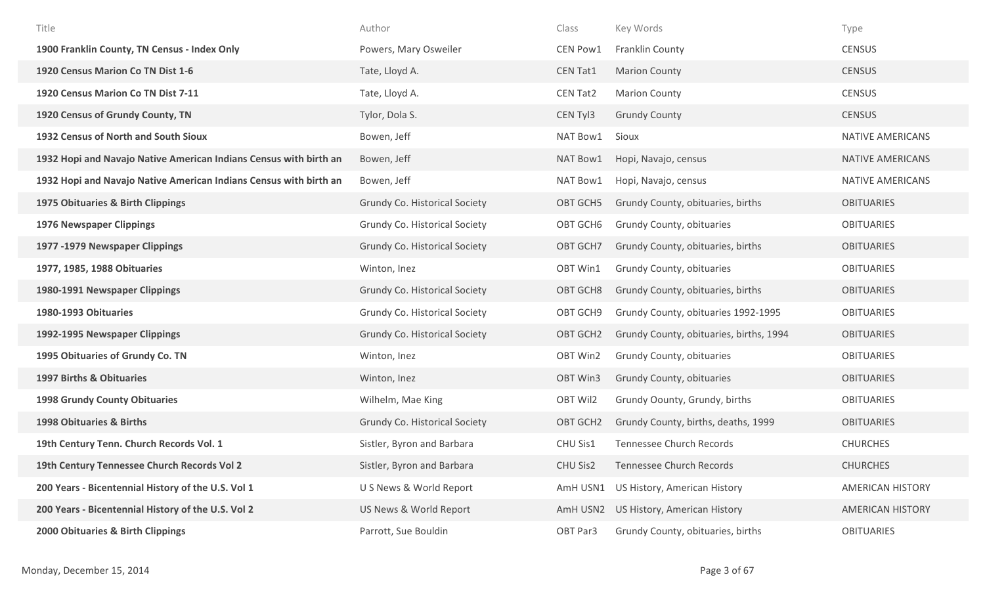| Title                                                             | Author                               | Class           | Key Words                               | Type                    |
|-------------------------------------------------------------------|--------------------------------------|-----------------|-----------------------------------------|-------------------------|
| 1900 Franklin County, TN Census - Index Only                      | Powers, Mary Osweiler                | CEN Pow1        | <b>Franklin County</b>                  | <b>CENSUS</b>           |
| 1920 Census Marion Co TN Dist 1-6                                 | Tate, Lloyd A.                       | <b>CEN Tat1</b> | <b>Marion County</b>                    | <b>CENSUS</b>           |
| 1920 Census Marion Co TN Dist 7-11                                | Tate, Lloyd A.                       | CEN Tat2        | <b>Marion County</b>                    | <b>CENSUS</b>           |
| 1920 Census of Grundy County, TN                                  | Tylor, Dola S.                       | CEN Tyl3        | <b>Grundy County</b>                    | <b>CENSUS</b>           |
| 1932 Census of North and South Sioux                              | Bowen, Jeff                          | NAT Bow1        | Sioux                                   | NATIVE AMERICANS        |
| 1932 Hopi and Navajo Native American Indians Census with birth an | Bowen, Jeff                          | NAT Bow1        | Hopi, Navajo, census                    | NATIVE AMERICANS        |
| 1932 Hopi and Navajo Native American Indians Census with birth an | Bowen, Jeff                          | NAT Bow1        | Hopi, Navajo, census                    | NATIVE AMERICANS        |
| 1975 Obituaries & Birth Clippings                                 | <b>Grundy Co. Historical Society</b> | OBT GCH5        | Grundy County, obituaries, births       | <b>OBITUARIES</b>       |
| <b>1976 Newspaper Clippings</b>                                   | Grundy Co. Historical Society        | OBT GCH6        | Grundy County, obituaries               | <b>OBITUARIES</b>       |
| 1977 -1979 Newspaper Clippings                                    | <b>Grundy Co. Historical Society</b> | OBT GCH7        | Grundy County, obituaries, births       | <b>OBITUARIES</b>       |
| 1977, 1985, 1988 Obituaries                                       | Winton, Inez                         | OBT Win1        | Grundy County, obituaries               | <b>OBITUARIES</b>       |
| 1980-1991 Newspaper Clippings                                     | <b>Grundy Co. Historical Society</b> | OBT GCH8        | Grundy County, obituaries, births       | <b>OBITUARIES</b>       |
| 1980-1993 Obituaries                                              | Grundy Co. Historical Society        | OBT GCH9        | Grundy County, obituaries 1992-1995     | <b>OBITUARIES</b>       |
| 1992-1995 Newspaper Clippings                                     | Grundy Co. Historical Society        | OBT GCH2        | Grundy County, obituaries, births, 1994 | <b>OBITUARIES</b>       |
| 1995 Obituaries of Grundy Co. TN                                  | Winton, Inez                         | OBT Win2        | Grundy County, obituaries               | <b>OBITUARIES</b>       |
| 1997 Births & Obituaries                                          | Winton, Inez                         | OBT Win3        | Grundy County, obituaries               | <b>OBITUARIES</b>       |
| <b>1998 Grundy County Obituaries</b>                              | Wilhelm, Mae King                    | OBT Wil2        | Grundy Oounty, Grundy, births           | <b>OBITUARIES</b>       |
| 1998 Obituaries & Births                                          | <b>Grundy Co. Historical Society</b> | OBT GCH2        | Grundy County, births, deaths, 1999     | <b>OBITUARIES</b>       |
| 19th Century Tenn. Church Records Vol. 1                          | Sistler, Byron and Barbara           | CHU Sis1        | <b>Tennessee Church Records</b>         | <b>CHURCHES</b>         |
| 19th Century Tennessee Church Records Vol 2                       | Sistler, Byron and Barbara           | CHU Sis2        | Tennessee Church Records                | <b>CHURCHES</b>         |
| 200 Years - Bicentennial History of the U.S. Vol 1                | U S News & World Report              |                 | AmH USN1 US History, American History   | <b>AMERICAN HISTORY</b> |
| 200 Years - Bicentennial History of the U.S. Vol 2                | US News & World Report               | AmH USN2        | US History, American History            | <b>AMERICAN HISTORY</b> |
| 2000 Obituaries & Birth Clippings                                 | Parrott, Sue Bouldin                 | OBT Par3        | Grundy County, obituaries, births       | <b>OBITUARIES</b>       |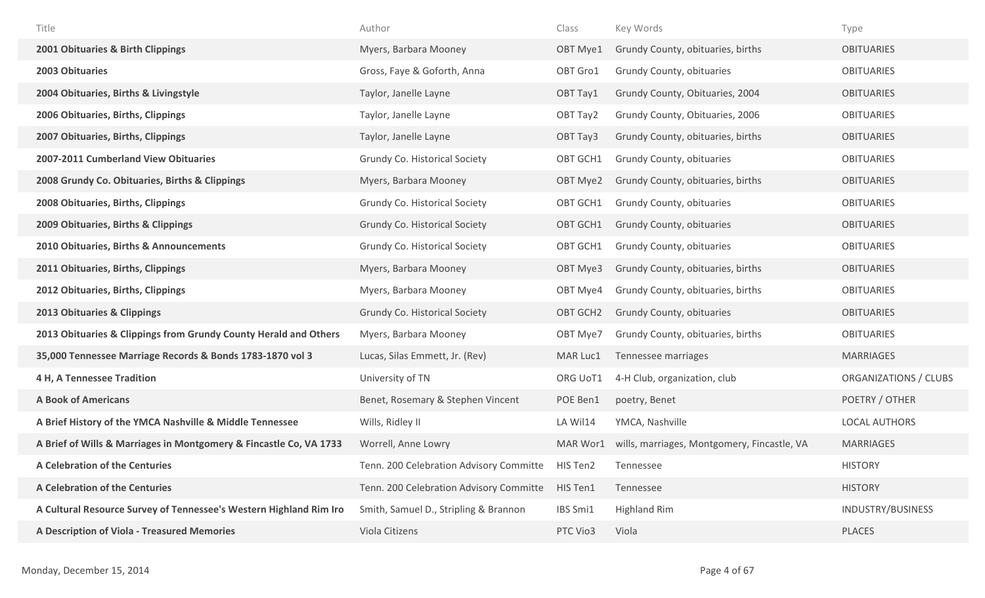| Title                                                              | Author                                  | Class    | Key Words                                   | Type                  |
|--------------------------------------------------------------------|-----------------------------------------|----------|---------------------------------------------|-----------------------|
| 2001 Obituaries & Birth Clippings                                  | Myers, Barbara Mooney                   | OBT Mye1 | Grundy County, obituaries, births           | <b>OBITUARIES</b>     |
| 2003 Obituaries                                                    | Gross, Faye & Goforth, Anna             | OBT Gro1 | Grundy County, obituaries                   | <b>OBITUARIES</b>     |
| 2004 Obituaries, Births & Livingstyle                              | Taylor, Janelle Layne                   | OBT Tay1 | Grundy County, Obituaries, 2004             | <b>OBITUARIES</b>     |
| 2006 Obituaries, Births, Clippings                                 | Taylor, Janelle Layne                   | OBT Tay2 | Grundy County, Obituaries, 2006             | <b>OBITUARIES</b>     |
| 2007 Obituaries, Births, Clippings                                 | Taylor, Janelle Layne                   | OBT Tay3 | Grundy County, obituaries, births           | <b>OBITUARIES</b>     |
| 2007-2011 Cumberland View Obituaries                               | Grundy Co. Historical Society           | OBT GCH1 | Grundy County, obituaries                   | <b>OBITUARIES</b>     |
| 2008 Grundy Co. Obituaries, Births & Clippings                     | Myers, Barbara Mooney                   | OBT Mye2 | Grundy County, obituaries, births           | <b>OBITUARIES</b>     |
| 2008 Obituaries, Births, Clippings                                 | Grundy Co. Historical Society           | OBT GCH1 | Grundy County, obituaries                   | <b>OBITUARIES</b>     |
| 2009 Obituaries, Births & Clippings                                | <b>Grundy Co. Historical Society</b>    | OBT GCH1 | Grundy County, obituaries                   | <b>OBITUARIES</b>     |
| 2010 Obituaries, Births & Announcements                            | Grundy Co. Historical Society           | OBT GCH1 | Grundy County, obituaries                   | <b>OBITUARIES</b>     |
| 2011 Obituaries, Births, Clippings                                 | Myers, Barbara Mooney                   | OBT Mye3 | Grundy County, obituaries, births           | <b>OBITUARIES</b>     |
| 2012 Obituaries, Births, Clippings                                 | Myers, Barbara Mooney                   | OBT Mye4 | Grundy County, obituaries, births           | <b>OBITUARIES</b>     |
| 2013 Obituaries & Clippings                                        | Grundy Co. Historical Society           | OBT GCH2 | Grundy County, obituaries                   | <b>OBITUARIES</b>     |
| 2013 Obituaries & Clippings from Grundy County Herald and Others   | Myers, Barbara Mooney                   | OBT Mye7 | Grundy County, obituaries, births           | <b>OBITUARIES</b>     |
| 35,000 Tennessee Marriage Records & Bonds 1783-1870 vol 3          | Lucas, Silas Emmett, Jr. (Rev)          | MAR Luc1 | Tennessee marriages                         | <b>MARRIAGES</b>      |
| 4 H, A Tennessee Tradition                                         | University of TN                        | ORG UoT1 | 4-H Club, organization, club                | ORGANIZATIONS / CLUBS |
| <b>A Book of Americans</b>                                         | Benet, Rosemary & Stephen Vincent       | POE Ben1 | poetry, Benet                               | POETRY / OTHER        |
| A Brief History of the YMCA Nashville & Middle Tennessee           | Wills, Ridley II                        | LA Wil14 | YMCA, Nashville                             | <b>LOCAL AUTHORS</b>  |
| A Brief of Wills & Marriages in Montgomery & Fincastle Co, VA 1733 | Worrell, Anne Lowry                     | MAR Wor1 | wills, marriages, Montgomery, Fincastle, VA | <b>MARRIAGES</b>      |
| <b>A Celebration of the Centuries</b>                              | Tenn. 200 Celebration Advisory Committe | HIS Ten2 | Tennessee                                   | <b>HISTORY</b>        |
| <b>A Celebration of the Centuries</b>                              | Tenn. 200 Celebration Advisory Committe | HIS Ten1 | Tennessee                                   | <b>HISTORY</b>        |
| A Cultural Resource Survey of Tennessee's Western Highland Rim Iro | Smith, Samuel D., Stripling & Brannon   | IBS Smi1 | <b>Highland Rim</b>                         | INDUSTRY/BUSINESS     |
| A Description of Viola - Treasured Memories                        | Viola Citizens                          | PTC Vio3 | Viola                                       | PLACES                |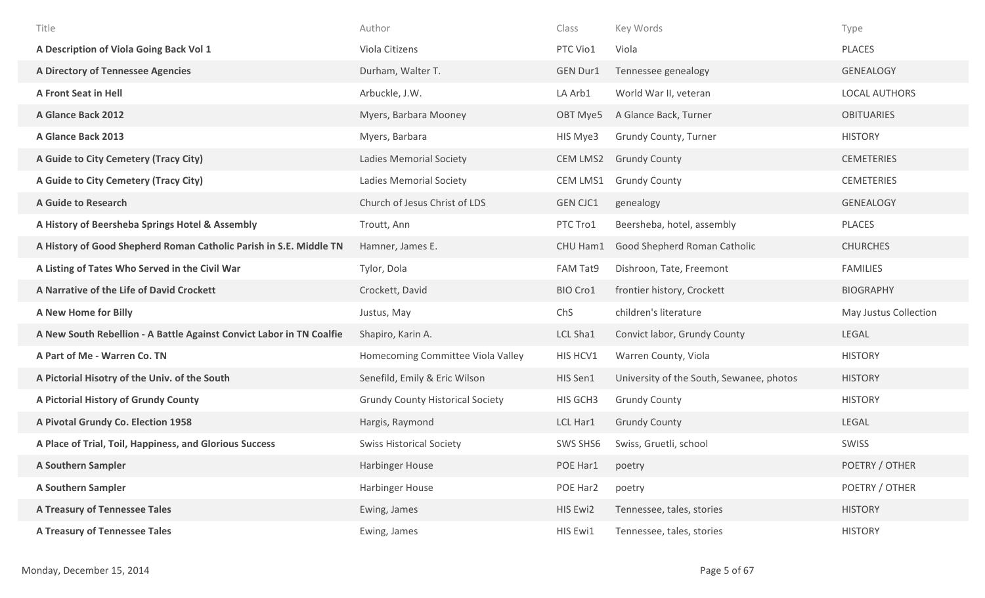| Title                                                                | Author                                  | Class           | Key Words                                | Type                  |
|----------------------------------------------------------------------|-----------------------------------------|-----------------|------------------------------------------|-----------------------|
| A Description of Viola Going Back Vol 1                              | Viola Citizens                          | PTC Vio1        | Viola                                    | <b>PLACES</b>         |
| A Directory of Tennessee Agencies                                    | Durham, Walter T.                       | <b>GEN Dur1</b> | Tennessee genealogy                      | <b>GENEALOGY</b>      |
| <b>A Front Seat in Hell</b>                                          | Arbuckle, J.W.                          | LA Arb1         | World War II, veteran                    | <b>LOCAL AUTHORS</b>  |
| A Glance Back 2012                                                   | Myers, Barbara Mooney                   | OBT Mye5        | A Glance Back, Turner                    | <b>OBITUARIES</b>     |
| A Glance Back 2013                                                   | Myers, Barbara                          | HIS Mye3        | Grundy County, Turner                    | <b>HISTORY</b>        |
| A Guide to City Cemetery (Tracy City)                                | <b>Ladies Memorial Society</b>          | <b>CEM LMS2</b> | <b>Grundy County</b>                     | <b>CEMETERIES</b>     |
| A Guide to City Cemetery (Tracy City)                                | <b>Ladies Memorial Society</b>          | CEM LMS1        | <b>Grundy County</b>                     | <b>CEMETERIES</b>     |
| <b>A Guide to Research</b>                                           | Church of Jesus Christ of LDS           | <b>GEN CJC1</b> | genealogy                                | <b>GENEALOGY</b>      |
| A History of Beersheba Springs Hotel & Assembly                      | Troutt, Ann                             | PTC Tro1        | Beersheba, hotel, assembly               | <b>PLACES</b>         |
| A History of Good Shepherd Roman Catholic Parish in S.E. Middle TN   | Hamner, James E.                        | CHU Ham1        | Good Shepherd Roman Catholic             | <b>CHURCHES</b>       |
| A Listing of Tates Who Served in the Civil War                       | Tylor, Dola                             | FAM Tat9        | Dishroon, Tate, Freemont                 | <b>FAMILIES</b>       |
| A Narrative of the Life of David Crockett                            | Crockett, David                         | BIO Cro1        | frontier history, Crockett               | <b>BIOGRAPHY</b>      |
| A New Home for Billy                                                 | Justus, May                             | ChS             | children's literature                    | May Justus Collection |
| A New South Rebellion - A Battle Against Convict Labor in TN Coalfie | Shapiro, Karin A.                       | LCL Sha1        | Convict labor, Grundy County             | LEGAL                 |
| A Part of Me - Warren Co. TN                                         | Homecoming Committee Viola Valley       | HIS HCV1        | Warren County, Viola                     | <b>HISTORY</b>        |
| A Pictorial Hisotry of the Univ. of the South                        | Senefild, Emily & Eric Wilson           | HIS Sen1        | University of the South, Sewanee, photos | <b>HISTORY</b>        |
| A Pictorial History of Grundy County                                 | <b>Grundy County Historical Society</b> | HIS GCH3        | <b>Grundy County</b>                     | <b>HISTORY</b>        |
| A Pivotal Grundy Co. Election 1958                                   | Hargis, Raymond                         | LCL Har1        | <b>Grundy County</b>                     | LEGAL                 |
| A Place of Trial, Toil, Happiness, and Glorious Success              | <b>Swiss Historical Society</b>         | SWS SHS6        | Swiss, Gruetli, school                   | SWISS                 |
| <b>A Southern Sampler</b>                                            | Harbinger House                         | POE Har1        | poetry                                   | POETRY / OTHER        |
| <b>A Southern Sampler</b>                                            | Harbinger House                         | POE Har2        | poetry                                   | POETRY / OTHER        |
| <b>A Treasury of Tennessee Tales</b>                                 | Ewing, James                            | HIS Ewi2        | Tennessee, tales, stories                | <b>HISTORY</b>        |
| <b>A Treasury of Tennessee Tales</b>                                 | Ewing, James                            | HIS Ewi1        | Tennessee, tales, stories                | <b>HISTORY</b>        |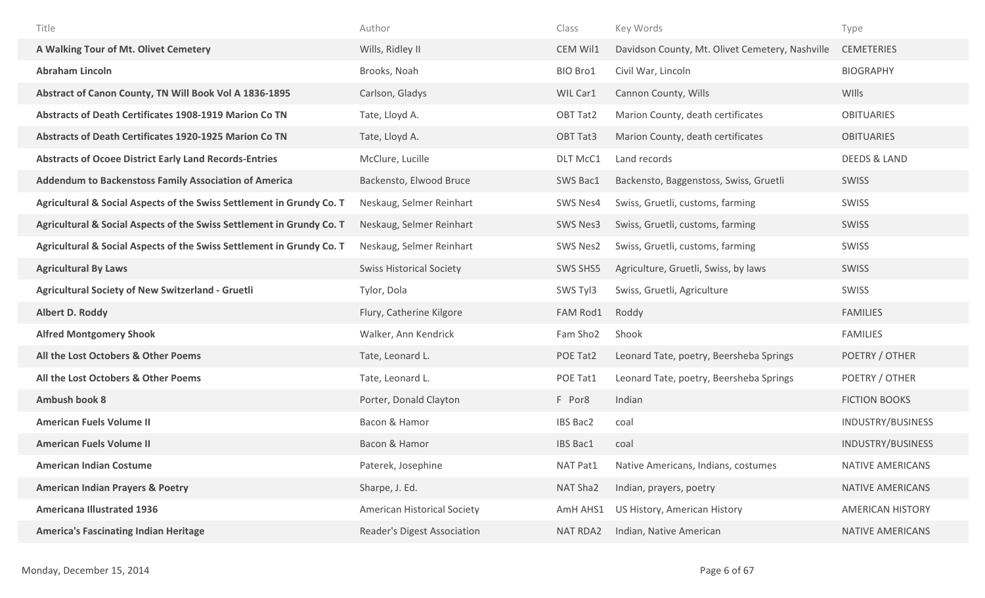| Title                                                                 | Author                             | Class           | Key Words                                       | Type                     |
|-----------------------------------------------------------------------|------------------------------------|-----------------|-------------------------------------------------|--------------------------|
| A Walking Tour of Mt. Olivet Cemetery                                 | Wills, Ridley II                   | CEM Wil1        | Davidson County, Mt. Olivet Cemetery, Nashville | <b>CEMETERIES</b>        |
| <b>Abraham Lincoln</b>                                                | Brooks, Noah                       | BIO Bro1        | Civil War, Lincoln                              | <b>BIOGRAPHY</b>         |
| Abstract of Canon County, TN Will Book Vol A 1836-1895                | Carlson, Gladys                    | WIL Car1        | Cannon County, Wills                            | <b>WIlls</b>             |
| Abstracts of Death Certificates 1908-1919 Marion Co TN                | Tate, Lloyd A.                     | OBT Tat2        | Marion County, death certificates               | <b>OBITUARIES</b>        |
| <b>Abstracts of Death Certificates 1920-1925 Marion Co TN</b>         | Tate, Lloyd A.                     | OBT Tat3        | Marion County, death certificates               | <b>OBITUARIES</b>        |
| <b>Abstracts of Ocoee District Early Land Records-Entries</b>         | McClure, Lucille                   | DLT McC1        | Land records                                    | <b>DEEDS &amp; LAND</b>  |
| <b>Addendum to Backenstoss Family Association of America</b>          | Backensto, Elwood Bruce            | SWS Bac1        | Backensto, Baggenstoss, Swiss, Gruetli          | SWISS                    |
| Agricultural & Social Aspects of the Swiss Settlement in Grundy Co. T | Neskaug, Selmer Reinhart           | SWS Nes4        | Swiss, Gruetli, customs, farming                | SWISS                    |
| Agricultural & Social Aspects of the Swiss Settlement in Grundy Co. T | Neskaug, Selmer Reinhart           | SWS Nes3        | Swiss, Gruetli, customs, farming                | SWISS                    |
| Agricultural & Social Aspects of the Swiss Settlement in Grundy Co. T | Neskaug, Selmer Reinhart           | <b>SWS Nes2</b> | Swiss, Gruetli, customs, farming                | SWISS                    |
| <b>Agricultural By Laws</b>                                           | <b>Swiss Historical Society</b>    | SWS SHS5        | Agriculture, Gruetli, Swiss, by laws            | SWISS                    |
| <b>Agricultural Society of New Switzerland - Gruetli</b>              | Tylor, Dola                        | SWS Tyl3        | Swiss, Gruetli, Agriculture                     | SWISS                    |
| <b>Albert D. Roddy</b>                                                | Flury, Catherine Kilgore           | FAM Rod1        | Roddy                                           | <b>FAMILIES</b>          |
| <b>Alfred Montgomery Shook</b>                                        | Walker, Ann Kendrick               | Fam Sho2        | Shook                                           | <b>FAMILIES</b>          |
| All the Lost Octobers & Other Poems                                   | Tate, Leonard L.                   | POE Tat2        | Leonard Tate, poetry, Beersheba Springs         | POETRY / OTHER           |
| All the Lost Octobers & Other Poems                                   | Tate, Leonard L.                   | POE Tat1        | Leonard Tate, poetry, Beersheba Springs         | POETRY / OTHER           |
| <b>Ambush book 8</b>                                                  | Porter, Donald Clayton             | F Por8          | Indian                                          | <b>FICTION BOOKS</b>     |
| <b>American Fuels Volume II</b>                                       | Bacon & Hamor                      | <b>IBS Bac2</b> | coal                                            | INDUSTRY/BUSINESS        |
| <b>American Fuels Volume II</b>                                       | Bacon & Hamor                      | <b>IBS Bac1</b> | coal                                            | <b>INDUSTRY/BUSINESS</b> |
| <b>American Indian Costume</b>                                        | Paterek, Josephine                 | NAT Pat1        | Native Americans, Indians, costumes             | NATIVE AMERICANS         |
| <b>American Indian Prayers &amp; Poetry</b>                           | Sharpe, J. Ed.                     | NAT Sha2        | Indian, prayers, poetry                         | NATIVE AMERICANS         |
| <b>Americana Illustrated 1936</b>                                     | American Historical Society        | AmH AHS1        | US History, American History                    | <b>AMERICAN HISTORY</b>  |
| <b>America's Fascinating Indian Heritage</b>                          | <b>Reader's Digest Association</b> | <b>NAT RDA2</b> | Indian, Native American                         | NATIVE AMERICANS         |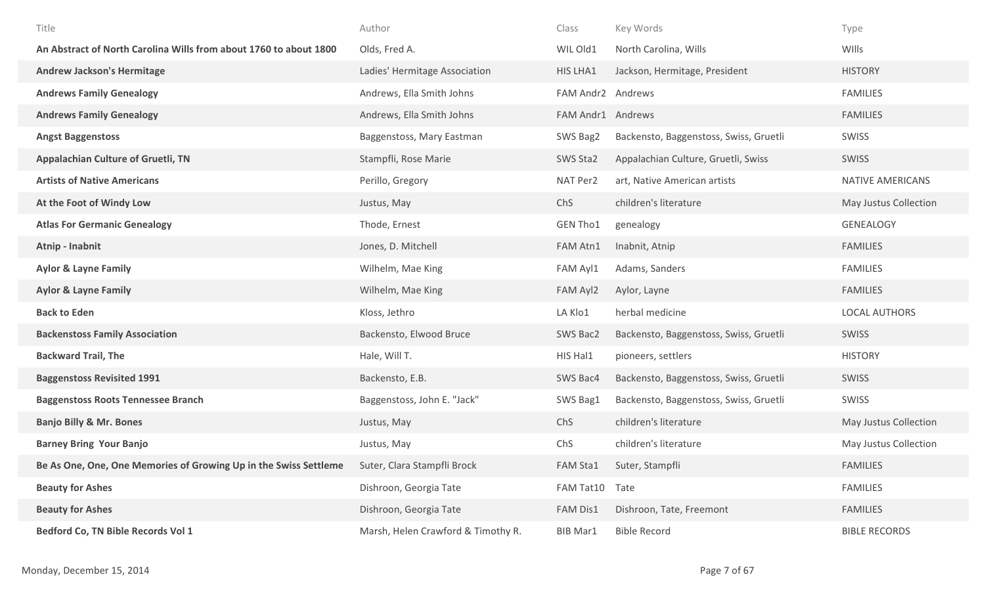| Title                                                             | Author                             | Class             | Key Words                              | Type                  |
|-------------------------------------------------------------------|------------------------------------|-------------------|----------------------------------------|-----------------------|
| An Abstract of North Carolina Wills from about 1760 to about 1800 | Olds, Fred A.                      | WIL Old1          | North Carolina, Wills                  | WIlls                 |
| <b>Andrew Jackson's Hermitage</b>                                 | Ladies' Hermitage Association      | HIS LHA1          | Jackson, Hermitage, President          | <b>HISTORY</b>        |
| <b>Andrews Family Genealogy</b>                                   | Andrews, Ella Smith Johns          | FAM Andr2 Andrews |                                        | <b>FAMILIES</b>       |
| <b>Andrews Family Genealogy</b>                                   | Andrews, Ella Smith Johns          | FAM Andr1 Andrews |                                        | <b>FAMILIES</b>       |
| <b>Angst Baggenstoss</b>                                          | Baggenstoss, Mary Eastman          | SWS Bag2          | Backensto, Baggenstoss, Swiss, Gruetli | <b>SWISS</b>          |
| <b>Appalachian Culture of Gruetli, TN</b>                         | Stampfli, Rose Marie               | SWS Sta2          | Appalachian Culture, Gruetli, Swiss    | <b>SWISS</b>          |
| <b>Artists of Native Americans</b>                                | Perillo, Gregory                   | NAT Per2          | art, Native American artists           | NATIVE AMERICANS      |
| At the Foot of Windy Low                                          | Justus, May                        | ChS               | children's literature                  | May Justus Collection |
| <b>Atlas For Germanic Genealogy</b>                               | Thode, Ernest                      | <b>GEN Tho1</b>   | genealogy                              | <b>GENEALOGY</b>      |
| Atnip - Inabnit                                                   | Jones, D. Mitchell                 | FAM Atn1          | Inabnit, Atnip                         | <b>FAMILIES</b>       |
| <b>Aylor &amp; Layne Family</b>                                   | Wilhelm, Mae King                  | FAM Ayl1          | Adams, Sanders                         | <b>FAMILIES</b>       |
| <b>Aylor &amp; Layne Family</b>                                   | Wilhelm, Mae King                  | FAM Ayl2          | Aylor, Layne                           | <b>FAMILIES</b>       |
| <b>Back to Eden</b>                                               | Kloss, Jethro                      | LA Klo1           | herbal medicine                        | <b>LOCAL AUTHORS</b>  |
| <b>Backenstoss Family Association</b>                             | Backensto, Elwood Bruce            | SWS Bac2          | Backensto, Baggenstoss, Swiss, Gruetli | SWISS                 |
| <b>Backward Trail, The</b>                                        | Hale, Will T.                      | HIS Hal1          | pioneers, settlers                     | <b>HISTORY</b>        |
| <b>Baggenstoss Revisited 1991</b>                                 | Backensto, E.B.                    | SWS Bac4          | Backensto, Baggenstoss, Swiss, Gruetli | SWISS                 |
| <b>Baggenstoss Roots Tennessee Branch</b>                         | Baggenstoss, John E. "Jack"        | SWS Bag1          | Backensto, Baggenstoss, Swiss, Gruetli | SWISS                 |
| <b>Banjo Billy &amp; Mr. Bones</b>                                | Justus, May                        | ChS               | children's literature                  | May Justus Collection |
| <b>Barney Bring Your Banjo</b>                                    | Justus, May                        | ChS               | children's literature                  | May Justus Collection |
| Be As One, One, One Memories of Growing Up in the Swiss Settleme  | Suter, Clara Stampfli Brock        | FAM Sta1          | Suter, Stampfli                        | <b>FAMILIES</b>       |
| <b>Beauty for Ashes</b>                                           | Dishroon, Georgia Tate             | FAM Tat10         | Tate                                   | <b>FAMILIES</b>       |
| <b>Beauty for Ashes</b>                                           | Dishroon, Georgia Tate             | FAM Dis1          | Dishroon, Tate, Freemont               | <b>FAMILIES</b>       |
| Bedford Co, TN Bible Records Vol 1                                | Marsh, Helen Crawford & Timothy R. | <b>BIB Mar1</b>   | <b>Bible Record</b>                    | <b>BIBLE RECORDS</b>  |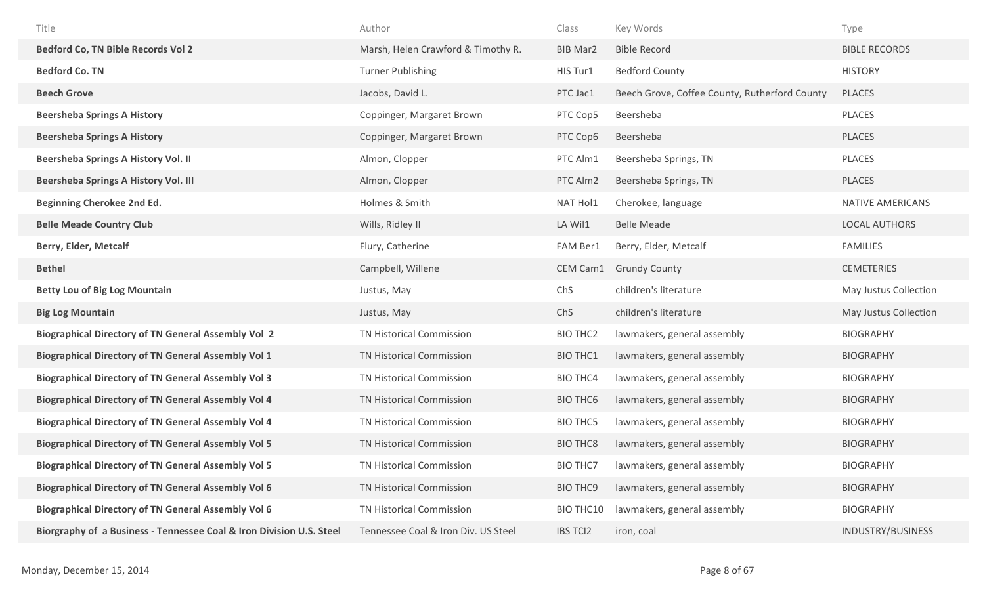| Title                                                      | Author                             | Class            | Key Words                                     | Type                  |
|------------------------------------------------------------|------------------------------------|------------------|-----------------------------------------------|-----------------------|
| <b>Bedford Co, TN Bible Records Vol 2</b>                  | Marsh, Helen Crawford & Timothy R. | <b>BIB Mar2</b>  | <b>Bible Record</b>                           | <b>BIBLE RECORDS</b>  |
| <b>Bedford Co. TN</b>                                      | <b>Turner Publishing</b>           | HIS Tur1         | <b>Bedford County</b>                         | <b>HISTORY</b>        |
| <b>Beech Grove</b>                                         | Jacobs, David L.                   | PTC Jac1         | Beech Grove, Coffee County, Rutherford County | <b>PLACES</b>         |
| <b>Beersheba Springs A History</b>                         | Coppinger, Margaret Brown          | PTC Cop5         | Beersheba                                     | PLACES                |
| <b>Beersheba Springs A History</b>                         | Coppinger, Margaret Brown          | PTC Cop6         | Beersheba                                     | <b>PLACES</b>         |
| <b>Beersheba Springs A History Vol. II</b>                 | Almon, Clopper                     | PTC Alm1         | Beersheba Springs, TN                         | <b>PLACES</b>         |
| <b>Beersheba Springs A History Vol. III</b>                | Almon, Clopper                     | PTC Alm2         | Beersheba Springs, TN                         | <b>PLACES</b>         |
| Beginning Cherokee 2nd Ed.                                 | Holmes & Smith                     | NAT Hol1         | Cherokee, language                            | NATIVE AMERICANS      |
| <b>Belle Meade Country Club</b>                            | Wills, Ridley II                   | LA Wil1          | <b>Belle Meade</b>                            | <b>LOCAL AUTHORS</b>  |
| Berry, Elder, Metcalf                                      | Flury, Catherine                   | FAM Ber1         | Berry, Elder, Metcalf                         | <b>FAMILIES</b>       |
| <b>Bethel</b>                                              | Campbell, Willene                  | CEM Cam1         | <b>Grundy County</b>                          | <b>CEMETERIES</b>     |
|                                                            |                                    |                  |                                               |                       |
| <b>Betty Lou of Big Log Mountain</b>                       | Justus, May                        | ChS              | children's literature                         | May Justus Collection |
| <b>Big Log Mountain</b>                                    | Justus, May                        | ChS              | children's literature                         | May Justus Collection |
| <b>Biographical Directory of TN General Assembly Vol 2</b> | TN Historical Commission           | <b>BIO THC2</b>  | lawmakers, general assembly                   | <b>BIOGRAPHY</b>      |
| <b>Biographical Directory of TN General Assembly Vol 1</b> | TN Historical Commission           | <b>BIO THC1</b>  | lawmakers, general assembly                   | <b>BIOGRAPHY</b>      |
| <b>Biographical Directory of TN General Assembly Vol 3</b> | TN Historical Commission           | <b>BIO THC4</b>  | lawmakers, general assembly                   | <b>BIOGRAPHY</b>      |
| <b>Biographical Directory of TN General Assembly Vol 4</b> | TN Historical Commission           | <b>BIO THC6</b>  | lawmakers, general assembly                   | <b>BIOGRAPHY</b>      |
| <b>Biographical Directory of TN General Assembly Vol 4</b> | TN Historical Commission           | <b>BIO THC5</b>  | lawmakers, general assembly                   | <b>BIOGRAPHY</b>      |
| <b>Biographical Directory of TN General Assembly Vol 5</b> | <b>TN Historical Commission</b>    | <b>BIO THC8</b>  | lawmakers, general assembly                   | <b>BIOGRAPHY</b>      |
| <b>Biographical Directory of TN General Assembly Vol 5</b> | TN Historical Commission           | <b>BIO THC7</b>  | lawmakers, general assembly                   | <b>BIOGRAPHY</b>      |
| <b>Biographical Directory of TN General Assembly Vol 6</b> | TN Historical Commission           | <b>BIO THC9</b>  | lawmakers, general assembly                   | <b>BIOGRAPHY</b>      |
| <b>Biographical Directory of TN General Assembly Vol 6</b> | TN Historical Commission           | <b>BIO THC10</b> | lawmakers, general assembly                   | <b>BIOGRAPHY</b>      |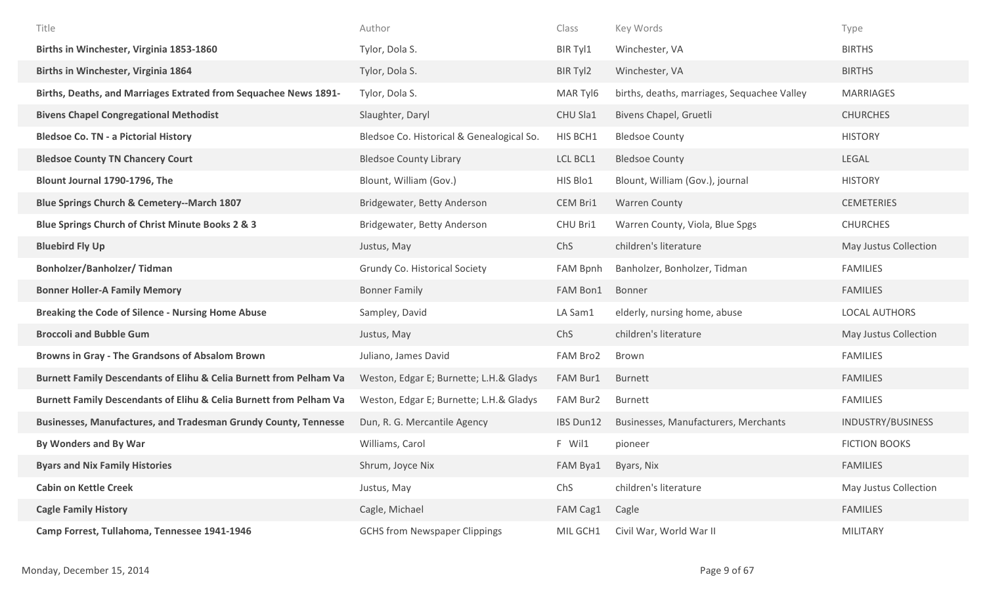| Title                                                              | Author                                    | Class           | Key Words                                   | Type                  |
|--------------------------------------------------------------------|-------------------------------------------|-----------------|---------------------------------------------|-----------------------|
| Births in Winchester, Virginia 1853-1860                           | Tylor, Dola S.                            | BIR Tyl1        | Winchester, VA                              | <b>BIRTHS</b>         |
| <b>Births in Winchester, Virginia 1864</b>                         | Tylor, Dola S.                            | BIR Tyl2        | Winchester, VA                              | <b>BIRTHS</b>         |
| Births, Deaths, and Marriages Extrated from Sequachee News 1891-   | Tylor, Dola S.                            | MAR Tyl6        | births, deaths, marriages, Sequachee Valley | <b>MARRIAGES</b>      |
| <b>Bivens Chapel Congregational Methodist</b>                      | Slaughter, Daryl                          | CHU Sla1        | Bivens Chapel, Gruetli                      | <b>CHURCHES</b>       |
| <b>Bledsoe Co. TN - a Pictorial History</b>                        | Bledsoe Co. Historical & Genealogical So. | HIS BCH1        | <b>Bledsoe County</b>                       | <b>HISTORY</b>        |
| <b>Bledsoe County TN Chancery Court</b>                            | <b>Bledsoe County Library</b>             | LCL BCL1        | <b>Bledsoe County</b>                       | LEGAL                 |
| Blount Journal 1790-1796, The                                      | Blount, William (Gov.)                    | HIS Blo1        | Blount, William (Gov.), journal             | <b>HISTORY</b>        |
| <b>Blue Springs Church &amp; Cemetery--March 1807</b>              | Bridgewater, Betty Anderson               | CEM Bri1        | <b>Warren County</b>                        | <b>CEMETERIES</b>     |
| Blue Springs Church of Christ Minute Books 2 & 3                   | Bridgewater, Betty Anderson               | CHU Bri1        | Warren County, Viola, Blue Spgs             | <b>CHURCHES</b>       |
| <b>Bluebird Fly Up</b>                                             | Justus, May                               | ChS             | children's literature                       | May Justus Collection |
| <b>Bonholzer/Banholzer/ Tidman</b>                                 | Grundy Co. Historical Society             | <b>FAM Bpnh</b> | Banholzer, Bonholzer, Tidman                | <b>FAMILIES</b>       |
| <b>Bonner Holler-A Family Memory</b>                               | <b>Bonner Family</b>                      | FAM Bon1        | Bonner                                      | <b>FAMILIES</b>       |
|                                                                    |                                           |                 |                                             |                       |
| <b>Breaking the Code of Silence - Nursing Home Abuse</b>           | Sampley, David                            | LA Sam1         | elderly, nursing home, abuse                | <b>LOCAL AUTHORS</b>  |
| <b>Broccoli and Bubble Gum</b>                                     | Justus, May                               | ChS             | children's literature                       | May Justus Collection |
| Browns in Gray - The Grandsons of Absalom Brown                    | Juliano, James David                      | FAM Bro2        | Brown                                       | <b>FAMILIES</b>       |
| Burnett Family Descendants of Elihu & Celia Burnett from Pelham Va | Weston, Edgar E; Burnette; L.H.& Gladys   | FAM Bur1        | Burnett                                     | <b>FAMILIES</b>       |
| Burnett Family Descendants of Elihu & Celia Burnett from Pelham Va | Weston, Edgar E; Burnette; L.H.& Gladys   | FAM Bur2        | <b>Burnett</b>                              | <b>FAMILIES</b>       |
| Businesses, Manufactures, and Tradesman Grundy County, Tennesse    | Dun, R. G. Mercantile Agency              | IBS Dun12       | Businesses, Manufacturers, Merchants        | INDUSTRY/BUSINESS     |
| By Wonders and By War                                              | Williams, Carol                           | F Wil1          | pioneer                                     | <b>FICTION BOOKS</b>  |
| <b>Byars and Nix Family Histories</b>                              | Shrum, Joyce Nix                          | FAM Bya1        | Byars, Nix                                  | <b>FAMILIES</b>       |
| <b>Cabin on Kettle Creek</b>                                       | Justus, May                               | ChS             | children's literature                       | May Justus Collection |
| <b>Cagle Family History</b>                                        | Cagle, Michael                            | FAM Cag1        | Cagle                                       | <b>FAMILIES</b>       |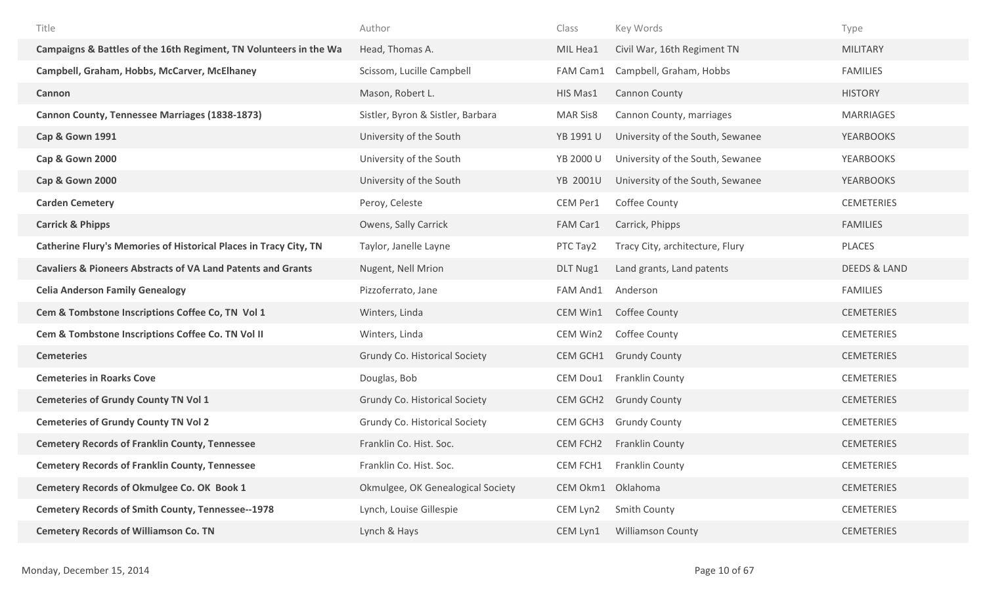| Title                                                                   | Author                               | Class             | Key Words                        | Type                    |
|-------------------------------------------------------------------------|--------------------------------------|-------------------|----------------------------------|-------------------------|
| Campaigns & Battles of the 16th Regiment, TN Volunteers in the Wa       | Head, Thomas A.                      | MIL Hea1          | Civil War, 16th Regiment TN      | <b>MILITARY</b>         |
| Campbell, Graham, Hobbs, McCarver, McElhaney                            | Scissom, Lucille Campbell            | FAM Cam1          | Campbell, Graham, Hobbs          | <b>FAMILIES</b>         |
| Cannon                                                                  | Mason, Robert L.                     | HIS Mas1          | Cannon County                    | <b>HISTORY</b>          |
| <b>Cannon County, Tennessee Marriages (1838-1873)</b>                   | Sistler, Byron & Sistler, Barbara    | <b>MAR Sis8</b>   | Cannon County, marriages         | <b>MARRIAGES</b>        |
| <b>Cap &amp; Gown 1991</b>                                              | University of the South              | YB 1991 U         | University of the South, Sewanee | <b>YEARBOOKS</b>        |
| Cap & Gown 2000                                                         | University of the South              | YB 2000 U         | University of the South, Sewanee | <b>YEARBOOKS</b>        |
| Cap & Gown 2000                                                         | University of the South              | <b>YB 2001U</b>   | University of the South, Sewanee | <b>YEARBOOKS</b>        |
| <b>Carden Cemetery</b>                                                  | Peroy, Celeste                       | CEM Per1          | Coffee County                    | <b>CEMETERIES</b>       |
| <b>Carrick &amp; Phipps</b>                                             | Owens, Sally Carrick                 | FAM Car1          | Carrick, Phipps                  | <b>FAMILIES</b>         |
| Catherine Flury's Memories of Historical Places in Tracy City, TN       | Taylor, Janelle Layne                | PTC Tay2          | Tracy City, architecture, Flury  | PLACES                  |
| <b>Cavaliers &amp; Pioneers Abstracts of VA Land Patents and Grants</b> | Nugent, Nell Mrion                   | DLT Nug1          | Land grants, Land patents        | <b>DEEDS &amp; LAND</b> |
| <b>Celia Anderson Family Genealogy</b>                                  | Pizzoferrato, Jane                   | FAM And1          | Anderson                         | <b>FAMILIES</b>         |
| Cem & Tombstone Inscriptions Coffee Co, TN Vol 1                        | Winters, Linda                       | CEM Win1          | Coffee County                    | <b>CEMETERIES</b>       |
| Cem & Tombstone Inscriptions Coffee Co. TN Vol II                       | Winters, Linda                       | CEM Win2          | Coffee County                    | <b>CEMETERIES</b>       |
| <b>Cemeteries</b>                                                       | Grundy Co. Historical Society        | CEM GCH1          | <b>Grundy County</b>             | <b>CEMETERIES</b>       |
| <b>Cemeteries in Roarks Cove</b>                                        | Douglas, Bob                         | CEM Dou1          | <b>Franklin County</b>           | <b>CEMETERIES</b>       |
| <b>Cemeteries of Grundy County TN Vol 1</b>                             | <b>Grundy Co. Historical Society</b> |                   | CEM GCH2 Grundy County           | <b>CEMETERIES</b>       |
| <b>Cemeteries of Grundy County TN Vol 2</b>                             | Grundy Co. Historical Society        | CEM GCH3          | <b>Grundy County</b>             | <b>CEMETERIES</b>       |
| <b>Cemetery Records of Franklin County, Tennessee</b>                   | Franklin Co. Hist. Soc.              | CEM FCH2          | <b>Franklin County</b>           | <b>CEMETERIES</b>       |
| <b>Cemetery Records of Franklin County, Tennessee</b>                   | Franklin Co. Hist. Soc.              | CEM FCH1          | <b>Franklin County</b>           | <b>CEMETERIES</b>       |
| Cemetery Records of Okmulgee Co. OK Book 1                              | Okmulgee, OK Genealogical Society    | CEM Okm1 Oklahoma |                                  | <b>CEMETERIES</b>       |
| <b>Cemetery Records of Smith County, Tennessee--1978</b>                | Lynch, Louise Gillespie              | CEM Lyn2          | Smith County                     | <b>CEMETERIES</b>       |
| <b>Cemetery Records of Williamson Co. TN</b>                            | Lynch & Hays                         | CEM Lyn1          | <b>Williamson County</b>         | <b>CEMETERIES</b>       |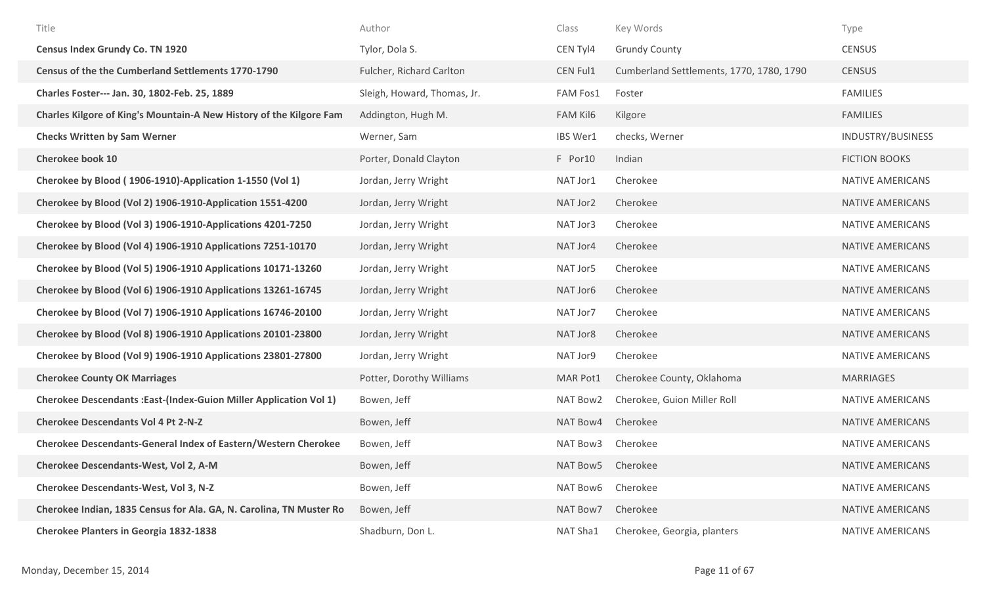| Title                                                                    | Author                      | Class    | Key Words                                | Type                    |
|--------------------------------------------------------------------------|-----------------------------|----------|------------------------------------------|-------------------------|
| <b>Census Index Grundy Co. TN 1920</b>                                   | Tylor, Dola S.              | CEN Tyl4 | <b>Grundy County</b>                     | <b>CENSUS</b>           |
| Census of the the Cumberland Settlements 1770-1790                       | Fulcher, Richard Carlton    | CEN Ful1 | Cumberland Settlements, 1770, 1780, 1790 | <b>CENSUS</b>           |
| Charles Foster--- Jan. 30, 1802-Feb. 25, 1889                            | Sleigh, Howard, Thomas, Jr. | FAM Fos1 | Foster                                   | <b>FAMILIES</b>         |
| Charles Kilgore of King's Mountain-A New History of the Kilgore Fam      | Addington, Hugh M.          | FAM Kil6 | Kilgore                                  | <b>FAMILIES</b>         |
| <b>Checks Written by Sam Werner</b>                                      | Werner, Sam                 | IBS Wer1 | checks, Werner                           | INDUSTRY/BUSINESS       |
| <b>Cherokee book 10</b>                                                  | Porter, Donald Clayton      | F Por10  | Indian                                   | <b>FICTION BOOKS</b>    |
| Cherokee by Blood (1906-1910)-Application 1-1550 (Vol 1)                 | Jordan, Jerry Wright        | NAT Jor1 | Cherokee                                 | <b>NATIVE AMERICANS</b> |
| Cherokee by Blood (Vol 2) 1906-1910-Application 1551-4200                | Jordan, Jerry Wright        | NAT Jor2 | Cherokee                                 | <b>NATIVE AMERICANS</b> |
| Cherokee by Blood (Vol 3) 1906-1910-Applications 4201-7250               | Jordan, Jerry Wright        | NAT Jor3 | Cherokee                                 | <b>NATIVE AMERICANS</b> |
| Cherokee by Blood (Vol 4) 1906-1910 Applications 7251-10170              | Jordan, Jerry Wright        | NAT Jor4 | Cherokee                                 | <b>NATIVE AMERICANS</b> |
| Cherokee by Blood (Vol 5) 1906-1910 Applications 10171-13260             | Jordan, Jerry Wright        | NAT Jor5 | Cherokee                                 | <b>NATIVE AMERICANS</b> |
| Cherokee by Blood (Vol 6) 1906-1910 Applications 13261-16745             | Jordan, Jerry Wright        | NAT Jor6 | Cherokee                                 | <b>NATIVE AMERICANS</b> |
| Cherokee by Blood (Vol 7) 1906-1910 Applications 16746-20100             | Jordan, Jerry Wright        | NAT Jor7 | Cherokee                                 | <b>NATIVE AMERICANS</b> |
| Cherokee by Blood (Vol 8) 1906-1910 Applications 20101-23800             | Jordan, Jerry Wright        | NAT Jor8 | Cherokee                                 | <b>NATIVE AMERICANS</b> |
| Cherokee by Blood (Vol 9) 1906-1910 Applications 23801-27800             | Jordan, Jerry Wright        | NAT Jor9 | Cherokee                                 | <b>NATIVE AMERICANS</b> |
| <b>Cherokee County OK Marriages</b>                                      | Potter, Dorothy Williams    | MAR Pot1 | Cherokee County, Oklahoma                | <b>MARRIAGES</b>        |
| <b>Cherokee Descendants: East-(Index-Guion Miller Application Vol 1)</b> | Bowen, Jeff                 | NAT Bow2 | Cherokee, Guion Miller Roll              | <b>NATIVE AMERICANS</b> |
| <b>Cherokee Descendants Vol 4 Pt 2-N-Z</b>                               | Bowen, Jeff                 | NAT Bow4 | Cherokee                                 | <b>NATIVE AMERICANS</b> |
| <b>Cherokee Descendants-General Index of Eastern/Western Cherokee</b>    | Bowen, Jeff                 | NAT Bow3 | Cherokee                                 | <b>NATIVE AMERICANS</b> |
| Cherokee Descendants-West, Vol 2, A-M                                    | Bowen, Jeff                 | NAT Bow5 | Cherokee                                 | <b>NATIVE AMERICANS</b> |
| Cherokee Descendants-West, Vol 3, N-Z                                    | Bowen, Jeff                 | NAT Bow6 | Cherokee                                 | <b>NATIVE AMERICANS</b> |
| Cherokee Indian, 1835 Census for Ala. GA, N. Carolina, TN Muster Ro      | Bowen, Jeff                 | NAT Bow7 | Cherokee                                 | NATIVE AMERICANS        |
| <b>Cherokee Planters in Georgia 1832-1838</b>                            | Shadburn, Don L.            | NAT Sha1 | Cherokee, Georgia, planters              | <b>NATIVE AMERICANS</b> |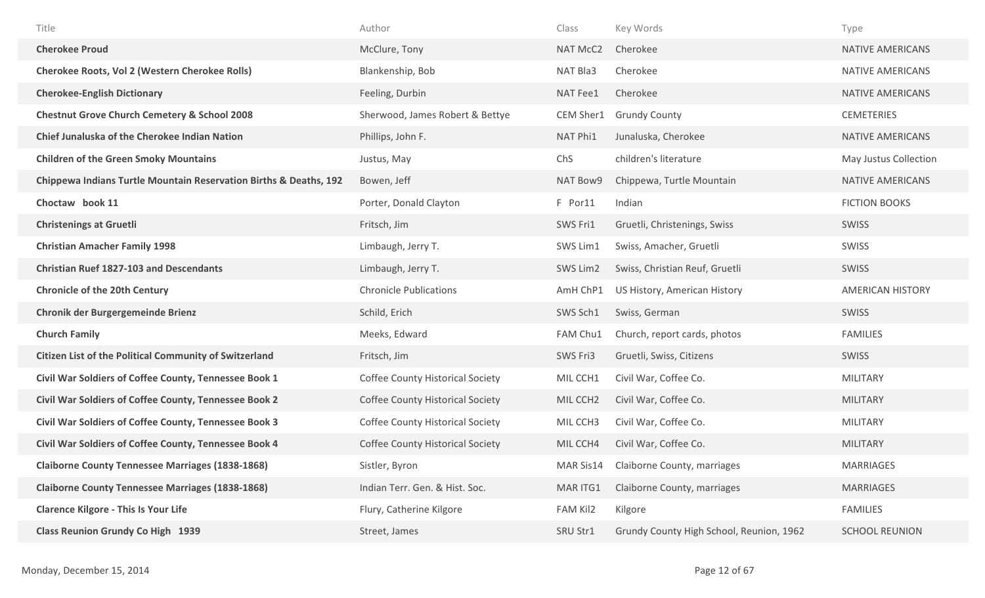| Title                                                             | Author                                  | Class                | Key Words                                | Type                    |
|-------------------------------------------------------------------|-----------------------------------------|----------------------|------------------------------------------|-------------------------|
| <b>Cherokee Proud</b>                                             | McClure, Tony                           | <b>NAT McC2</b>      | Cherokee                                 | <b>NATIVE AMERICANS</b> |
| <b>Cherokee Roots, Vol 2 (Western Cherokee Rolls)</b>             | Blankenship, Bob                        | NAT Bla3             | Cherokee                                 | NATIVE AMERICANS        |
| <b>Cherokee-English Dictionary</b>                                | Feeling, Durbin                         | NAT Fee1             | Cherokee                                 | <b>NATIVE AMERICANS</b> |
| <b>Chestnut Grove Church Cemetery &amp; School 2008</b>           | Sherwood, James Robert & Bettye         | CEM Sher1            | <b>Grundy County</b>                     | <b>CEMETERIES</b>       |
| Chief Junaluska of the Cherokee Indian Nation                     | Phillips, John F.                       | NAT Phi1             | Junaluska, Cherokee                      | <b>NATIVE AMERICANS</b> |
| <b>Children of the Green Smoky Mountains</b>                      | Justus, May                             | ChS                  | children's literature                    | May Justus Collection   |
| Chippewa Indians Turtle Mountain Reservation Births & Deaths, 192 | Bowen, Jeff                             | NAT Bow9             | Chippewa, Turtle Mountain                | NATIVE AMERICANS        |
| Choctaw book 11                                                   | Porter, Donald Clayton                  | F Por11              | Indian                                   | <b>FICTION BOOKS</b>    |
| <b>Christenings at Gruetli</b>                                    | Fritsch, Jim                            | SWS Fri1             | Gruetli, Christenings, Swiss             | SWISS                   |
| <b>Christian Amacher Family 1998</b>                              | Limbaugh, Jerry T.                      | SWS Lim1             | Swiss, Amacher, Gruetli                  | <b>SWISS</b>            |
| <b>Christian Ruef 1827-103 and Descendants</b>                    | Limbaugh, Jerry T.                      | SWS Lim2             | Swiss, Christian Reuf, Gruetli           | SWISS                   |
| <b>Chronicle of the 20th Century</b>                              | <b>Chronicle Publications</b>           | AmH ChP1             | US History, American History             | <b>AMERICAN HISTORY</b> |
| <b>Chronik der Burgergemeinde Brienz</b>                          | Schild, Erich                           | SWS Sch1             | Swiss, German                            | SWISS                   |
| <b>Church Family</b>                                              | Meeks, Edward                           | FAM Chu1             | Church, report cards, photos             | <b>FAMILIES</b>         |
| <b>Citizen List of the Political Community of Switzerland</b>     | Fritsch, Jim                            | SWS Fri3             | Gruetli, Swiss, Citizens                 | <b>SWISS</b>            |
| Civil War Soldiers of Coffee County, Tennessee Book 1             | <b>Coffee County Historical Society</b> | MIL CCH1             | Civil War, Coffee Co.                    | <b>MILITARY</b>         |
| Civil War Soldiers of Coffee County, Tennessee Book 2             | <b>Coffee County Historical Society</b> | MIL CCH <sub>2</sub> | Civil War, Coffee Co.                    | <b>MILITARY</b>         |
| Civil War Soldiers of Coffee County, Tennessee Book 3             | <b>Coffee County Historical Society</b> | MIL CCH3             | Civil War, Coffee Co.                    | <b>MILITARY</b>         |
| Civil War Soldiers of Coffee County, Tennessee Book 4             | <b>Coffee County Historical Society</b> | MIL CCH4             | Civil War, Coffee Co.                    | <b>MILITARY</b>         |
| <b>Claiborne County Tennessee Marriages (1838-1868)</b>           | Sistler, Byron                          | MAR Sis14            | Claiborne County, marriages              | <b>MARRIAGES</b>        |
| <b>Claiborne County Tennessee Marriages (1838-1868)</b>           | Indian Terr. Gen. & Hist. Soc.          | MAR ITG1             | Claiborne County, marriages              | <b>MARRIAGES</b>        |
| <b>Clarence Kilgore - This Is Your Life</b>                       | Flury, Catherine Kilgore                | FAM Kil2             | Kilgore                                  | <b>FAMILIES</b>         |
| <b>Class Reunion Grundy Co High 1939</b>                          | Street, James                           | SRU Str1             | Grundy County High School, Reunion, 1962 | <b>SCHOOL REUNION</b>   |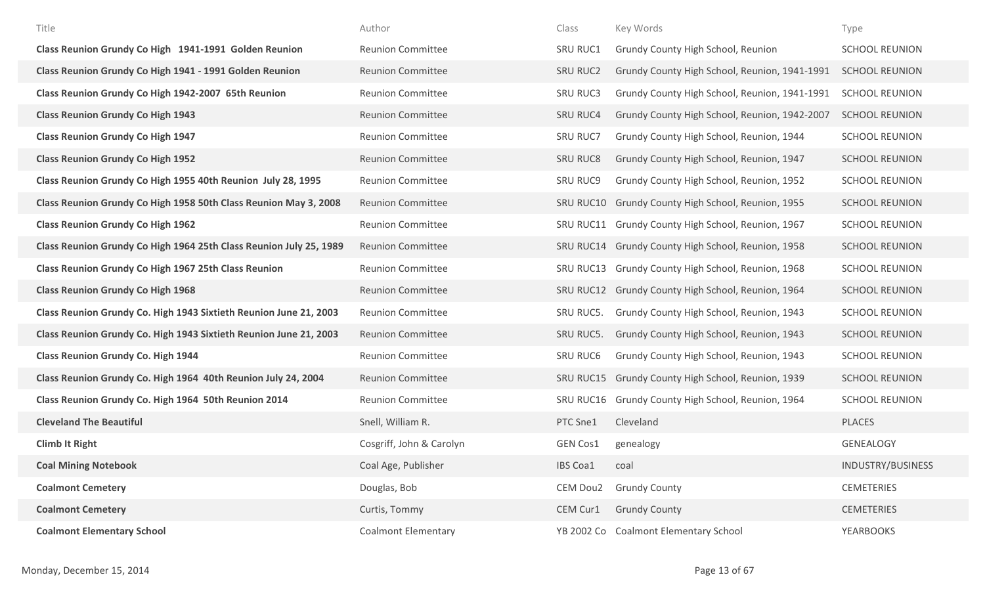| Title                                                              | Author                     | Class           | Key Words                                     | Type                  |
|--------------------------------------------------------------------|----------------------------|-----------------|-----------------------------------------------|-----------------------|
| Class Reunion Grundy Co High 1941-1991 Golden Reunion              | <b>Reunion Committee</b>   | SRU RUC1        | Grundy County High School, Reunion            | <b>SCHOOL REUNION</b> |
| Class Reunion Grundy Co High 1941 - 1991 Golden Reunion            | <b>Reunion Committee</b>   | <b>SRU RUC2</b> | Grundy County High School, Reunion, 1941-1991 | <b>SCHOOL REUNION</b> |
| Class Reunion Grundy Co High 1942-2007 65th Reunion                | <b>Reunion Committee</b>   | <b>SRU RUC3</b> | Grundy County High School, Reunion, 1941-1991 | <b>SCHOOL REUNION</b> |
| <b>Class Reunion Grundy Co High 1943</b>                           | <b>Reunion Committee</b>   | <b>SRU RUC4</b> | Grundy County High School, Reunion, 1942-2007 | <b>SCHOOL REUNION</b> |
| <b>Class Reunion Grundy Co High 1947</b>                           | <b>Reunion Committee</b>   | <b>SRU RUC7</b> | Grundy County High School, Reunion, 1944      | <b>SCHOOL REUNION</b> |
| <b>Class Reunion Grundy Co High 1952</b>                           | <b>Reunion Committee</b>   | <b>SRU RUC8</b> | Grundy County High School, Reunion, 1947      | <b>SCHOOL REUNION</b> |
| Class Reunion Grundy Co High 1955 40th Reunion July 28, 1995       | <b>Reunion Committee</b>   | <b>SRU RUC9</b> | Grundy County High School, Reunion, 1952      | <b>SCHOOL REUNION</b> |
| Class Reunion Grundy Co High 1958 50th Class Reunion May 3, 2008   | <b>Reunion Committee</b>   | SRU RUC10       | Grundy County High School, Reunion, 1955      | <b>SCHOOL REUNION</b> |
| <b>Class Reunion Grundy Co High 1962</b>                           | <b>Reunion Committee</b>   | SRU RUC11       | Grundy County High School, Reunion, 1967      | <b>SCHOOL REUNION</b> |
| Class Reunion Grundy Co High 1964 25th Class Reunion July 25, 1989 | <b>Reunion Committee</b>   | SRU RUC14       | Grundy County High School, Reunion, 1958      | <b>SCHOOL REUNION</b> |
| <b>Class Reunion Grundy Co High 1967 25th Class Reunion</b>        | <b>Reunion Committee</b>   | SRU RUC13       | Grundy County High School, Reunion, 1968      | <b>SCHOOL REUNION</b> |
| <b>Class Reunion Grundy Co High 1968</b>                           | <b>Reunion Committee</b>   | SRU RUC12       | Grundy County High School, Reunion, 1964      | <b>SCHOOL REUNION</b> |
| Class Reunion Grundy Co. High 1943 Sixtieth Reunion June 21, 2003  | <b>Reunion Committee</b>   | SRU RUC5.       | Grundy County High School, Reunion, 1943      | <b>SCHOOL REUNION</b> |
| Class Reunion Grundy Co. High 1943 Sixtieth Reunion June 21, 2003  | <b>Reunion Committee</b>   | SRU RUC5.       | Grundy County High School, Reunion, 1943      | <b>SCHOOL REUNION</b> |
| <b>Class Reunion Grundy Co. High 1944</b>                          | <b>Reunion Committee</b>   | <b>SRU RUC6</b> | Grundy County High School, Reunion, 1943      | <b>SCHOOL REUNION</b> |
| Class Reunion Grundy Co. High 1964 40th Reunion July 24, 2004      | <b>Reunion Committee</b>   | SRU RUC15       | Grundy County High School, Reunion, 1939      | <b>SCHOOL REUNION</b> |
| Class Reunion Grundy Co. High 1964 50th Reunion 2014               | <b>Reunion Committee</b>   | SRU RUC16       | Grundy County High School, Reunion, 1964      | <b>SCHOOL REUNION</b> |
| <b>Cleveland The Beautiful</b>                                     | Snell, William R.          | PTC Sne1        | Cleveland                                     | <b>PLACES</b>         |
| <b>Climb It Right</b>                                              | Cosgriff, John & Carolyn   | <b>GEN Cos1</b> | genealogy                                     | <b>GENEALOGY</b>      |
| <b>Coal Mining Notebook</b>                                        | Coal Age, Publisher        | <b>IBS Coa1</b> | coal                                          | INDUSTRY/BUSINESS     |
| <b>Coalmont Cemetery</b>                                           | Douglas, Bob               | CEM Dou2        | <b>Grundy County</b>                          | <b>CEMETERIES</b>     |
| <b>Coalmont Cemetery</b>                                           | Curtis, Tommy              | CEM Cur1        | <b>Grundy County</b>                          | <b>CEMETERIES</b>     |
| <b>Coalmont Elementary School</b>                                  | <b>Coalmont Elementary</b> |                 | YB 2002 Co Coalmont Elementary School         | <b>YEARBOOKS</b>      |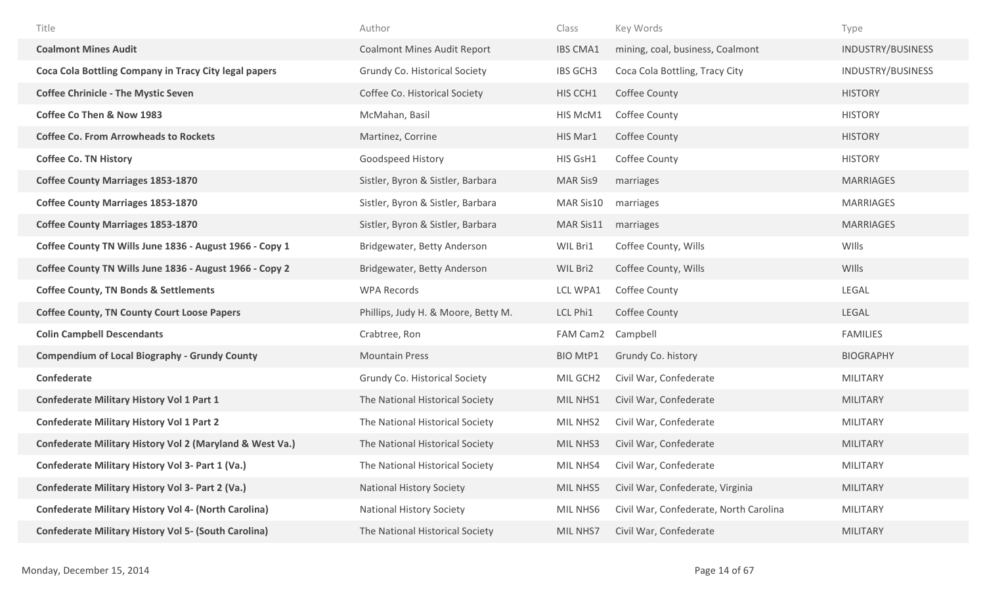| Title                                                       | Author                              | Class           | Key Words                              | Type              |
|-------------------------------------------------------------|-------------------------------------|-----------------|----------------------------------------|-------------------|
| <b>Coalmont Mines Audit</b>                                 | <b>Coalmont Mines Audit Report</b>  | <b>IBS CMA1</b> | mining, coal, business, Coalmont       | INDUSTRY/BUSINESS |
| Coca Cola Bottling Company in Tracy City legal papers       | Grundy Co. Historical Society       | <b>IBS GCH3</b> | Coca Cola Bottling, Tracy City         | INDUSTRY/BUSINESS |
| <b>Coffee Chrinicle - The Mystic Seven</b>                  | Coffee Co. Historical Society       | HIS CCH1        | Coffee County                          | <b>HISTORY</b>    |
| <b>Coffee Co Then &amp; Now 1983</b>                        | McMahan, Basil                      | HIS McM1        | Coffee County                          | <b>HISTORY</b>    |
| <b>Coffee Co. From Arrowheads to Rockets</b>                | Martinez, Corrine                   | HIS Mar1        | Coffee County                          | <b>HISTORY</b>    |
| <b>Coffee Co. TN History</b>                                | Goodspeed History                   | HIS GsH1        | Coffee County                          | <b>HISTORY</b>    |
| <b>Coffee County Marriages 1853-1870</b>                    | Sistler, Byron & Sistler, Barbara   | <b>MAR Sis9</b> | marriages                              | <b>MARRIAGES</b>  |
| <b>Coffee County Marriages 1853-1870</b>                    | Sistler, Byron & Sistler, Barbara   | MAR Sis10       | marriages                              | <b>MARRIAGES</b>  |
| <b>Coffee County Marriages 1853-1870</b>                    | Sistler, Byron & Sistler, Barbara   | MAR Sis11       | marriages                              | <b>MARRIAGES</b>  |
| Coffee County TN Wills June 1836 - August 1966 - Copy 1     | Bridgewater, Betty Anderson         | WIL Bri1        | Coffee County, Wills                   | WIlls             |
| Coffee County TN Wills June 1836 - August 1966 - Copy 2     | Bridgewater, Betty Anderson         | WIL Bri2        | Coffee County, Wills                   | WIlls             |
| <b>Coffee County, TN Bonds &amp; Settlements</b>            | <b>WPA Records</b>                  | LCL WPA1        | Coffee County                          | LEGAL             |
| <b>Coffee County, TN County Court Loose Papers</b>          | Phillips, Judy H. & Moore, Betty M. | LCL Phi1        | Coffee County                          | LEGAL             |
| <b>Colin Campbell Descendants</b>                           | Crabtree, Ron                       | FAM Cam2        | Campbell                               | <b>FAMILIES</b>   |
| <b>Compendium of Local Biography - Grundy County</b>        | <b>Mountain Press</b>               | <b>BIO MtP1</b> | Grundy Co. history                     | <b>BIOGRAPHY</b>  |
| <b>Confederate</b>                                          | Grundy Co. Historical Society       | MIL GCH2        | Civil War, Confederate                 | <b>MILITARY</b>   |
| <b>Confederate Military History Vol 1 Part 1</b>            | The National Historical Society     | MIL NHS1        | Civil War, Confederate                 | <b>MILITARY</b>   |
| <b>Confederate Military History Vol 1 Part 2</b>            | The National Historical Society     | MIL NHS2        | Civil War, Confederate                 | <b>MILITARY</b>   |
| Confederate Military History Vol 2 (Maryland & West Va.)    | The National Historical Society     | MIL NHS3        | Civil War, Confederate                 | <b>MILITARY</b>   |
| Confederate Military History Vol 3- Part 1 (Va.)            | The National Historical Society     | MIL NHS4        | Civil War, Confederate                 | <b>MILITARY</b>   |
| Confederate Military History Vol 3- Part 2 (Va.)            | <b>National History Society</b>     | MIL NHS5        | Civil War, Confederate, Virginia       | <b>MILITARY</b>   |
| <b>Confederate Military History Vol 4- (North Carolina)</b> | <b>National History Society</b>     | MIL NHS6        | Civil War, Confederate, North Carolina | <b>MILITARY</b>   |
| <b>Confederate Military History Vol 5- (South Carolina)</b> | The National Historical Society     | MIL NHS7        | Civil War, Confederate                 | <b>MILITARY</b>   |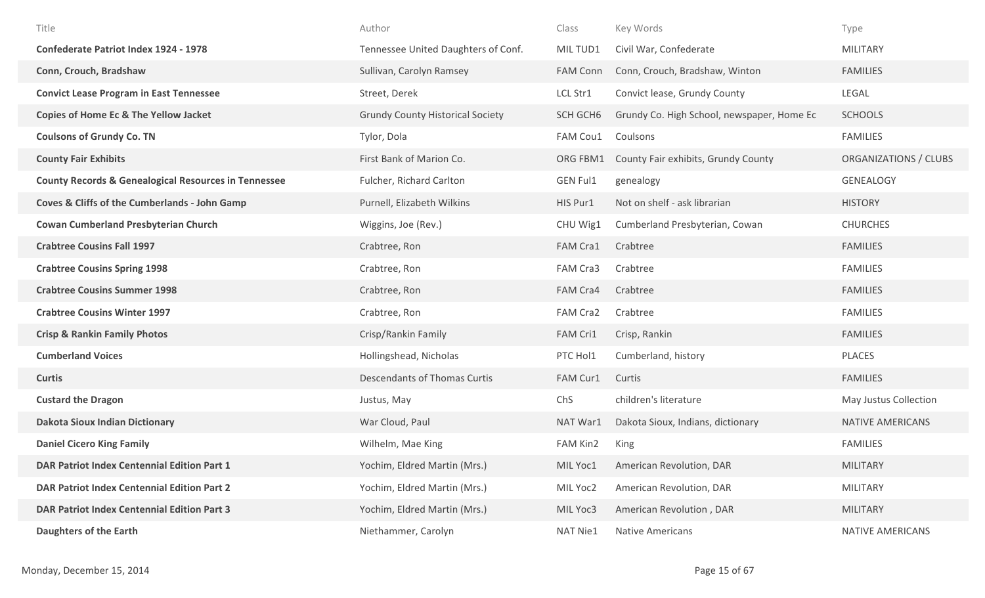| Title                                                           | Author                                  | Class           | Key Words                                  | Type                    |
|-----------------------------------------------------------------|-----------------------------------------|-----------------|--------------------------------------------|-------------------------|
| <b>Confederate Patriot Index 1924 - 1978</b>                    | Tennessee United Daughters of Conf.     | MIL TUD1        | Civil War, Confederate                     | <b>MILITARY</b>         |
| Conn, Crouch, Bradshaw                                          | Sullivan, Carolyn Ramsey                | <b>FAM Conn</b> | Conn, Crouch, Bradshaw, Winton             | <b>FAMILIES</b>         |
| <b>Convict Lease Program in East Tennessee</b>                  | Street, Derek                           | LCL Str1        | Convict lease, Grundy County               | LEGAL                   |
| <b>Copies of Home Ec &amp; The Yellow Jacket</b>                | <b>Grundy County Historical Society</b> | SCH GCH6        | Grundy Co. High School, newspaper, Home Ec | <b>SCHOOLS</b>          |
| <b>Coulsons of Grundy Co. TN</b>                                | Tylor, Dola                             | FAM Cou1        | Coulsons                                   | <b>FAMILIES</b>         |
| <b>County Fair Exhibits</b>                                     | First Bank of Marion Co.                | ORG FBM1        | County Fair exhibits, Grundy County        | ORGANIZATIONS / CLUBS   |
| <b>County Records &amp; Genealogical Resources in Tennessee</b> | Fulcher, Richard Carlton                | <b>GEN Ful1</b> | genealogy                                  | GENEALOGY               |
| <b>Coves &amp; Cliffs of the Cumberlands - John Gamp</b>        | Purnell, Elizabeth Wilkins              | HIS Pur1        | Not on shelf - ask librarian               | <b>HISTORY</b>          |
| <b>Cowan Cumberland Presbyterian Church</b>                     | Wiggins, Joe (Rev.)                     | CHU Wig1        | Cumberland Presbyterian, Cowan             | <b>CHURCHES</b>         |
| <b>Crabtree Cousins Fall 1997</b>                               | Crabtree, Ron                           | FAM Cra1        | Crabtree                                   | <b>FAMILIES</b>         |
| <b>Crabtree Cousins Spring 1998</b>                             | Crabtree, Ron                           | FAM Cra3        | Crabtree                                   | <b>FAMILIES</b>         |
| <b>Crabtree Cousins Summer 1998</b>                             | Crabtree, Ron                           | FAM Cra4        | Crabtree                                   | <b>FAMILIES</b>         |
| <b>Crabtree Cousins Winter 1997</b>                             | Crabtree, Ron                           | FAM Cra2        | Crabtree                                   | <b>FAMILIES</b>         |
| <b>Crisp &amp; Rankin Family Photos</b>                         | Crisp/Rankin Family                     | FAM Cri1        | Crisp, Rankin                              | <b>FAMILIES</b>         |
| <b>Cumberland Voices</b>                                        | Hollingshead, Nicholas                  | PTC Hol1        | Cumberland, history                        | PLACES                  |
| <b>Curtis</b>                                                   | Descendants of Thomas Curtis            | FAM Cur1        | Curtis                                     | <b>FAMILIES</b>         |
| <b>Custard the Dragon</b>                                       | Justus, May                             | ChS             | children's literature                      | May Justus Collection   |
| <b>Dakota Sioux Indian Dictionary</b>                           | War Cloud, Paul                         | NAT War1        | Dakota Sioux, Indians, dictionary          | NATIVE AMERICANS        |
| <b>Daniel Cicero King Family</b>                                | Wilhelm, Mae King                       | FAM Kin2        | King                                       | <b>FAMILIES</b>         |
| DAR Patriot Index Centennial Edition Part 1                     | Yochim, Eldred Martin (Mrs.)            | MIL Yoc1        | American Revolution, DAR                   | MILITARY                |
| DAR Patriot Index Centennial Edition Part 2                     | Yochim, Eldred Martin (Mrs.)            | MIL Yoc2        | American Revolution, DAR                   | MILITARY                |
| <b>DAR Patriot Index Centennial Edition Part 3</b>              | Yochim, Eldred Martin (Mrs.)            | MIL Yoc3        | American Revolution, DAR                   | MILITARY                |
| <b>Daughters of the Earth</b>                                   | Niethammer, Carolyn                     | <b>NAT Nie1</b> | <b>Native Americans</b>                    | <b>NATIVE AMERICANS</b> |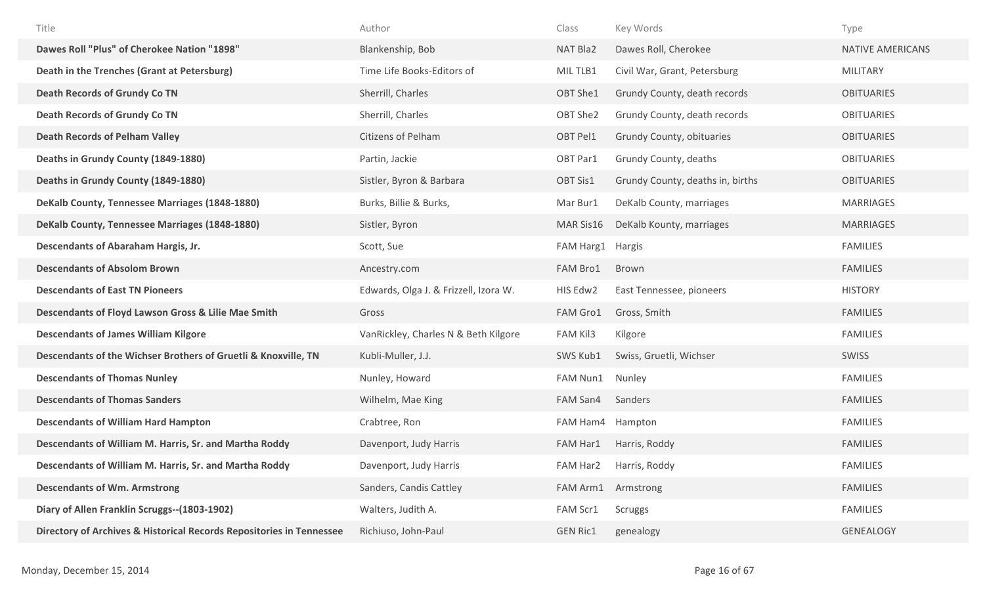| Title                                                                | Author                                | Class            | Key Words                        | Type                    |
|----------------------------------------------------------------------|---------------------------------------|------------------|----------------------------------|-------------------------|
| Dawes Roll "Plus" of Cherokee Nation "1898"                          | Blankenship, Bob                      | NAT Bla2         | Dawes Roll, Cherokee             | <b>NATIVE AMERICANS</b> |
| Death in the Trenches (Grant at Petersburg)                          | Time Life Books-Editors of            | MIL TLB1         | Civil War, Grant, Petersburg     | <b>MILITARY</b>         |
| <b>Death Records of Grundy Co TN</b>                                 | Sherrill, Charles                     | OBT She1         | Grundy County, death records     | <b>OBITUARIES</b>       |
| <b>Death Records of Grundy Co TN</b>                                 | Sherrill, Charles                     | OBT She2         | Grundy County, death records     | <b>OBITUARIES</b>       |
| <b>Death Records of Pelham Valley</b>                                | Citizens of Pelham                    | OBT Pel1         | Grundy County, obituaries        | <b>OBITUARIES</b>       |
| Deaths in Grundy County (1849-1880)                                  | Partin, Jackie                        | OBT Par1         | Grundy County, deaths            | <b>OBITUARIES</b>       |
| Deaths in Grundy County (1849-1880)                                  | Sistler, Byron & Barbara              | OBT Sis1         | Grundy County, deaths in, births | <b>OBITUARIES</b>       |
| DeKalb County, Tennessee Marriages (1848-1880)                       | Burks, Billie & Burks,                | Mar Bur1         | DeKalb County, marriages         | MARRIAGES               |
| DeKalb County, Tennessee Marriages (1848-1880)                       | Sistler, Byron                        | MAR Sis16        | DeKalb Kounty, marriages         | <b>MARRIAGES</b>        |
| Descendants of Abaraham Hargis, Jr.                                  | Scott, Sue                            | FAM Harg1        | Hargis                           | <b>FAMILIES</b>         |
| <b>Descendants of Absolom Brown</b>                                  | Ancestry.com                          | FAM Bro1         | Brown                            | <b>FAMILIES</b>         |
| <b>Descendants of East TN Pioneers</b>                               | Edwards, Olga J. & Frizzell, Izora W. | HIS Edw2         | East Tennessee, pioneers         | <b>HISTORY</b>          |
| Descendants of Floyd Lawson Gross & Lilie Mae Smith                  | Gross                                 | FAM Gro1         | Gross, Smith                     | <b>FAMILIES</b>         |
| <b>Descendants of James William Kilgore</b>                          | VanRickley, Charles N & Beth Kilgore  | FAM Kil3         | Kilgore                          | <b>FAMILIES</b>         |
| Descendants of the Wichser Brothers of Gruetli & Knoxville, TN       | Kubli-Muller, J.J.                    | SWS Kub1         | Swiss, Gruetli, Wichser          | SWISS                   |
| <b>Descendants of Thomas Nunley</b>                                  | Nunley, Howard                        | FAM Nun1         | Nunley                           | <b>FAMILIES</b>         |
| <b>Descendants of Thomas Sanders</b>                                 | Wilhelm, Mae King                     | FAM San4         | Sanders                          | <b>FAMILIES</b>         |
| <b>Descendants of William Hard Hampton</b>                           | Crabtree, Ron                         | FAM Ham4 Hampton |                                  | <b>FAMILIES</b>         |
| Descendants of William M. Harris, Sr. and Martha Roddy               | Davenport, Judy Harris                | FAM Har1         | Harris, Roddy                    | <b>FAMILIES</b>         |
| Descendants of William M. Harris, Sr. and Martha Roddy               | Davenport, Judy Harris                | FAM Har2         | Harris, Roddy                    | <b>FAMILIES</b>         |
| <b>Descendants of Wm. Armstrong</b>                                  | Sanders, Candis Cattley               | FAM Arm1         | Armstrong                        | <b>FAMILIES</b>         |
| Diary of Allen Franklin Scruggs--(1803-1902)                         | Walters, Judith A.                    | FAM Scr1         | Scruggs                          | <b>FAMILIES</b>         |
| Directory of Archives & Historical Records Repositories in Tennessee | Richiuso, John-Paul                   | <b>GEN Ric1</b>  | genealogy                        | <b>GENEALOGY</b>        |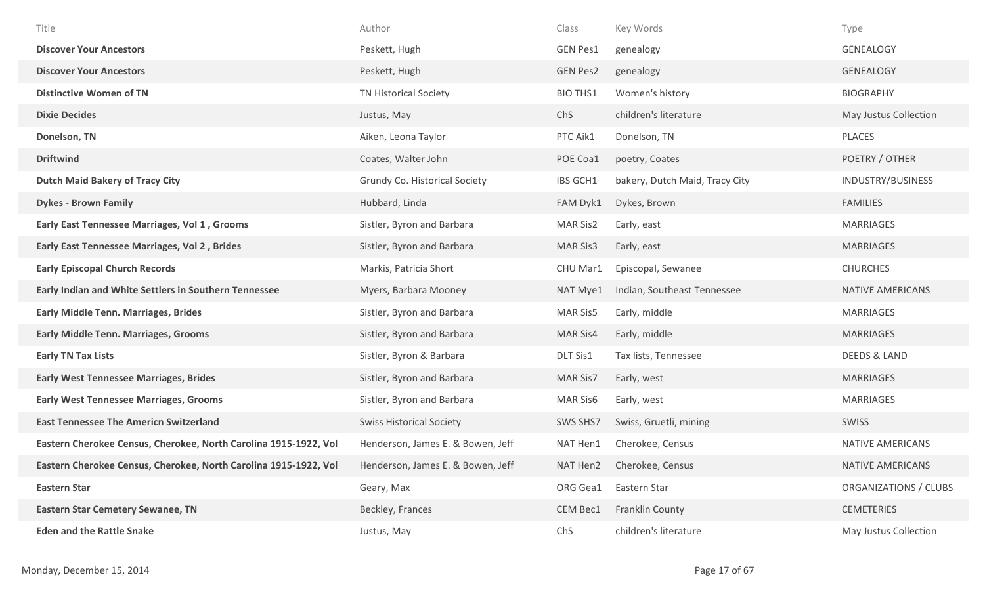| Title                                                            | Author                            | Class           | Key Words                      | Type                    |
|------------------------------------------------------------------|-----------------------------------|-----------------|--------------------------------|-------------------------|
| <b>Discover Your Ancestors</b>                                   | Peskett, Hugh                     | <b>GEN Pes1</b> | genealogy                      | GENEALOGY               |
| <b>Discover Your Ancestors</b>                                   | Peskett, Hugh                     | <b>GEN Pes2</b> | genealogy                      | <b>GENEALOGY</b>        |
| <b>Distinctive Women of TN</b>                                   | <b>TN Historical Society</b>      | <b>BIO THS1</b> | Women's history                | <b>BIOGRAPHY</b>        |
| <b>Dixie Decides</b>                                             | Justus, May                       | ChS             | children's literature          | May Justus Collection   |
| Donelson, TN                                                     | Aiken, Leona Taylor               | PTC Aik1        | Donelson, TN                   | PLACES                  |
| <b>Driftwind</b>                                                 | Coates, Walter John               | POE Coa1        | poetry, Coates                 | POETRY / OTHER          |
| <b>Dutch Maid Bakery of Tracy City</b>                           | Grundy Co. Historical Society     | IBS GCH1        | bakery, Dutch Maid, Tracy City | INDUSTRY/BUSINESS       |
| <b>Dykes - Brown Family</b>                                      | Hubbard, Linda                    | FAM Dyk1        | Dykes, Brown                   | <b>FAMILIES</b>         |
| Early East Tennessee Marriages, Vol 1, Grooms                    | Sistler, Byron and Barbara        | MAR Sis2        | Early, east                    | <b>MARRIAGES</b>        |
| Early East Tennessee Marriages, Vol 2, Brides                    | Sistler, Byron and Barbara        | <b>MAR Sis3</b> | Early, east                    | <b>MARRIAGES</b>        |
| <b>Early Episcopal Church Records</b>                            | Markis, Patricia Short            | CHU Mar1        | Episcopal, Sewanee             | <b>CHURCHES</b>         |
| <b>Early Indian and White Settlers in Southern Tennessee</b>     | Myers, Barbara Mooney             | NAT Mye1        | Indian, Southeast Tennessee    | NATIVE AMERICANS        |
| <b>Early Middle Tenn. Marriages, Brides</b>                      | Sistler, Byron and Barbara        | MAR Sis5        | Early, middle                  | MARRIAGES               |
| <b>Early Middle Tenn. Marriages, Grooms</b>                      | Sistler, Byron and Barbara        | <b>MAR Sis4</b> | Early, middle                  | <b>MARRIAGES</b>        |
| <b>Early TN Tax Lists</b>                                        | Sistler, Byron & Barbara          | DLT Sis1        | Tax lists, Tennessee           | <b>DEEDS &amp; LAND</b> |
| <b>Early West Tennessee Marriages, Brides</b>                    | Sistler, Byron and Barbara        | MAR Sis7        | Early, west                    | MARRIAGES               |
| <b>Early West Tennessee Marriages, Grooms</b>                    | Sistler, Byron and Barbara        | <b>MAR Sis6</b> | Early, west                    | MARRIAGES               |
| <b>East Tennessee The Americn Switzerland</b>                    | <b>Swiss Historical Society</b>   | SWS SHS7        | Swiss, Gruetli, mining         | SWISS                   |
| Eastern Cherokee Census, Cherokee, North Carolina 1915-1922, Vol | Henderson, James E. & Bowen, Jeff | NAT Hen1        | Cherokee, Census               | NATIVE AMERICANS        |
| Eastern Cherokee Census, Cherokee, North Carolina 1915-1922, Vol | Henderson, James E. & Bowen, Jeff | NAT Hen2        | Cherokee, Census               | NATIVE AMERICANS        |
| <b>Eastern Star</b>                                              | Geary, Max                        | ORG Gea1        | Eastern Star                   | ORGANIZATIONS / CLUBS   |
| <b>Eastern Star Cemetery Sewanee, TN</b>                         | Beckley, Frances                  | CEM Bec1        | Franklin County                | <b>CEMETERIES</b>       |
| <b>Eden and the Rattle Snake</b>                                 | Justus, May                       | ChS             | children's literature          | May Justus Collection   |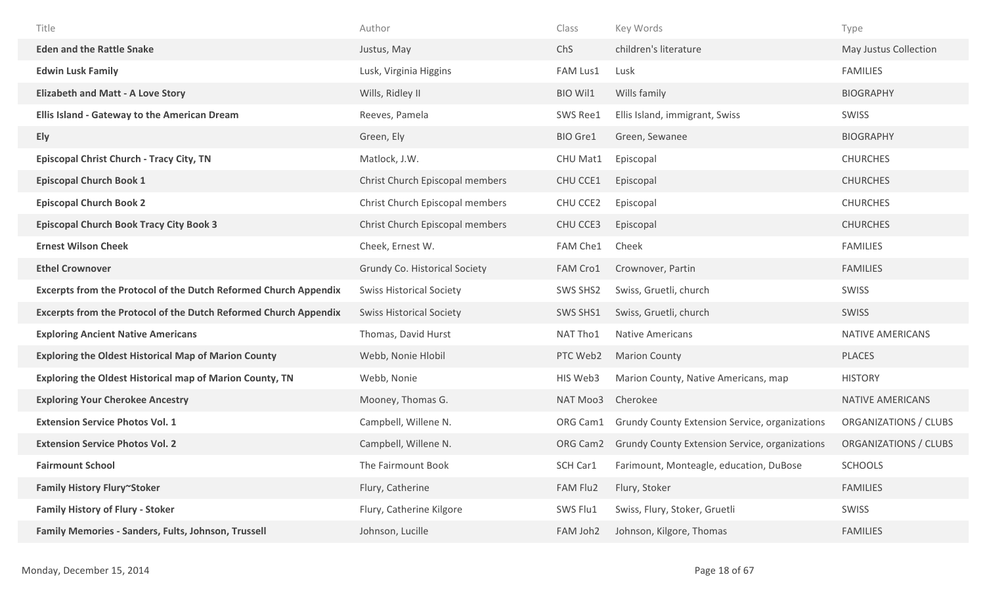| Title                                                                   | Author                          | Class                | Key Words                                             | Type                         |
|-------------------------------------------------------------------------|---------------------------------|----------------------|-------------------------------------------------------|------------------------------|
| <b>Eden and the Rattle Snake</b>                                        | Justus, May                     | ChS                  | children's literature                                 | May Justus Collection        |
| <b>Edwin Lusk Family</b>                                                | Lusk, Virginia Higgins          | FAM Lus1             | Lusk                                                  | <b>FAMILIES</b>              |
| <b>Elizabeth and Matt - A Love Story</b>                                | Wills, Ridley II                | <b>BIO Wil1</b>      | Wills family                                          | <b>BIOGRAPHY</b>             |
| Ellis Island - Gateway to the American Dream                            | Reeves, Pamela                  | SWS Ree1             | Ellis Island, immigrant, Swiss                        | SWISS                        |
| Ely                                                                     | Green, Ely                      | BIO Gre1             | Green, Sewanee                                        | <b>BIOGRAPHY</b>             |
| <b>Episcopal Christ Church - Tracy City, TN</b>                         | Matlock, J.W.                   | CHU Mat1             | Episcopal                                             | <b>CHURCHES</b>              |
| <b>Episcopal Church Book 1</b>                                          | Christ Church Episcopal members | CHU CCE1             | Episcopal                                             | <b>CHURCHES</b>              |
| <b>Episcopal Church Book 2</b>                                          | Christ Church Episcopal members | CHU CCE2             | Episcopal                                             | <b>CHURCHES</b>              |
| <b>Episcopal Church Book Tracy City Book 3</b>                          | Christ Church Episcopal members | CHU CCE3             | Episcopal                                             | <b>CHURCHES</b>              |
| <b>Ernest Wilson Cheek</b>                                              | Cheek, Ernest W.                | FAM Che1             | Cheek                                                 | <b>FAMILIES</b>              |
| <b>Ethel Crownover</b>                                                  | Grundy Co. Historical Society   | FAM Cro1             | Crownover, Partin                                     | <b>FAMILIES</b>              |
| <b>Excerpts from the Protocol of the Dutch Reformed Church Appendix</b> | <b>Swiss Historical Society</b> | SWS SHS2             | Swiss, Gruetli, church                                | <b>SWISS</b>                 |
| <b>Excerpts from the Protocol of the Dutch Reformed Church Appendix</b> | <b>Swiss Historical Society</b> | SWS SHS1             | Swiss, Gruetli, church                                | <b>SWISS</b>                 |
| <b>Exploring Ancient Native Americans</b>                               | Thomas, David Hurst             | NAT Tho1             | <b>Native Americans</b>                               | NATIVE AMERICANS             |
| <b>Exploring the Oldest Historical Map of Marion County</b>             | Webb, Nonie Hlobil              | PTC Web2             | <b>Marion County</b>                                  | <b>PLACES</b>                |
| <b>Exploring the Oldest Historical map of Marion County, TN</b>         | Webb, Nonie                     | HIS Web3             | Marion County, Native Americans, map                  | <b>HISTORY</b>               |
| <b>Exploring Your Cherokee Ancestry</b>                                 | Mooney, Thomas G.               | NAT Moo3             | Cherokee                                              | NATIVE AMERICANS             |
| <b>Extension Service Photos Vol. 1</b>                                  | Campbell, Willene N.            | ORG Cam1             | <b>Grundy County Extension Service, organizations</b> | ORGANIZATIONS / CLUBS        |
| <b>Extension Service Photos Vol. 2</b>                                  | Campbell, Willene N.            | ORG Cam <sub>2</sub> | <b>Grundy County Extension Service, organizations</b> | <b>ORGANIZATIONS / CLUBS</b> |
| <b>Fairmount School</b>                                                 | The Fairmount Book              | SCH Car1             | Farimount, Monteagle, education, DuBose               | <b>SCHOOLS</b>               |
| Family History Flury~Stoker                                             | Flury, Catherine                | FAM Flu2             | Flury, Stoker                                         | <b>FAMILIES</b>              |
| <b>Family History of Flury - Stoker</b>                                 | Flury, Catherine Kilgore        | SWS Flu1             | Swiss, Flury, Stoker, Gruetli                         | SWISS                        |
| Family Memories - Sanders, Fults, Johnson, Trussell                     | Johnson, Lucille                | FAM Joh2             | Johnson, Kilgore, Thomas                              | <b>FAMILIES</b>              |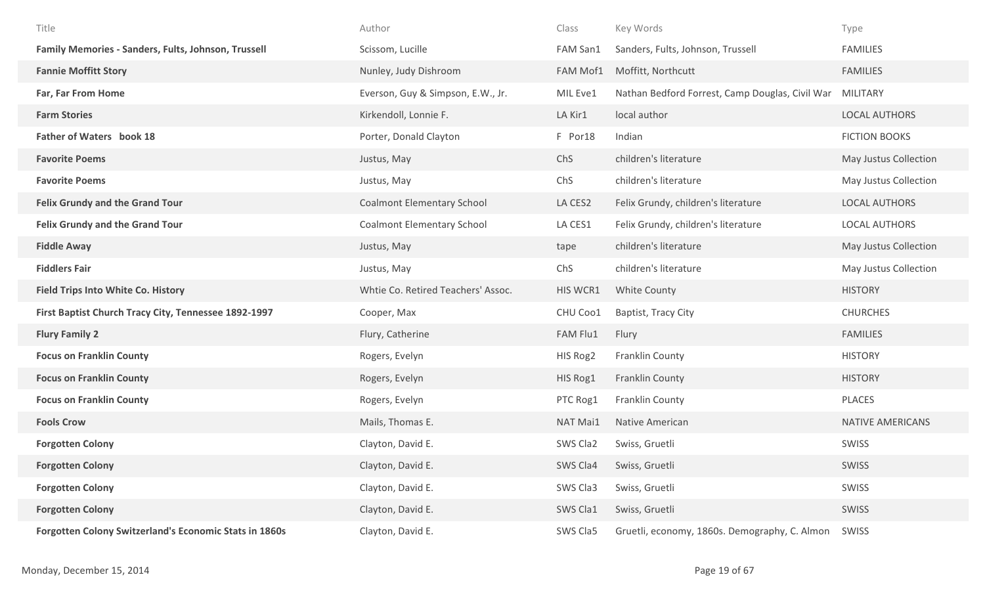| Title                                                         | Author                             | Class    | Key Words                                       | Type                  |
|---------------------------------------------------------------|------------------------------------|----------|-------------------------------------------------|-----------------------|
| Family Memories - Sanders, Fults, Johnson, Trussell           | Scissom, Lucille                   | FAM San1 | Sanders, Fults, Johnson, Trussell               | <b>FAMILIES</b>       |
| <b>Fannie Moffitt Story</b>                                   | Nunley, Judy Dishroom              | FAM Mof1 | Moffitt, Northcutt                              | <b>FAMILIES</b>       |
| Far, Far From Home                                            | Everson, Guy & Simpson, E.W., Jr.  | MIL Eve1 | Nathan Bedford Forrest, Camp Douglas, Civil War | MILITARY              |
| <b>Farm Stories</b>                                           | Kirkendoll, Lonnie F.              | LA Kir1  | local author                                    | <b>LOCAL AUTHORS</b>  |
| Father of Waters book 18                                      | Porter, Donald Clayton             | F Por18  | Indian                                          | <b>FICTION BOOKS</b>  |
| <b>Favorite Poems</b>                                         | Justus, May                        | ChS      | children's literature                           | May Justus Collection |
| <b>Favorite Poems</b>                                         | Justus, May                        | ChS      | children's literature                           | May Justus Collection |
| <b>Felix Grundy and the Grand Tour</b>                        | <b>Coalmont Elementary School</b>  | LA CES2  | Felix Grundy, children's literature             | <b>LOCAL AUTHORS</b>  |
| <b>Felix Grundy and the Grand Tour</b>                        | <b>Coalmont Elementary School</b>  | LA CES1  | Felix Grundy, children's literature             | <b>LOCAL AUTHORS</b>  |
| <b>Fiddle Away</b>                                            | Justus, May                        | tape     | children's literature                           | May Justus Collection |
| <b>Fiddlers Fair</b>                                          | Justus, May                        | ChS      | children's literature                           | May Justus Collection |
| <b>Field Trips Into White Co. History</b>                     | Whtie Co. Retired Teachers' Assoc. | HIS WCR1 | White County                                    | <b>HISTORY</b>        |
| First Baptist Church Tracy City, Tennessee 1892-1997          | Cooper, Max                        | CHU Coo1 | Baptist, Tracy City                             | <b>CHURCHES</b>       |
| <b>Flury Family 2</b>                                         | Flury, Catherine                   | FAM Flu1 | Flury                                           | <b>FAMILIES</b>       |
| <b>Focus on Franklin County</b>                               | Rogers, Evelyn                     | HIS Rog2 | Franklin County                                 | <b>HISTORY</b>        |
| <b>Focus on Franklin County</b>                               | Rogers, Evelyn                     | HIS Rog1 | Franklin County                                 | <b>HISTORY</b>        |
| <b>Focus on Franklin County</b>                               | Rogers, Evelyn                     | PTC Rog1 | Franklin County                                 | PLACES                |
| <b>Fools Crow</b>                                             | Mails, Thomas E.                   | NAT Mai1 | Native American                                 | NATIVE AMERICANS      |
| <b>Forgotten Colony</b>                                       | Clayton, David E.                  | SWS Cla2 | Swiss, Gruetli                                  | SWISS                 |
| <b>Forgotten Colony</b>                                       | Clayton, David E.                  | SWS Cla4 | Swiss, Gruetli                                  | SWISS                 |
| <b>Forgotten Colony</b>                                       | Clayton, David E.                  | SWS Cla3 | Swiss, Gruetli                                  | SWISS                 |
| <b>Forgotten Colony</b>                                       | Clayton, David E.                  | SWS Cla1 | Swiss, Gruetli                                  | SWISS                 |
| <b>Forgotten Colony Switzerland's Economic Stats in 1860s</b> | Clayton, David E.                  | SWS Cla5 | Gruetli, economy, 1860s. Demography, C. Almon   | SWISS                 |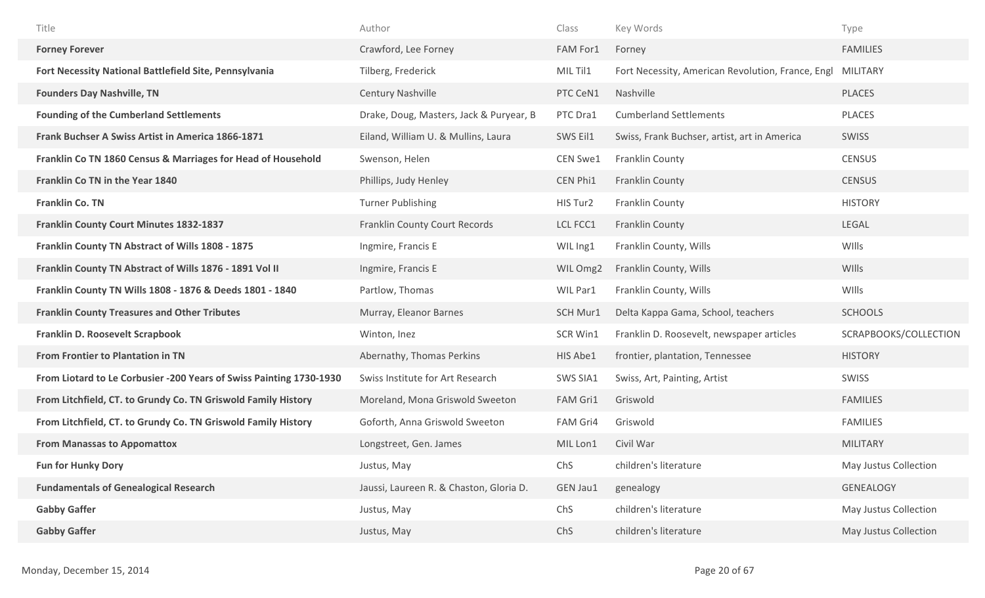| Title                                                               | Author                                  | Class           | Key Words                                         | Type                  |
|---------------------------------------------------------------------|-----------------------------------------|-----------------|---------------------------------------------------|-----------------------|
| <b>Forney Forever</b>                                               | Crawford, Lee Forney                    | FAM For1        | Forney                                            | <b>FAMILIES</b>       |
| Fort Necessity National Battlefield Site, Pennsylvania              | Tilberg, Frederick                      | MIL Til1        | Fort Necessity, American Revolution, France, Engl | MILITARY              |
| <b>Founders Day Nashville, TN</b>                                   | <b>Century Nashville</b>                | PTC CeN1        | Nashville                                         | <b>PLACES</b>         |
| <b>Founding of the Cumberland Settlements</b>                       | Drake, Doug, Masters, Jack & Puryear, B | PTC Dra1        | <b>Cumberland Settlements</b>                     | <b>PLACES</b>         |
| Frank Buchser A Swiss Artist in America 1866-1871                   | Eiland, William U. & Mullins, Laura     | SWS Eil1        | Swiss, Frank Buchser, artist, art in America      | SWISS                 |
| Franklin Co TN 1860 Census & Marriages for Head of Household        | Swenson, Helen                          | <b>CEN Swe1</b> | Franklin County                                   | <b>CENSUS</b>         |
| Franklin Co TN in the Year 1840                                     | Phillips, Judy Henley                   | CEN Phi1        | Franklin County                                   | <b>CENSUS</b>         |
| Franklin Co. TN                                                     | <b>Turner Publishing</b>                | HIS Tur2        | Franklin County                                   | <b>HISTORY</b>        |
| <b>Franklin County Court Minutes 1832-1837</b>                      | <b>Franklin County Court Records</b>    | LCL FCC1        | <b>Franklin County</b>                            | <b>LEGAL</b>          |
| Franklin County TN Abstract of Wills 1808 - 1875                    | Ingmire, Francis E                      | WIL Ing1        | Franklin County, Wills                            | WIlls                 |
| Franklin County TN Abstract of Wills 1876 - 1891 Vol II             | Ingmire, Francis E                      | WIL Omg2        | Franklin County, Wills                            | WIlls                 |
| Franklin County TN Wills 1808 - 1876 & Deeds 1801 - 1840            | Partlow, Thomas                         | WIL Par1        | Franklin County, Wills                            | WIlls                 |
| <b>Franklin County Treasures and Other Tributes</b>                 | Murray, Eleanor Barnes                  | SCH Mur1        | Delta Kappa Gama, School, teachers                | <b>SCHOOLS</b>        |
| Franklin D. Roosevelt Scrapbook                                     | Winton, Inez                            | SCR Win1        | Franklin D. Roosevelt, newspaper articles         | SCRAPBOOKS/COLLECTION |
| <b>From Frontier to Plantation in TN</b>                            | Abernathy, Thomas Perkins               | HIS Abe1        | frontier, plantation, Tennessee                   | <b>HISTORY</b>        |
| From Liotard to Le Corbusier -200 Years of Swiss Painting 1730-1930 | Swiss Institute for Art Research        | SWS SIA1        | Swiss, Art, Painting, Artist                      | SWISS                 |
| From Litchfield, CT. to Grundy Co. TN Griswold Family History       | Moreland, Mona Griswold Sweeton         | FAM Gri1        | Griswold                                          | <b>FAMILIES</b>       |
| From Litchfield, CT. to Grundy Co. TN Griswold Family History       | Goforth, Anna Griswold Sweeton          | FAM Gri4        | Griswold                                          | <b>FAMILIES</b>       |
| <b>From Manassas to Appomattox</b>                                  | Longstreet, Gen. James                  | MIL Lon1        | Civil War                                         | <b>MILITARY</b>       |
| <b>Fun for Hunky Dory</b>                                           | Justus, May                             | ChS             | children's literature                             | May Justus Collection |
| <b>Fundamentals of Genealogical Research</b>                        | Jaussi, Laureen R. & Chaston, Gloria D. | GEN Jau1        | genealogy                                         | GENEALOGY             |
| <b>Gabby Gaffer</b>                                                 | Justus, May                             | ChS             | children's literature                             | May Justus Collection |
| <b>Gabby Gaffer</b>                                                 | Justus, May                             | ChS             | children's literature                             | May Justus Collection |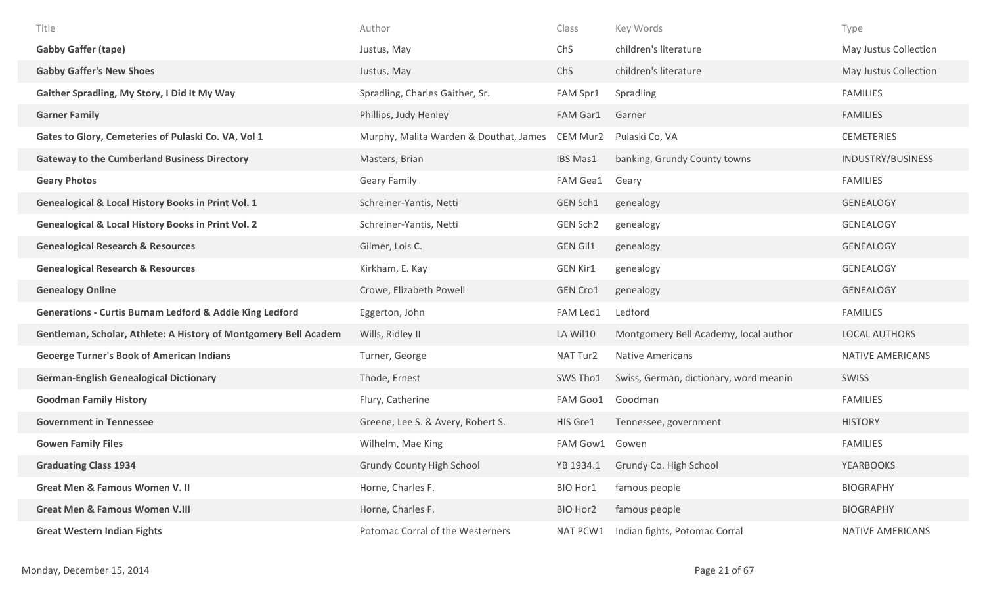| Title                                                               | Author                                 | Class           | Key Words                              | Type                  |
|---------------------------------------------------------------------|----------------------------------------|-----------------|----------------------------------------|-----------------------|
| <b>Gabby Gaffer (tape)</b>                                          | Justus, May                            | ChS             | children's literature                  | May Justus Collection |
| <b>Gabby Gaffer's New Shoes</b>                                     | Justus, May                            | ChS             | children's literature                  | May Justus Collection |
| Gaither Spradling, My Story, I Did It My Way                        | Spradling, Charles Gaither, Sr.        | FAM Spr1        | Spradling                              | <b>FAMILIES</b>       |
| <b>Garner Family</b>                                                | Phillips, Judy Henley                  | FAM Gar1        | Garner                                 | <b>FAMILIES</b>       |
| Gates to Glory, Cemeteries of Pulaski Co. VA, Vol 1                 | Murphy, Malita Warden & Douthat, James | CEM Mur2        | Pulaski Co, VA                         | <b>CEMETERIES</b>     |
| <b>Gateway to the Cumberland Business Directory</b>                 | Masters, Brian                         | IBS Mas1        | banking, Grundy County towns           | INDUSTRY/BUSINESS     |
| <b>Geary Photos</b>                                                 | <b>Geary Family</b>                    | FAM Gea1        | Geary                                  | <b>FAMILIES</b>       |
| <b>Genealogical &amp; Local History Books in Print Vol. 1</b>       | Schreiner-Yantis, Netti                | GEN Sch1        | genealogy                              | <b>GENEALOGY</b>      |
| <b>Genealogical &amp; Local History Books in Print Vol. 2</b>       | Schreiner-Yantis, Netti                | GEN Sch2        | genealogy                              | <b>GENEALOGY</b>      |
| <b>Genealogical Research &amp; Resources</b>                        | Gilmer, Lois C.                        | <b>GEN Gil1</b> | genealogy                              | <b>GENEALOGY</b>      |
| <b>Genealogical Research &amp; Resources</b>                        | Kirkham, E. Kay                        | <b>GEN Kir1</b> | genealogy                              | GENEALOGY             |
| <b>Genealogy Online</b>                                             | Crowe, Elizabeth Powell                | <b>GEN Cro1</b> | genealogy                              | <b>GENEALOGY</b>      |
| <b>Generations - Curtis Burnam Ledford &amp; Addie King Ledford</b> | Eggerton, John                         | FAM Led1        | Ledford                                | <b>FAMILIES</b>       |
| Gentleman, Scholar, Athlete: A History of Montgomery Bell Academ    | Wills, Ridley II                       | LA Wil10        | Montgomery Bell Academy, local author  | <b>LOCAL AUTHORS</b>  |
| <b>Geoerge Turner's Book of American Indians</b>                    | Turner, George                         | NAT Tur2        | <b>Native Americans</b>                | NATIVE AMERICANS      |
| <b>German-English Genealogical Dictionary</b>                       | Thode, Ernest                          | SWS Tho1        | Swiss, German, dictionary, word meanin | <b>SWISS</b>          |
| <b>Goodman Family History</b>                                       | Flury, Catherine                       | FAM Goo1        | Goodman                                | <b>FAMILIES</b>       |
| <b>Government in Tennessee</b>                                      | Greene, Lee S. & Avery, Robert S.      | HIS Gre1        | Tennessee, government                  | <b>HISTORY</b>        |
| <b>Gowen Family Files</b>                                           | Wilhelm, Mae King                      | FAM Gow1        | Gowen                                  | <b>FAMILIES</b>       |
| <b>Graduating Class 1934</b>                                        | <b>Grundy County High School</b>       | YB 1934.1       | Grundy Co. High School                 | <b>YEARBOOKS</b>      |
| <b>Great Men &amp; Famous Women V. II</b>                           | Horne, Charles F.                      | BIO Hor1        | famous people                          | <b>BIOGRAPHY</b>      |
| <b>Great Men &amp; Famous Women V.III</b>                           | Horne, Charles F.                      | BIO Hor2        | famous people                          | <b>BIOGRAPHY</b>      |
| <b>Great Western Indian Fights</b>                                  | Potomac Corral of the Westerners       | NAT PCW1        | Indian fights, Potomac Corral          | NATIVE AMERICANS      |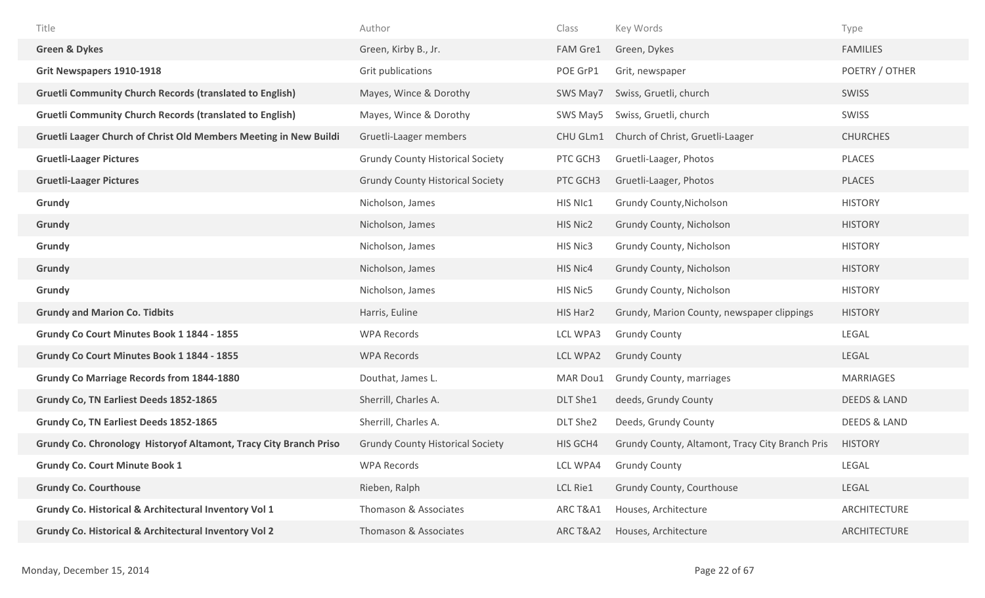| Title                                                                    | Author                                  | Class    | Key Words                                       | Type                    |
|--------------------------------------------------------------------------|-----------------------------------------|----------|-------------------------------------------------|-------------------------|
| <b>Green &amp; Dykes</b>                                                 | Green, Kirby B., Jr.                    | FAM Gre1 | Green, Dykes                                    | <b>FAMILIES</b>         |
| <b>Grit Newspapers 1910-1918</b>                                         | Grit publications                       | POE GrP1 | Grit, newspaper                                 | POETRY / OTHER          |
| <b>Gruetli Community Church Records (translated to English)</b>          | Mayes, Wince & Dorothy                  | SWS May7 | Swiss, Gruetli, church                          | <b>SWISS</b>            |
| <b>Gruetli Community Church Records (translated to English)</b>          | Mayes, Wince & Dorothy                  | SWS May5 | Swiss, Gruetli, church                          | SWISS                   |
| Gruetli Laager Church of Christ Old Members Meeting in New Buildi        | Gruetli-Laager members                  | CHU GLm1 | Church of Christ, Gruetli-Laager                | <b>CHURCHES</b>         |
| <b>Gruetli-Laager Pictures</b>                                           | <b>Grundy County Historical Society</b> | PTC GCH3 | Gruetli-Laager, Photos                          | PLACES                  |
| <b>Gruetli-Laager Pictures</b>                                           | <b>Grundy County Historical Society</b> | PTC GCH3 | Gruetli-Laager, Photos                          | PLACES                  |
| Grundy                                                                   | Nicholson, James                        | HIS NIc1 | Grundy County, Nicholson                        | <b>HISTORY</b>          |
| Grundy                                                                   | Nicholson, James                        | HIS Nic2 | Grundy County, Nicholson                        | <b>HISTORY</b>          |
| Grundy                                                                   | Nicholson, James                        | HIS Nic3 | Grundy County, Nicholson                        | <b>HISTORY</b>          |
| Grundy                                                                   | Nicholson, James                        | HIS Nic4 | Grundy County, Nicholson                        | <b>HISTORY</b>          |
| Grundy                                                                   | Nicholson, James                        | HIS Nic5 | Grundy County, Nicholson                        | <b>HISTORY</b>          |
| <b>Grundy and Marion Co. Tidbits</b>                                     | Harris, Euline                          | HIS Har2 | Grundy, Marion County, newspaper clippings      | <b>HISTORY</b>          |
| Grundy Co Court Minutes Book 1 1844 - 1855                               | <b>WPA Records</b>                      | LCL WPA3 | <b>Grundy County</b>                            | LEGAL                   |
| Grundy Co Court Minutes Book 1 1844 - 1855                               | <b>WPA Records</b>                      | LCL WPA2 | <b>Grundy County</b>                            | LEGAL                   |
| <b>Grundy Co Marriage Records from 1844-1880</b>                         | Douthat, James L.                       | MAR Dou1 | Grundy County, marriages                        | <b>MARRIAGES</b>        |
| Grundy Co, TN Earliest Deeds 1852-1865                                   | Sherrill, Charles A.                    | DLT She1 | deeds, Grundy County                            | <b>DEEDS &amp; LAND</b> |
| Grundy Co, TN Earliest Deeds 1852-1865                                   | Sherrill, Charles A.                    | DLT She2 | Deeds, Grundy County                            | DEEDS & LAND            |
| <b>Grundy Co. Chronology Historyof Altamont, Tracy City Branch Priso</b> | <b>Grundy County Historical Society</b> | HIS GCH4 | Grundy County, Altamont, Tracy City Branch Pris | <b>HISTORY</b>          |
| <b>Grundy Co. Court Minute Book 1</b>                                    | <b>WPA Records</b>                      | LCL WPA4 | <b>Grundy County</b>                            | LEGAL                   |
| <b>Grundy Co. Courthouse</b>                                             | Rieben, Ralph                           | LCL Rie1 | Grundy County, Courthouse                       | LEGAL                   |
| Grundy Co. Historical & Architectural Inventory Vol 1                    | Thomason & Associates                   | ARC T&A1 | Houses, Architecture                            | ARCHITECTURE            |
| Grundy Co. Historical & Architectural Inventory Vol 2                    | Thomason & Associates                   | ARC T&A2 | Houses, Architecture                            | ARCHITECTURE            |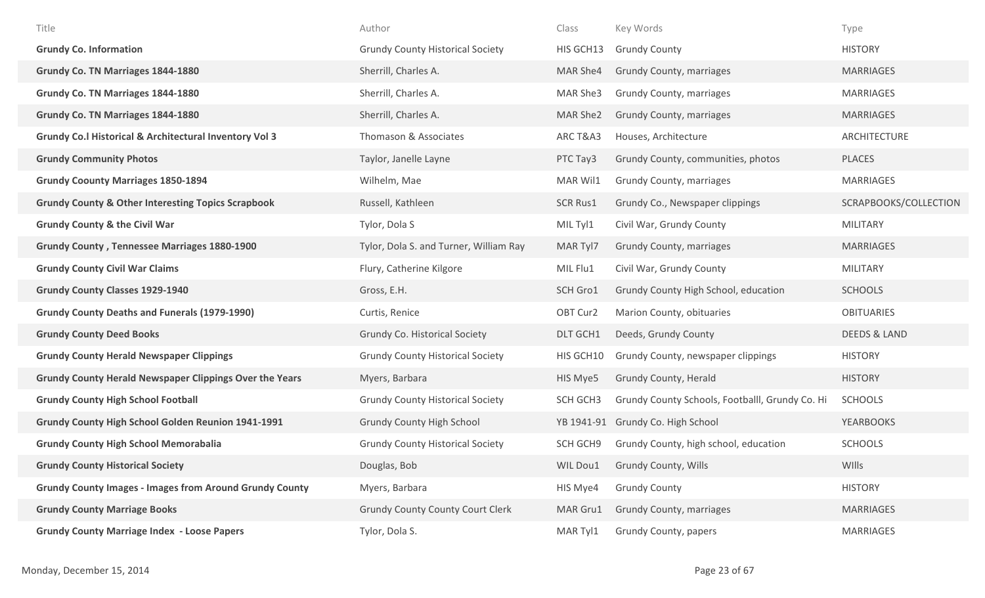| Title                                                             | Author                                  | Class           | Key Words                                       | Type                    |
|-------------------------------------------------------------------|-----------------------------------------|-----------------|-------------------------------------------------|-------------------------|
| <b>Grundy Co. Information</b>                                     | <b>Grundy County Historical Society</b> | HIS GCH13       | <b>Grundy County</b>                            | <b>HISTORY</b>          |
| Grundy Co. TN Marriages 1844-1880                                 | Sherrill, Charles A.                    | MAR She4        | Grundy County, marriages                        | <b>MARRIAGES</b>        |
| Grundy Co. TN Marriages 1844-1880                                 | Sherrill, Charles A.                    | MAR She3        | Grundy County, marriages                        | <b>MARRIAGES</b>        |
| Grundy Co. TN Marriages 1844-1880                                 | Sherrill, Charles A.                    | MAR She2        | Grundy County, marriages                        | <b>MARRIAGES</b>        |
| <b>Grundy Co.I Historical &amp; Architectural Inventory Vol 3</b> | Thomason & Associates                   | ARC T&A3        | Houses, Architecture                            | ARCHITECTURE            |
| <b>Grundy Community Photos</b>                                    | Taylor, Janelle Layne                   | PTC Tay3        | Grundy County, communities, photos              | <b>PLACES</b>           |
| <b>Grundy Coounty Marriages 1850-1894</b>                         | Wilhelm, Mae                            | MAR Wil1        | Grundy County, marriages                        | MARRIAGES               |
| <b>Grundy County &amp; Other Interesting Topics Scrapbook</b>     | Russell, Kathleen                       | <b>SCR Rus1</b> | Grundy Co., Newspaper clippings                 | SCRAPBOOKS/COLLECTION   |
| <b>Grundy County &amp; the Civil War</b>                          | Tylor, Dola S                           | MIL Tyl1        | Civil War, Grundy County                        | <b>MILITARY</b>         |
| <b>Grundy County, Tennessee Marriages 1880-1900</b>               | Tylor, Dola S. and Turner, William Ray  | MAR Tyl7        | Grundy County, marriages                        | <b>MARRIAGES</b>        |
| <b>Grundy County Civil War Claims</b>                             | Flury, Catherine Kilgore                | MIL Flu1        | Civil War, Grundy County                        | <b>MILITARY</b>         |
| <b>Grundy County Classes 1929-1940</b>                            | Gross, E.H.                             | SCH Gro1        | Grundy County High School, education            | <b>SCHOOLS</b>          |
| <b>Grundy County Deaths and Funerals (1979-1990)</b>              | Curtis, Renice                          | OBT Cur2        | Marion County, obituaries                       | <b>OBITUARIES</b>       |
| <b>Grundy County Deed Books</b>                                   | <b>Grundy Co. Historical Society</b>    | DLT GCH1        | Deeds, Grundy County                            | <b>DEEDS &amp; LAND</b> |
| <b>Grundy County Herald Newspaper Clippings</b>                   | <b>Grundy County Historical Society</b> | HIS GCH10       | Grundy County, newspaper clippings              | <b>HISTORY</b>          |
| <b>Grundy County Herald Newspaper Clippings Over the Years</b>    | Myers, Barbara                          | HIS Mye5        | Grundy County, Herald                           | <b>HISTORY</b>          |
| <b>Grundy County High School Football</b>                         | <b>Grundy County Historical Society</b> | SCH GCH3        | Grundy County Schools, Footballl, Grundy Co. Hi | <b>SCHOOLS</b>          |
| <b>Grundy County High School Golden Reunion 1941-1991</b>         | <b>Grundy County High School</b>        | YB 1941-91      | Grundy Co. High School                          | <b>YEARBOOKS</b>        |
| <b>Grundy County High School Memorabalia</b>                      | <b>Grundy County Historical Society</b> | SCH GCH9        | Grundy County, high school, education           | <b>SCHOOLS</b>          |
| <b>Grundy County Historical Society</b>                           | Douglas, Bob                            | WIL Dou1        | Grundy County, Wills                            | WIlls                   |
| <b>Grundy County Images - Images from Around Grundy County</b>    | Myers, Barbara                          | HIS Mye4        | <b>Grundy County</b>                            | <b>HISTORY</b>          |
| <b>Grundy County Marriage Books</b>                               | <b>Grundy County County Court Clerk</b> | MAR Gru1        | Grundy County, marriages                        | <b>MARRIAGES</b>        |
| <b>Grundy County Marriage Index - Loose Papers</b>                | Tylor, Dola S.                          | MAR Tyl1        | Grundy County, papers                           | MARRIAGES               |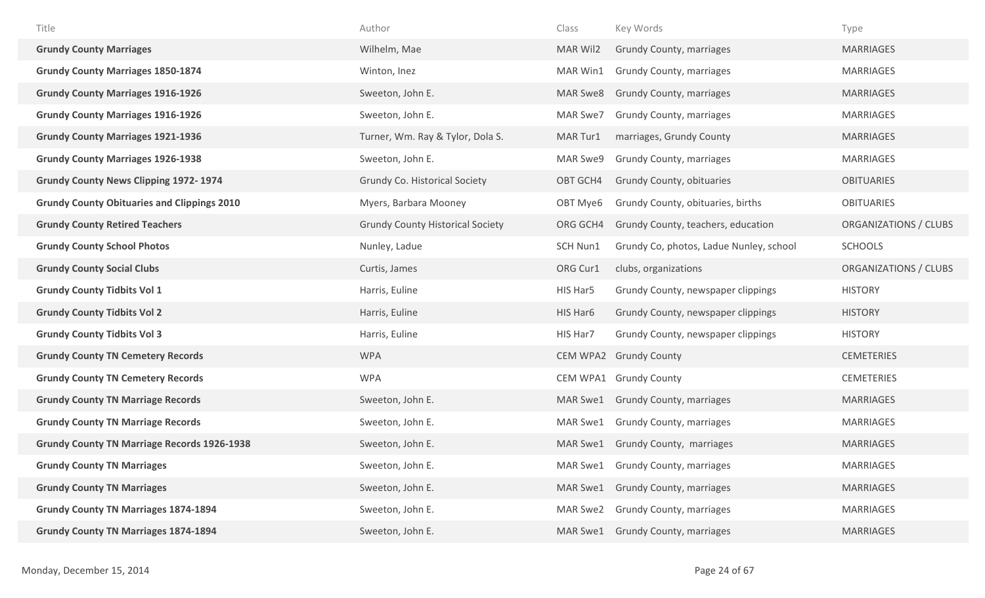| Title                                              | Author                                  | Class    | Key Words                               | Type                  |
|----------------------------------------------------|-----------------------------------------|----------|-----------------------------------------|-----------------------|
| <b>Grundy County Marriages</b>                     | Wilhelm, Mae                            | MAR Wil2 | Grundy County, marriages                | <b>MARRIAGES</b>      |
| <b>Grundy County Marriages 1850-1874</b>           | Winton, Inez                            | MAR Win1 | Grundy County, marriages                | <b>MARRIAGES</b>      |
| <b>Grundy County Marriages 1916-1926</b>           | Sweeton, John E.                        | MAR Swe8 | Grundy County, marriages                | <b>MARRIAGES</b>      |
| <b>Grundy County Marriages 1916-1926</b>           | Sweeton, John E.                        | MAR Swe7 | Grundy County, marriages                | MARRIAGES             |
| <b>Grundy County Marriages 1921-1936</b>           | Turner, Wm. Ray & Tylor, Dola S.        | MAR Tur1 | marriages, Grundy County                | <b>MARRIAGES</b>      |
| <b>Grundy County Marriages 1926-1938</b>           | Sweeton, John E.                        | MAR Swe9 | <b>Grundy County, marriages</b>         | <b>MARRIAGES</b>      |
| <b>Grundy County News Clipping 1972-1974</b>       | Grundy Co. Historical Society           | OBT GCH4 | Grundy County, obituaries               | <b>OBITUARIES</b>     |
| <b>Grundy County Obituaries and Clippings 2010</b> | Myers, Barbara Mooney                   | OBT Mye6 | Grundy County, obituaries, births       | <b>OBITUARIES</b>     |
| <b>Grundy County Retired Teachers</b>              | <b>Grundy County Historical Society</b> | ORG GCH4 | Grundy County, teachers, education      | ORGANIZATIONS / CLUBS |
| <b>Grundy County School Photos</b>                 | Nunley, Ladue                           | SCH Nun1 | Grundy Co, photos, Ladue Nunley, school | <b>SCHOOLS</b>        |
| <b>Grundy County Social Clubs</b>                  | Curtis, James                           | ORG Cur1 | clubs, organizations                    | ORGANIZATIONS / CLUBS |
| <b>Grundy County Tidbits Vol 1</b>                 | Harris, Euline                          | HIS Har5 | Grundy County, newspaper clippings      | <b>HISTORY</b>        |
| <b>Grundy County Tidbits Vol 2</b>                 | Harris, Euline                          | HIS Har6 | Grundy County, newspaper clippings      | <b>HISTORY</b>        |
| <b>Grundy County Tidbits Vol 3</b>                 | Harris, Euline                          | HIS Har7 | Grundy County, newspaper clippings      | <b>HISTORY</b>        |
| <b>Grundy County TN Cemetery Records</b>           | <b>WPA</b>                              | CEM WPA2 | <b>Grundy County</b>                    | <b>CEMETERIES</b>     |
| <b>Grundy County TN Cemetery Records</b>           | <b>WPA</b>                              | CEM WPA1 | <b>Grundy County</b>                    | <b>CEMETERIES</b>     |
| <b>Grundy County TN Marriage Records</b>           | Sweeton, John E.                        | MAR Swe1 | <b>Grundy County, marriages</b>         | <b>MARRIAGES</b>      |
| <b>Grundy County TN Marriage Records</b>           | Sweeton, John E.                        | MAR Swe1 | Grundy County, marriages                | <b>MARRIAGES</b>      |
| <b>Grundy County TN Marriage Records 1926-1938</b> | Sweeton, John E.                        | MAR Swe1 | Grundy County, marriages                | <b>MARRIAGES</b>      |
| <b>Grundy County TN Marriages</b>                  | Sweeton, John E.                        | MAR Swe1 | <b>Grundy County, marriages</b>         | MARRIAGES             |
| <b>Grundy County TN Marriages</b>                  | Sweeton, John E.                        | MAR Swe1 | <b>Grundy County, marriages</b>         | <b>MARRIAGES</b>      |
| <b>Grundy County TN Marriages 1874-1894</b>        | Sweeton, John E.                        | MAR Swe2 | <b>Grundy County, marriages</b>         | <b>MARRIAGES</b>      |
| <b>Grundy County TN Marriages 1874-1894</b>        | Sweeton, John E.                        | MAR Swe1 | Grundy County, marriages                | <b>MARRIAGES</b>      |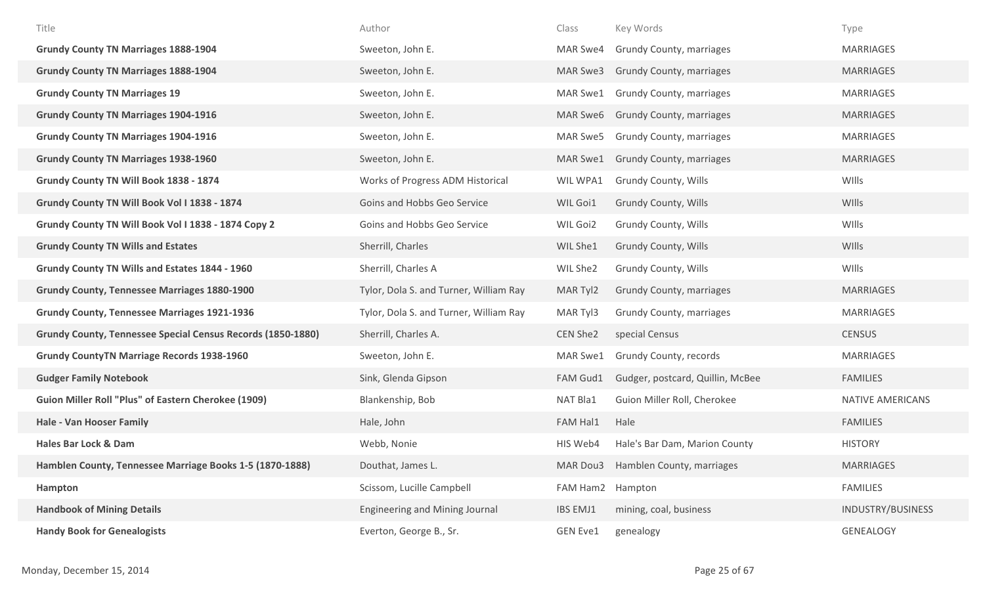| Title                                                       | Author                                 | Class            | Key Words                          | Type              |
|-------------------------------------------------------------|----------------------------------------|------------------|------------------------------------|-------------------|
| <b>Grundy County TN Marriages 1888-1904</b>                 | Sweeton, John E.                       | MAR Swe4         | <b>Grundy County, marriages</b>    | <b>MARRIAGES</b>  |
| <b>Grundy County TN Marriages 1888-1904</b>                 | Sweeton, John E.                       | MAR Swe3         | <b>Grundy County, marriages</b>    | <b>MARRIAGES</b>  |
| <b>Grundy County TN Marriages 19</b>                        | Sweeton, John E.                       | MAR Swe1         | <b>Grundy County, marriages</b>    | <b>MARRIAGES</b>  |
| <b>Grundy County TN Marriages 1904-1916</b>                 | Sweeton, John E.                       | MAR Swe6         | <b>Grundy County, marriages</b>    | <b>MARRIAGES</b>  |
| <b>Grundy County TN Marriages 1904-1916</b>                 | Sweeton, John E.                       | MAR Swe5         | <b>Grundy County, marriages</b>    | <b>MARRIAGES</b>  |
| <b>Grundy County TN Marriages 1938-1960</b>                 | Sweeton, John E.                       | MAR Swe1         | <b>Grundy County, marriages</b>    | <b>MARRIAGES</b>  |
| Grundy County TN Will Book 1838 - 1874                      | Works of Progress ADM Historical       | WIL WPA1         | <b>Grundy County, Wills</b>        | WIlls             |
| Grundy County TN Will Book Vol I 1838 - 1874                | Goins and Hobbs Geo Service            | WIL Goi1         | Grundy County, Wills               | WIlls             |
| Grundy County TN Will Book Vol I 1838 - 1874 Copy 2         | Goins and Hobbs Geo Service            | WIL Goi2         | Grundy County, Wills               | WIlls             |
| <b>Grundy County TN Wills and Estates</b>                   | Sherrill, Charles                      | WIL She1         | <b>Grundy County, Wills</b>        | WIlls             |
| Grundy County TN Wills and Estates 1844 - 1960              | Sherrill, Charles A                    | WIL She2         | Grundy County, Wills               | WIlls             |
| <b>Grundy County, Tennessee Marriages 1880-1900</b>         | Tylor, Dola S. and Turner, William Ray | MAR Tyl2         | Grundy County, marriages           | <b>MARRIAGES</b>  |
| <b>Grundy County, Tennessee Marriages 1921-1936</b>         | Tylor, Dola S. and Turner, William Ray | MAR Tyl3         | Grundy County, marriages           | MARRIAGES         |
| Grundy County, Tennessee Special Census Records (1850-1880) | Sherrill, Charles A.                   | CEN She2         | special Census                     | <b>CENSUS</b>     |
| <b>Grundy CountyTN Marriage Records 1938-1960</b>           | Sweeton, John E.                       | MAR Swe1         | Grundy County, records             | <b>MARRIAGES</b>  |
| <b>Gudger Family Notebook</b>                               | Sink, Glenda Gipson                    | FAM Gud1         | Gudger, postcard, Quillin, McBee   | <b>FAMILIES</b>   |
| <b>Guion Miller Roll "Plus" of Eastern Cherokee (1909)</b>  | Blankenship, Bob                       | NAT Bla1         | Guion Miller Roll, Cherokee        | NATIVE AMERICANS  |
| <b>Hale - Van Hooser Family</b>                             | Hale, John                             | FAM Hal1         | Hale                               | <b>FAMILIES</b>   |
| <b>Hales Bar Lock &amp; Dam</b>                             | Webb, Nonie                            | HIS Web4         | Hale's Bar Dam, Marion County      | <b>HISTORY</b>    |
| Hamblen County, Tennessee Marriage Books 1-5 (1870-1888)    | Douthat, James L.                      |                  | MAR Dou3 Hamblen County, marriages | <b>MARRIAGES</b>  |
| Hampton                                                     | Scissom, Lucille Campbell              | FAM Ham2 Hampton |                                    | <b>FAMILIES</b>   |
| <b>Handbook of Mining Details</b>                           | <b>Engineering and Mining Journal</b>  | IBS EMJ1         | mining, coal, business             | INDUSTRY/BUSINESS |
| <b>Handy Book for Genealogists</b>                          | Everton, George B., Sr.                | <b>GEN Eve1</b>  | genealogy                          | <b>GENEALOGY</b>  |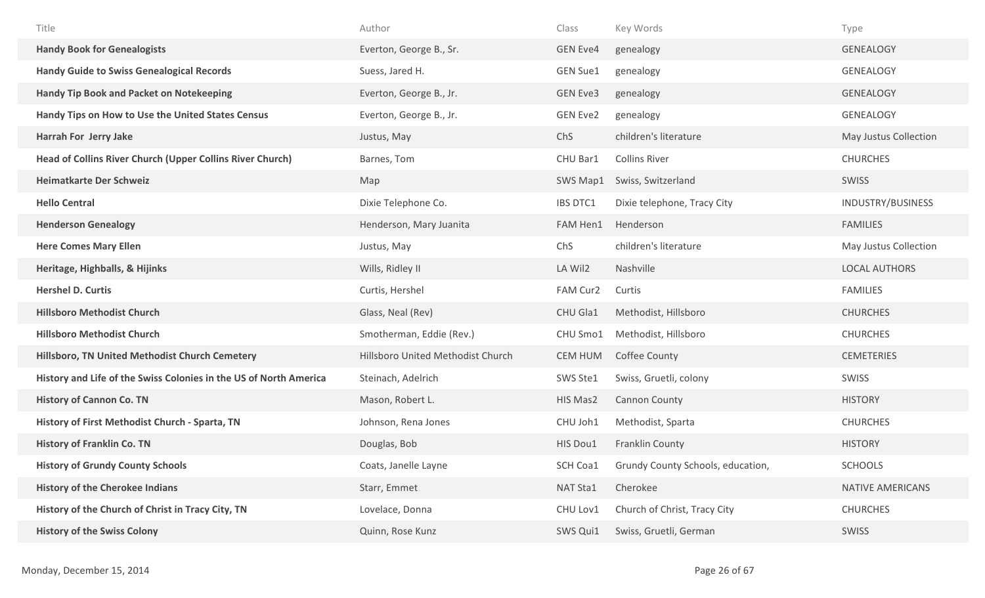| Title                                                             | Author                            | Class           | Key Words                         | Type                  |
|-------------------------------------------------------------------|-----------------------------------|-----------------|-----------------------------------|-----------------------|
| <b>Handy Book for Genealogists</b>                                | Everton, George B., Sr.           | <b>GEN Eve4</b> | genealogy                         | <b>GENEALOGY</b>      |
| <b>Handy Guide to Swiss Genealogical Records</b>                  | Suess, Jared H.                   | <b>GEN Sue1</b> | genealogy                         | <b>GENEALOGY</b>      |
| <b>Handy Tip Book and Packet on Notekeeping</b>                   | Everton, George B., Jr.           | <b>GEN Eve3</b> | genealogy                         | <b>GENEALOGY</b>      |
| Handy Tips on How to Use the United States Census                 | Everton, George B., Jr.           | <b>GEN Eve2</b> | genealogy                         | <b>GENEALOGY</b>      |
| Harrah For Jerry Jake                                             | Justus, May                       | ChS             | children's literature             | May Justus Collection |
| Head of Collins River Church (Upper Collins River Church)         | Barnes, Tom                       | CHU Bar1        | <b>Collins River</b>              | <b>CHURCHES</b>       |
| <b>Heimatkarte Der Schweiz</b>                                    | Map                               | SWS Map1        | Swiss, Switzerland                | SWISS                 |
| <b>Hello Central</b>                                              | Dixie Telephone Co.               | IBS DTC1        | Dixie telephone, Tracy City       | INDUSTRY/BUSINESS     |
| <b>Henderson Genealogy</b>                                        | Henderson, Mary Juanita           | FAM Hen1        | Henderson                         | <b>FAMILIES</b>       |
| <b>Here Comes Mary Ellen</b>                                      | Justus, May                       | ChS             | children's literature             | May Justus Collection |
| Heritage, Highballs, & Hijinks                                    | Wills, Ridley II                  | LA Wil2         | Nashville                         | <b>LOCAL AUTHORS</b>  |
| <b>Hershel D. Curtis</b>                                          | Curtis, Hershel                   | FAM Cur2        | Curtis                            | <b>FAMILIES</b>       |
| <b>Hillsboro Methodist Church</b>                                 | Glass, Neal (Rev)                 | CHU Gla1        | Methodist, Hillsboro              | <b>CHURCHES</b>       |
| <b>Hillsboro Methodist Church</b>                                 | Smotherman, Eddie (Rev.)          | CHU Smo1        | Methodist, Hillsboro              | <b>CHURCHES</b>       |
| Hillsboro, TN United Methodist Church Cemetery                    | Hillsboro United Methodist Church | <b>CEM HUM</b>  | Coffee County                     | <b>CEMETERIES</b>     |
| History and Life of the Swiss Colonies in the US of North America | Steinach, Adelrich                | SWS Ste1        | Swiss, Gruetli, colony            | SWISS                 |
| <b>History of Cannon Co. TN</b>                                   | Mason, Robert L.                  | HIS Mas2        | <b>Cannon County</b>              | <b>HISTORY</b>        |
| History of First Methodist Church - Sparta, TN                    | Johnson, Rena Jones               | CHU Joh1        | Methodist, Sparta                 | <b>CHURCHES</b>       |
| <b>History of Franklin Co. TN</b>                                 | Douglas, Bob                      | HIS Dou1        | Franklin County                   | <b>HISTORY</b>        |
| <b>History of Grundy County Schools</b>                           | Coats, Janelle Layne              | SCH Coa1        | Grundy County Schools, education, | <b>SCHOOLS</b>        |
| <b>History of the Cherokee Indians</b>                            | Starr, Emmet                      | NAT Sta1        | Cherokee                          | NATIVE AMERICANS      |
| History of the Church of Christ in Tracy City, TN                 | Lovelace, Donna                   | CHU Lov1        | Church of Christ, Tracy City      | <b>CHURCHES</b>       |
| <b>History of the Swiss Colony</b>                                |                                   |                 |                                   |                       |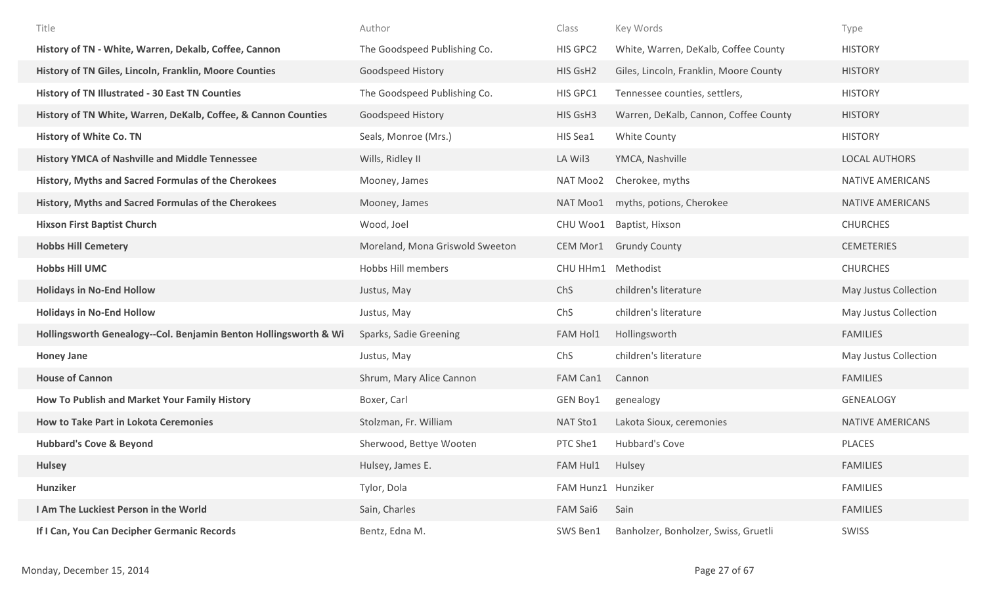| Title                                                            | Author                          | Class              | Key Words                              | Type                    |
|------------------------------------------------------------------|---------------------------------|--------------------|----------------------------------------|-------------------------|
| History of TN - White, Warren, Dekalb, Coffee, Cannon            | The Goodspeed Publishing Co.    | HIS GPC2           | White, Warren, DeKalb, Coffee County   | <b>HISTORY</b>          |
| History of TN Giles, Lincoln, Franklin, Moore Counties           | Goodspeed History               | HIS GsH2           | Giles, Lincoln, Franklin, Moore County | <b>HISTORY</b>          |
| <b>History of TN Illustrated - 30 East TN Counties</b>           | The Goodspeed Publishing Co.    | HIS GPC1           | Tennessee counties, settlers,          | <b>HISTORY</b>          |
| History of TN White, Warren, DeKalb, Coffee, & Cannon Counties   | Goodspeed History               | HIS GsH3           | Warren, DeKalb, Cannon, Coffee County  | <b>HISTORY</b>          |
| <b>History of White Co. TN</b>                                   | Seals, Monroe (Mrs.)            | HIS Sea1           | White County                           | <b>HISTORY</b>          |
| <b>History YMCA of Nashville and Middle Tennessee</b>            | Wills, Ridley II                | LA Wil3            | YMCA, Nashville                        | <b>LOCAL AUTHORS</b>    |
| History, Myths and Sacred Formulas of the Cherokees              | Mooney, James                   | NAT Moo2           | Cherokee, myths                        | <b>NATIVE AMERICANS</b> |
| History, Myths and Sacred Formulas of the Cherokees              | Mooney, James                   | NAT Moo1           | myths, potions, Cherokee               | NATIVE AMERICANS        |
| <b>Hixson First Baptist Church</b>                               | Wood, Joel                      | CHU Woo1           | Baptist, Hixson                        | <b>CHURCHES</b>         |
| <b>Hobbs Hill Cemetery</b>                                       | Moreland, Mona Griswold Sweeton | CEM Mor1           | <b>Grundy County</b>                   | <b>CEMETERIES</b>       |
| <b>Hobbs Hill UMC</b>                                            | Hobbs Hill members              | CHU HHm1           | Methodist                              | <b>CHURCHES</b>         |
| <b>Holidays in No-End Hollow</b>                                 | Justus, May                     | ChS                | children's literature                  | May Justus Collection   |
| <b>Holidays in No-End Hollow</b>                                 | Justus, May                     | ChS                | children's literature                  | May Justus Collection   |
| Hollingsworth Genealogy--Col. Benjamin Benton Hollingsworth & Wi | Sparks, Sadie Greening          | FAM Hol1           | Hollingsworth                          | <b>FAMILIES</b>         |
| <b>Honey Jane</b>                                                | Justus, May                     | ChS                | children's literature                  | May Justus Collection   |
| <b>House of Cannon</b>                                           | Shrum, Mary Alice Cannon        | FAM Can1           | Cannon                                 | <b>FAMILIES</b>         |
| How To Publish and Market Your Family History                    | Boxer, Carl                     | GEN Boy1           | genealogy                              | <b>GENEALOGY</b>        |
| <b>How to Take Part in Lokota Ceremonies</b>                     | Stolzman, Fr. William           | NAT Sto1           | Lakota Sioux, ceremonies               | NATIVE AMERICANS        |
| <b>Hubbard's Cove &amp; Beyond</b>                               | Sherwood, Bettye Wooten         | PTC She1           | Hubbard's Cove                         | PLACES                  |
| <b>Hulsey</b>                                                    | Hulsey, James E.                | FAM Hul1           | Hulsey                                 | <b>FAMILIES</b>         |
| Hunziker                                                         | Tylor, Dola                     | FAM Hunz1 Hunziker |                                        | <b>FAMILIES</b>         |
| I Am The Luckiest Person in the World                            | Sain, Charles                   | FAM Sai6           | Sain                                   | <b>FAMILIES</b>         |
| If I Can, You Can Decipher Germanic Records                      | Bentz, Edna M.                  | SWS Ben1           | Banholzer, Bonholzer, Swiss, Gruetli   | SWISS                   |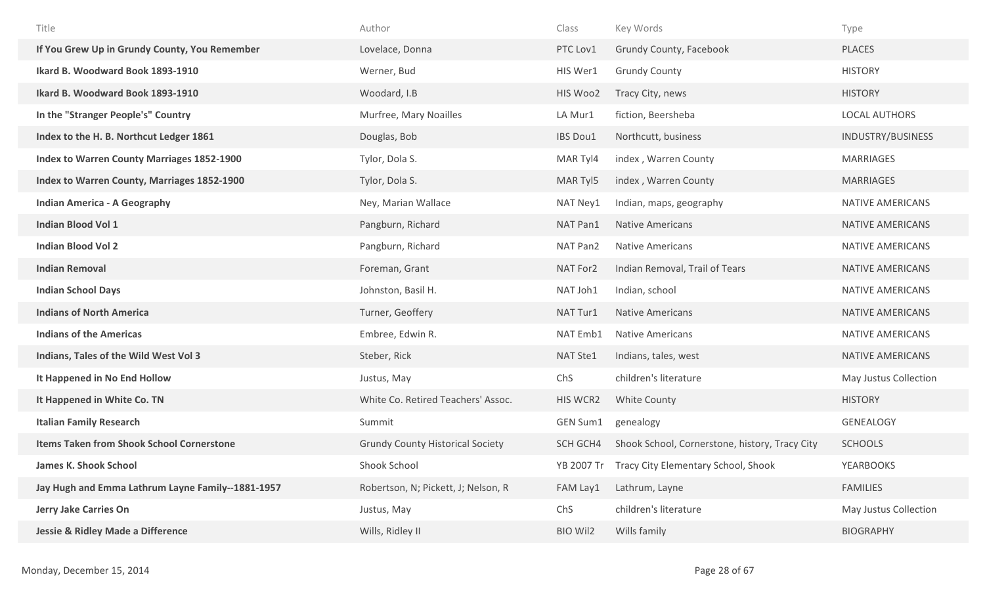| Title                                             | Author                                  | Class           | Key Words                                      | Type                    |
|---------------------------------------------------|-----------------------------------------|-----------------|------------------------------------------------|-------------------------|
| If You Grew Up in Grundy County, You Remember     | Lovelace, Donna                         | PTC Lov1        | Grundy County, Facebook                        | <b>PLACES</b>           |
| Ikard B. Woodward Book 1893-1910                  | Werner, Bud                             | HIS Wer1        | <b>Grundy County</b>                           | <b>HISTORY</b>          |
| Ikard B. Woodward Book 1893-1910                  | Woodard, I.B                            | HIS Woo2        | Tracy City, news                               | <b>HISTORY</b>          |
| In the "Stranger People's" Country                | Murfree, Mary Noailles                  | LA Mur1         | fiction, Beersheba                             | <b>LOCAL AUTHORS</b>    |
| Index to the H. B. Northcut Ledger 1861           | Douglas, Bob                            | <b>IBS Dou1</b> | Northcutt, business                            | INDUSTRY/BUSINESS       |
| Index to Warren County Marriages 1852-1900        | Tylor, Dola S.                          | MAR Tyl4        | index, Warren County                           | <b>MARRIAGES</b>        |
| Index to Warren County, Marriages 1852-1900       | Tylor, Dola S.                          | MAR Tyl5        | index, Warren County                           | <b>MARRIAGES</b>        |
| <b>Indian America - A Geography</b>               | Ney, Marian Wallace                     | NAT Ney1        | Indian, maps, geography                        | NATIVE AMERICANS        |
| <b>Indian Blood Vol 1</b>                         | Pangburn, Richard                       | NAT Pan1        | <b>Native Americans</b>                        | NATIVE AMERICANS        |
| <b>Indian Blood Vol 2</b>                         | Pangburn, Richard                       | NAT Pan2        | <b>Native Americans</b>                        | NATIVE AMERICANS        |
| <b>Indian Removal</b>                             | Foreman, Grant                          | NAT For2        | Indian Removal, Trail of Tears                 | NATIVE AMERICANS        |
| <b>Indian School Days</b>                         | Johnston, Basil H.                      | NAT Joh1        | Indian, school                                 | <b>NATIVE AMERICANS</b> |
| <b>Indians of North America</b>                   | Turner, Geoffery                        | NAT Tur1        | <b>Native Americans</b>                        | NATIVE AMERICANS        |
| <b>Indians of the Americas</b>                    | Embree, Edwin R.                        | NAT Emb1        | <b>Native Americans</b>                        | NATIVE AMERICANS        |
| Indians, Tales of the Wild West Vol 3             | Steber, Rick                            | NAT Ste1        | Indians, tales, west                           | NATIVE AMERICANS        |
| It Happened in No End Hollow                      | Justus, May                             | ChS             | children's literature                          | May Justus Collection   |
| It Happened in White Co. TN                       | White Co. Retired Teachers' Assoc.      | HIS WCR2        | White County                                   | <b>HISTORY</b>          |
| <b>Italian Family Research</b>                    | Summit                                  | GEN Sum1        | genealogy                                      | <b>GENEALOGY</b>        |
| <b>Items Taken from Shook School Cornerstone</b>  | <b>Grundy County Historical Society</b> | SCH GCH4        | Shook School, Cornerstone, history, Tracy City | <b>SCHOOLS</b>          |
| <b>James K. Shook School</b>                      | Shook School                            | YB 2007 Tr      | <b>Tracy City Elementary School, Shook</b>     | <b>YEARBOOKS</b>        |
| Jay Hugh and Emma Lathrum Layne Family--1881-1957 | Robertson, N; Pickett, J; Nelson, R     | FAM Lay1        | Lathrum, Layne                                 | <b>FAMILIES</b>         |
| Jerry Jake Carries On                             | Justus, May                             | ChS             | children's literature                          | May Justus Collection   |
| <b>Jessie &amp; Ridley Made a Difference</b>      | Wills, Ridley II                        | <b>BIO Wil2</b> | Wills family                                   | <b>BIOGRAPHY</b>        |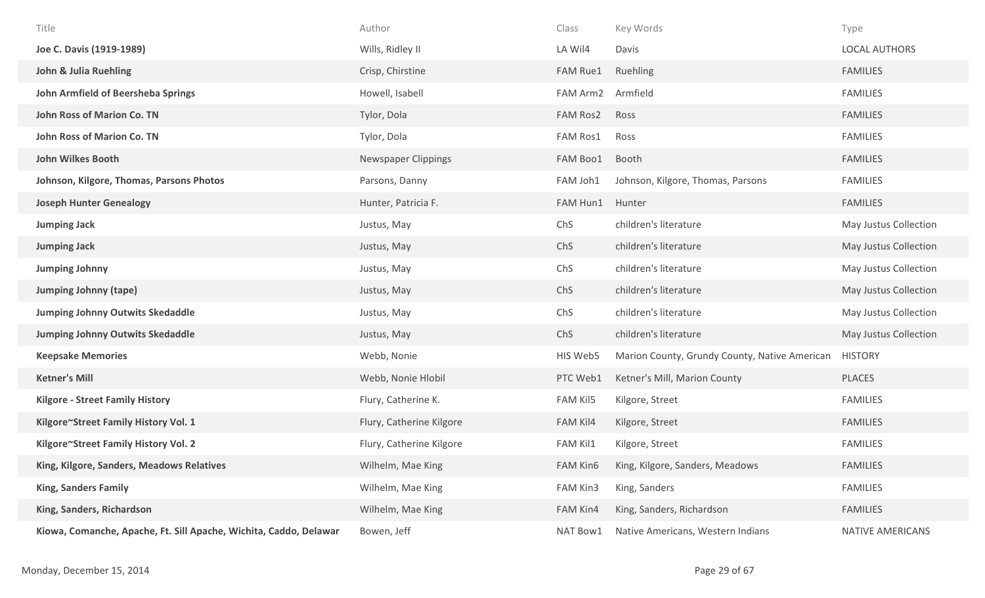| Title                                                             | Author                     | Class           | Key Words                                     | Type                    |
|-------------------------------------------------------------------|----------------------------|-----------------|-----------------------------------------------|-------------------------|
| Joe C. Davis (1919-1989)                                          | Wills, Ridley II           | LA Wil4         | Davis                                         | <b>LOCAL AUTHORS</b>    |
| John & Julia Ruehling                                             | Crisp, Chirstine           | FAM Rue1        | Ruehling                                      | <b>FAMILIES</b>         |
| <b>John Armfield of Beersheba Springs</b>                         | Howell, Isabell            | FAM Arm2        | Armfield                                      | <b>FAMILIES</b>         |
| <b>John Ross of Marion Co. TN</b>                                 | Tylor, Dola                | <b>FAM Ros2</b> | Ross                                          | <b>FAMILIES</b>         |
| <b>John Ross of Marion Co. TN</b>                                 | Tylor, Dola                | FAM Ros1        | Ross                                          | <b>FAMILIES</b>         |
| <b>John Wilkes Booth</b>                                          | <b>Newspaper Clippings</b> | FAM Boo1        | Booth                                         | <b>FAMILIES</b>         |
| Johnson, Kilgore, Thomas, Parsons Photos                          | Parsons, Danny             | FAM Joh1        | Johnson, Kilgore, Thomas, Parsons             | <b>FAMILIES</b>         |
| <b>Joseph Hunter Genealogy</b>                                    | Hunter, Patricia F.        | FAM Hun1        | Hunter                                        | <b>FAMILIES</b>         |
| <b>Jumping Jack</b>                                               | Justus, May                | ChS             | children's literature                         | May Justus Collection   |
| <b>Jumping Jack</b>                                               | Justus, May                | ChS             | children's literature                         | May Justus Collection   |
| <b>Jumping Johnny</b>                                             | Justus, May                | ChS             | children's literature                         | May Justus Collection   |
| <b>Jumping Johnny (tape)</b>                                      | Justus, May                | ChS             | children's literature                         | May Justus Collection   |
| <b>Jumping Johnny Outwits Skedaddle</b>                           | Justus, May                | ChS             | children's literature                         | May Justus Collection   |
| <b>Jumping Johnny Outwits Skedaddle</b>                           | Justus, May                | ChS             | children's literature                         | May Justus Collection   |
| <b>Keepsake Memories</b>                                          | Webb, Nonie                | HIS Web5        | Marion County, Grundy County, Native American | <b>HISTORY</b>          |
| <b>Ketner's Mill</b>                                              | Webb, Nonie Hlobil         | PTC Web1        | Ketner's Mill, Marion County                  | <b>PLACES</b>           |
| <b>Kilgore - Street Family History</b>                            | Flury, Catherine K.        | <b>FAM Kil5</b> | Kilgore, Street                               | <b>FAMILIES</b>         |
| Kilgore~Street Family History Vol. 1                              | Flury, Catherine Kilgore   | <b>FAM Kil4</b> | Kilgore, Street                               | <b>FAMILIES</b>         |
| Kilgore~Street Family History Vol. 2                              | Flury, Catherine Kilgore   | FAM Kil1        | Kilgore, Street                               | <b>FAMILIES</b>         |
| King, Kilgore, Sanders, Meadows Relatives                         | Wilhelm, Mae King          | FAM Kin6        | King, Kilgore, Sanders, Meadows               | <b>FAMILIES</b>         |
| <b>King, Sanders Family</b>                                       | Wilhelm, Mae King          | FAM Kin3        | King, Sanders                                 | <b>FAMILIES</b>         |
| King, Sanders, Richardson                                         | Wilhelm, Mae King          | FAM Kin4        | King, Sanders, Richardson                     | <b>FAMILIES</b>         |
| Kiowa, Comanche, Apache, Ft. Sill Apache, Wichita, Caddo, Delawar | Bowen, Jeff                | NAT Bow1        | Native Americans, Western Indians             | <b>NATIVE AMERICANS</b> |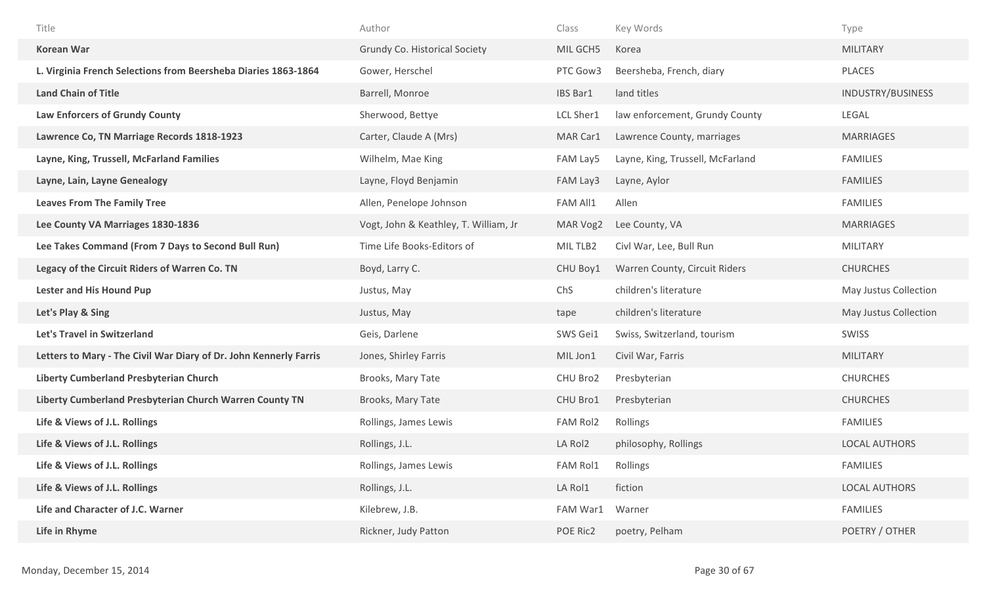| Title                                                             | Author                                | Class     | Key Words                        | Type                     |
|-------------------------------------------------------------------|---------------------------------------|-----------|----------------------------------|--------------------------|
| <b>Korean War</b>                                                 | <b>Grundy Co. Historical Society</b>  | MIL GCH5  | Korea                            | <b>MILITARY</b>          |
| L. Virginia French Selections from Beersheba Diaries 1863-1864    | Gower, Herschel                       | PTC Gow3  | Beersheba, French, diary         | <b>PLACES</b>            |
| <b>Land Chain of Title</b>                                        | Barrell, Monroe                       | IBS Bar1  | land titles                      | <b>INDUSTRY/BUSINESS</b> |
| <b>Law Enforcers of Grundy County</b>                             | Sherwood, Bettye                      | LCL Sher1 | law enforcement, Grundy County   | LEGAL                    |
| Lawrence Co, TN Marriage Records 1818-1923                        | Carter, Claude A (Mrs)                | MAR Car1  | Lawrence County, marriages       | <b>MARRIAGES</b>         |
| Layne, King, Trussell, McFarland Families                         | Wilhelm, Mae King                     | FAM Lay5  | Layne, King, Trussell, McFarland | <b>FAMILIES</b>          |
| Layne, Lain, Layne Genealogy                                      | Layne, Floyd Benjamin                 | FAM Lay3  | Layne, Aylor                     | <b>FAMILIES</b>          |
| <b>Leaves From The Family Tree</b>                                | Allen, Penelope Johnson               | FAM All1  | Allen                            | <b>FAMILIES</b>          |
| Lee County VA Marriages 1830-1836                                 | Vogt, John & Keathley, T. William, Jr | MAR Vog2  | Lee County, VA                   | <b>MARRIAGES</b>         |
| Lee Takes Command (From 7 Days to Second Bull Run)                | Time Life Books-Editors of            | MIL TLB2  | Civl War, Lee, Bull Run          | <b>MILITARY</b>          |
| Legacy of the Circuit Riders of Warren Co. TN                     | Boyd, Larry C.                        | CHU Boy1  | Warren County, Circuit Riders    | <b>CHURCHES</b>          |
|                                                                   |                                       |           |                                  |                          |
| <b>Lester and His Hound Pup</b>                                   | Justus, May                           | ChS       | children's literature            | May Justus Collection    |
| Let's Play & Sing                                                 | Justus, May                           | tape      | children's literature            | May Justus Collection    |
| Let's Travel in Switzerland                                       | Geis, Darlene                         | SWS Gei1  | Swiss, Switzerland, tourism      | SWISS                    |
| Letters to Mary - The Civil War Diary of Dr. John Kennerly Farris | Jones, Shirley Farris                 | MIL Jon1  | Civil War, Farris                | <b>MILITARY</b>          |
| Liberty Cumberland Presbyterian Church                            | Brooks, Mary Tate                     | CHU Bro2  | Presbyterian                     | <b>CHURCHES</b>          |
| Liberty Cumberland Presbyterian Church Warren County TN           | Brooks, Mary Tate                     | CHU Bro1  | Presbyterian                     | <b>CHURCHES</b>          |
| Life & Views of J.L. Rollings                                     | Rollings, James Lewis                 | FAM Rol2  | Rollings                         | <b>FAMILIES</b>          |
| Life & Views of J.L. Rollings                                     | Rollings, J.L.                        | LA Rol2   | philosophy, Rollings             | <b>LOCAL AUTHORS</b>     |
| Life & Views of J.L. Rollings                                     | Rollings, James Lewis                 | FAM Rol1  | Rollings                         | <b>FAMILIES</b>          |
| Life & Views of J.L. Rollings                                     | Rollings, J.L.                        | LA Rol1   | fiction                          | <b>LOCAL AUTHORS</b>     |
| Life and Character of J.C. Warner                                 | Kilebrew, J.B.                        | FAM War1  | Warner                           | <b>FAMILIES</b>          |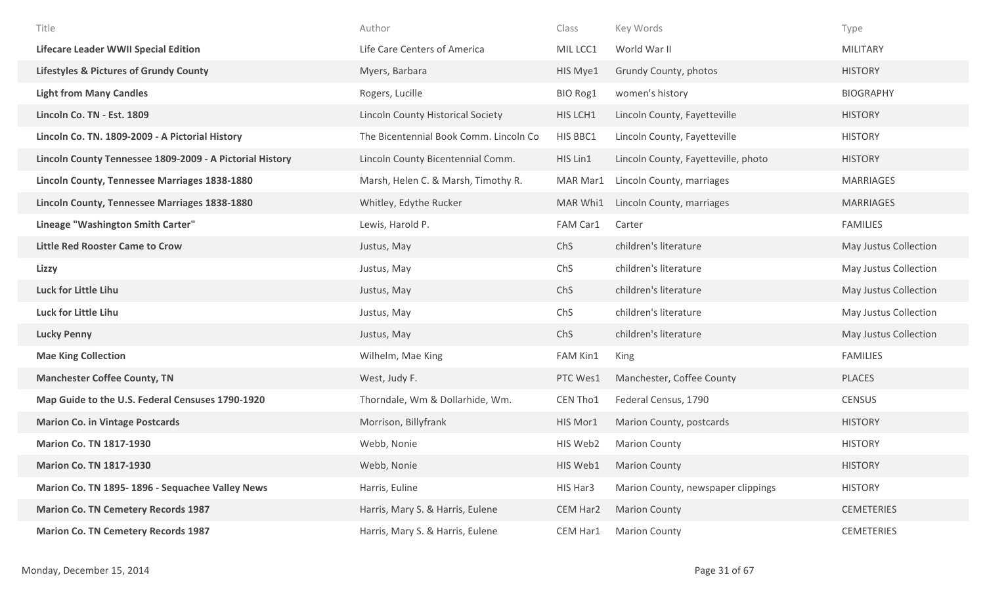| Title                                                    | Author                                   | Class    | Key Words                           | Type                  |
|----------------------------------------------------------|------------------------------------------|----------|-------------------------------------|-----------------------|
| <b>Lifecare Leader WWII Special Edition</b>              | Life Care Centers of America             | MIL LCC1 | World War II                        | <b>MILITARY</b>       |
| <b>Lifestyles &amp; Pictures of Grundy County</b>        | Myers, Barbara                           | HIS Mye1 | Grundy County, photos               | <b>HISTORY</b>        |
| <b>Light from Many Candles</b>                           | Rogers, Lucille                          | BIO Rog1 | women's history                     | <b>BIOGRAPHY</b>      |
| Lincoln Co. TN - Est. 1809                               | <b>Lincoln County Historical Society</b> | HIS LCH1 | Lincoln County, Fayetteville        | <b>HISTORY</b>        |
| Lincoln Co. TN. 1809-2009 - A Pictorial History          | The Bicentennial Book Comm. Lincoln Co   | HIS BBC1 | Lincoln County, Fayetteville        | <b>HISTORY</b>        |
| Lincoln County Tennessee 1809-2009 - A Pictorial History | Lincoln County Bicentennial Comm.        | HIS Lin1 | Lincoln County, Fayetteville, photo | <b>HISTORY</b>        |
| Lincoln County, Tennessee Marriages 1838-1880            | Marsh, Helen C. & Marsh, Timothy R.      | MAR Mar1 | Lincoln County, marriages           | MARRIAGES             |
| Lincoln County, Tennessee Marriages 1838-1880            | Whitley, Edythe Rucker                   | MAR Whi1 | Lincoln County, marriages           | <b>MARRIAGES</b>      |
| Lineage "Washington Smith Carter"                        | Lewis, Harold P.                         | FAM Car1 | Carter                              | <b>FAMILIES</b>       |
| <b>Little Red Rooster Came to Crow</b>                   | Justus, May                              | ChS      | children's literature               | May Justus Collection |
| Lizzy                                                    | Justus, May                              | ChS      | children's literature               | May Justus Collection |
| <b>Luck for Little Lihu</b>                              | Justus, May                              | ChS      | children's literature               | May Justus Collection |
| Luck for Little Lihu                                     | Justus, May                              | ChS      | children's literature               | May Justus Collection |
| <b>Lucky Penny</b>                                       | Justus, May                              | ChS      | children's literature               | May Justus Collection |
| <b>Mae King Collection</b>                               | Wilhelm, Mae King                        | FAM Kin1 | King                                | <b>FAMILIES</b>       |
| <b>Manchester Coffee County, TN</b>                      | West, Judy F.                            | PTC Wes1 | Manchester, Coffee County           | <b>PLACES</b>         |
| Map Guide to the U.S. Federal Censuses 1790-1920         | Thorndale, Wm & Dollarhide, Wm.          | CEN Tho1 | Federal Census, 1790                | <b>CENSUS</b>         |
| <b>Marion Co. in Vintage Postcards</b>                   | Morrison, Billyfrank                     | HIS Mor1 | Marion County, postcards            | <b>HISTORY</b>        |
| <b>Marion Co. TN 1817-1930</b>                           | Webb, Nonie                              | HIS Web2 | <b>Marion County</b>                | <b>HISTORY</b>        |
| <b>Marion Co. TN 1817-1930</b>                           | Webb, Nonie                              | HIS Web1 | <b>Marion County</b>                | <b>HISTORY</b>        |
| Marion Co. TN 1895-1896 - Sequachee Valley News          | Harris, Euline                           | HIS Har3 | Marion County, newspaper clippings  | <b>HISTORY</b>        |
| <b>Marion Co. TN Cemetery Records 1987</b>               | Harris, Mary S. & Harris, Eulene         | CEM Har2 | <b>Marion County</b>                | <b>CEMETERIES</b>     |
| <b>Marion Co. TN Cemetery Records 1987</b>               | Harris, Mary S. & Harris, Eulene         | CEM Har1 | <b>Marion County</b>                | <b>CEMETERIES</b>     |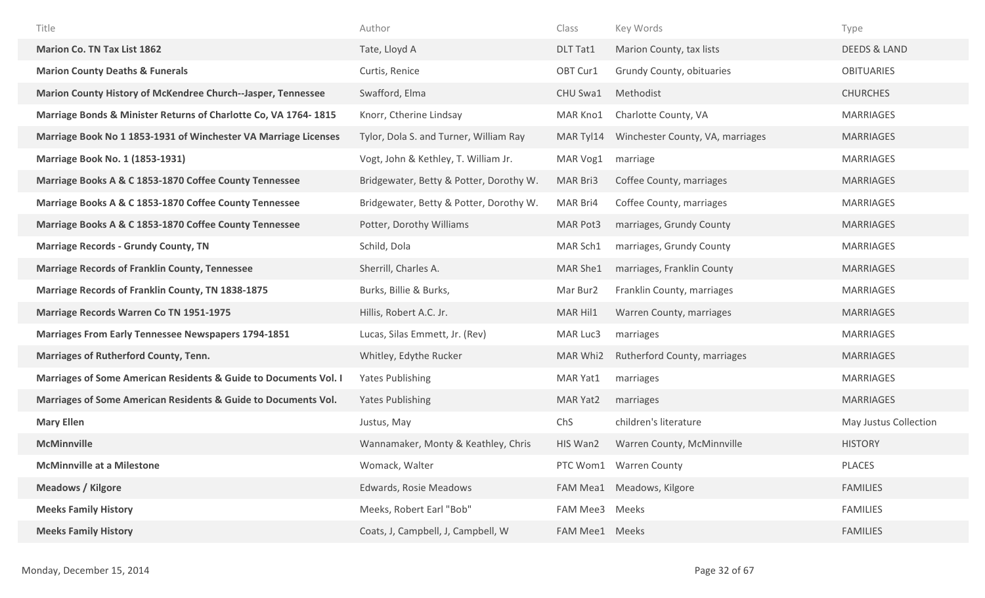| Title                                                            | Author                                  | Class          | Key Words                        | Type                    |
|------------------------------------------------------------------|-----------------------------------------|----------------|----------------------------------|-------------------------|
| <b>Marion Co. TN Tax List 1862</b>                               | Tate, Lloyd A                           | DLT Tat1       | Marion County, tax lists         | <b>DEEDS &amp; LAND</b> |
| <b>Marion County Deaths &amp; Funerals</b>                       | Curtis, Renice                          | OBT Cur1       | Grundy County, obituaries        | <b>OBITUARIES</b>       |
| Marion County History of McKendree Church--Jasper, Tennessee     | Swafford, Elma                          | CHU Swa1       | Methodist                        | <b>CHURCHES</b>         |
| Marriage Bonds & Minister Returns of Charlotte Co, VA 1764-1815  | Knorr, Ctherine Lindsay                 | MAR Kno1       | Charlotte County, VA             | MARRIAGES               |
| Marriage Book No 1 1853-1931 of Winchester VA Marriage Licenses  | Tylor, Dola S. and Turner, William Ray  | MAR Tyl14      | Winchester County, VA, marriages | <b>MARRIAGES</b>        |
| <b>Marriage Book No. 1 (1853-1931)</b>                           | Vogt, John & Kethley, T. William Jr.    | MAR Vog1       | marriage                         | MARRIAGES               |
| Marriage Books A & C 1853-1870 Coffee County Tennessee           | Bridgewater, Betty & Potter, Dorothy W. | MAR Bri3       | Coffee County, marriages         | <b>MARRIAGES</b>        |
| Marriage Books A & C 1853-1870 Coffee County Tennessee           | Bridgewater, Betty & Potter, Dorothy W. | MAR Bri4       | Coffee County, marriages         | <b>MARRIAGES</b>        |
| Marriage Books A & C 1853-1870 Coffee County Tennessee           | Potter, Dorothy Williams                | MAR Pot3       | marriages, Grundy County         | <b>MARRIAGES</b>        |
| <b>Marriage Records - Grundy County, TN</b>                      | Schild, Dola                            | MAR Sch1       | marriages, Grundy County         | <b>MARRIAGES</b>        |
| <b>Marriage Records of Franklin County, Tennessee</b>            | Sherrill, Charles A.                    | MAR She1       | marriages, Franklin County       | <b>MARRIAGES</b>        |
| <b>Marriage Records of Franklin County, TN 1838-1875</b>         | Burks, Billie & Burks,                  | Mar Bur2       | Franklin County, marriages       | MARRIAGES               |
| <b>Marriage Records Warren Co TN 1951-1975</b>                   | Hillis, Robert A.C. Jr.                 | MAR Hil1       | Warren County, marriages         | <b>MARRIAGES</b>        |
| <b>Marriages From Early Tennessee Newspapers 1794-1851</b>       | Lucas, Silas Emmett, Jr. (Rev)          | MAR Luc3       | marriages                        | MARRIAGES               |
| <b>Marriages of Rutherford County, Tenn.</b>                     | Whitley, Edythe Rucker                  | MAR Whi2       | Rutherford County, marriages     | <b>MARRIAGES</b>        |
| Marriages of Some American Residents & Guide to Documents Vol. I | <b>Yates Publishing</b>                 | MAR Yat1       | marriages                        | MARRIAGES               |
| Marriages of Some American Residents & Guide to Documents Vol.   | <b>Yates Publishing</b>                 | MAR Yat2       | marriages                        | <b>MARRIAGES</b>        |
| <b>Mary Ellen</b>                                                | Justus, May                             | ChS            | children's literature            | May Justus Collection   |
| <b>McMinnville</b>                                               | Wannamaker, Monty & Keathley, Chris     | HIS Wan2       | Warren County, McMinnville       | <b>HISTORY</b>          |
| <b>McMinnville at a Milestone</b>                                | Womack, Walter                          |                | PTC Wom1 Warren County           | PLACES                  |
| <b>Meadows / Kilgore</b>                                         | Edwards, Rosie Meadows                  |                | FAM Mea1 Meadows, Kilgore        | <b>FAMILIES</b>         |
| <b>Meeks Family History</b>                                      | Meeks, Robert Earl "Bob"                | FAM Mee3 Meeks |                                  | <b>FAMILIES</b>         |
| <b>Meeks Family History</b>                                      | Coats, J, Campbell, J, Campbell, W      | FAM Mee1 Meeks |                                  | <b>FAMILIES</b>         |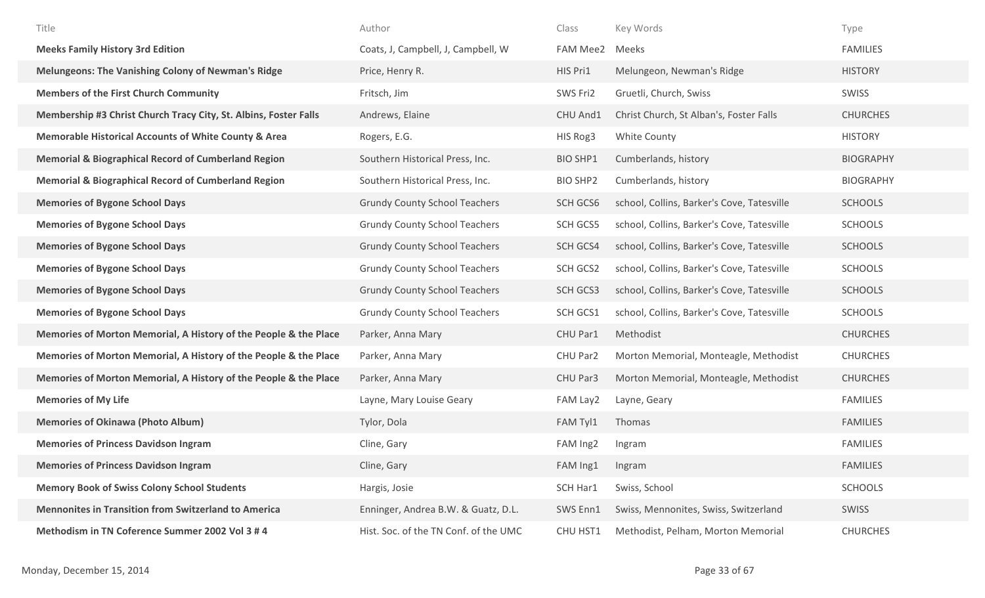| Title                                                            | Author                                | Class           | Key Words                                  | Type             |
|------------------------------------------------------------------|---------------------------------------|-----------------|--------------------------------------------|------------------|
| <b>Meeks Family History 3rd Edition</b>                          | Coats, J, Campbell, J, Campbell, W    | FAM Mee2 Meeks  |                                            | <b>FAMILIES</b>  |
| <b>Melungeons: The Vanishing Colony of Newman's Ridge</b>        | Price, Henry R.                       | HIS Pri1        | Melungeon, Newman's Ridge                  | <b>HISTORY</b>   |
| <b>Members of the First Church Community</b>                     | Fritsch, Jim                          | SWS Fri2        | Gruetli, Church, Swiss                     | <b>SWISS</b>     |
| Membership #3 Christ Church Tracy City, St. Albins, Foster Falls | Andrews, Elaine                       | CHU And1        | Christ Church, St Alban's, Foster Falls    | <b>CHURCHES</b>  |
| <b>Memorable Historical Accounts of White County &amp; Area</b>  | Rogers, E.G.                          | HIS Rog3        | White County                               | <b>HISTORY</b>   |
| <b>Memorial &amp; Biographical Record of Cumberland Region</b>   | Southern Historical Press, Inc.       | <b>BIO SHP1</b> | Cumberlands, history                       | <b>BIOGRAPHY</b> |
| <b>Memorial &amp; Biographical Record of Cumberland Region</b>   | Southern Historical Press, Inc.       | <b>BIO SHP2</b> | Cumberlands, history                       | <b>BIOGRAPHY</b> |
| <b>Memories of Bygone School Days</b>                            | <b>Grundy County School Teachers</b>  | SCH GCS6        | school, Collins, Barker's Cove, Tatesville | <b>SCHOOLS</b>   |
| <b>Memories of Bygone School Days</b>                            | <b>Grundy County School Teachers</b>  | SCH GCS5        | school, Collins, Barker's Cove, Tatesville | <b>SCHOOLS</b>   |
| <b>Memories of Bygone School Days</b>                            | <b>Grundy County School Teachers</b>  | SCH GCS4        | school, Collins, Barker's Cove, Tatesville | <b>SCHOOLS</b>   |
| <b>Memories of Bygone School Days</b>                            | <b>Grundy County School Teachers</b>  | SCH GCS2        | school, Collins, Barker's Cove, Tatesville | <b>SCHOOLS</b>   |
| <b>Memories of Bygone School Days</b>                            | <b>Grundy County School Teachers</b>  | SCH GCS3        | school, Collins, Barker's Cove, Tatesville | <b>SCHOOLS</b>   |
| <b>Memories of Bygone School Days</b>                            | <b>Grundy County School Teachers</b>  | SCH GCS1        | school, Collins, Barker's Cove, Tatesville | <b>SCHOOLS</b>   |
| Memories of Morton Memorial, A History of the People & the Place | Parker, Anna Mary                     | CHU Par1        | Methodist                                  | <b>CHURCHES</b>  |
| Memories of Morton Memorial, A History of the People & the Place | Parker, Anna Mary                     | CHU Par2        | Morton Memorial, Monteagle, Methodist      | <b>CHURCHES</b>  |
| Memories of Morton Memorial, A History of the People & the Place | Parker, Anna Mary                     | CHU Par3        | Morton Memorial, Monteagle, Methodist      | <b>CHURCHES</b>  |
| <b>Memories of My Life</b>                                       | Layne, Mary Louise Geary              | FAM Lay2        | Layne, Geary                               | <b>FAMILIES</b>  |
| <b>Memories of Okinawa (Photo Album)</b>                         | Tylor, Dola                           | FAM Tyl1        | Thomas                                     | <b>FAMILIES</b>  |
| <b>Memories of Princess Davidson Ingram</b>                      | Cline, Gary                           | FAM Ing2        | Ingram                                     | <b>FAMILIES</b>  |
| <b>Memories of Princess Davidson Ingram</b>                      | Cline, Gary                           | FAM Ing1        | Ingram                                     | <b>FAMILIES</b>  |
| <b>Memory Book of Swiss Colony School Students</b>               | Hargis, Josie                         | SCH Har1        | Swiss, School                              | <b>SCHOOLS</b>   |
| <b>Mennonites in Transition from Switzerland to America</b>      | Enninger, Andrea B.W. & Guatz, D.L.   | SWS Enn1        | Swiss, Mennonites, Swiss, Switzerland      | SWISS            |
| Methodism in TN Coference Summer 2002 Vol 3 # 4                  | Hist. Soc. of the TN Conf. of the UMC | CHU HST1        | Methodist, Pelham, Morton Memorial         | <b>CHURCHES</b>  |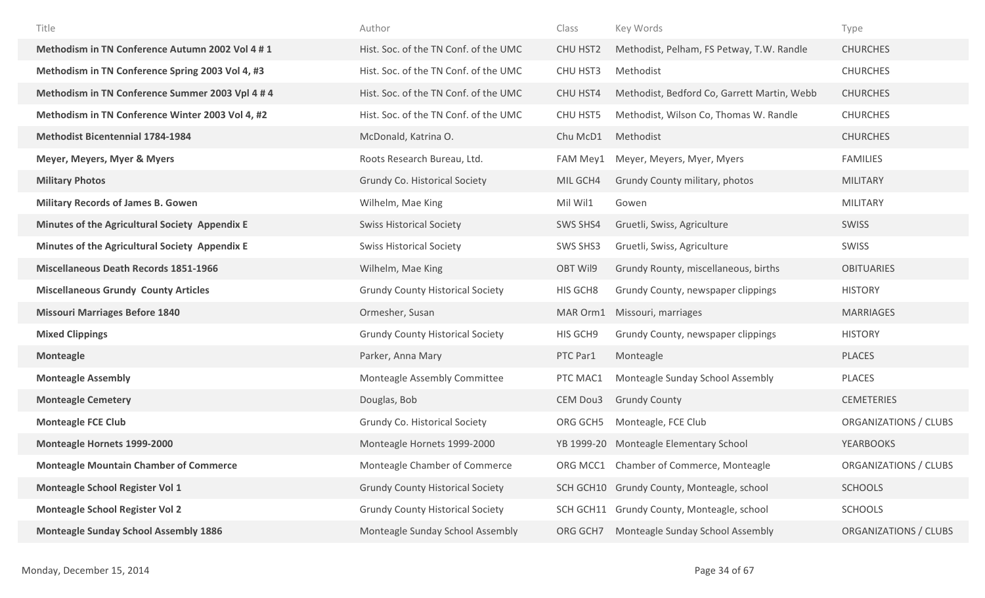| Title                                            | Author                                  | Class           | Key Words                                   | Type                         |
|--------------------------------------------------|-----------------------------------------|-----------------|---------------------------------------------|------------------------------|
| Methodism in TN Conference Autumn 2002 Vol 4 # 1 | Hist. Soc. of the TN Conf. of the UMC   | CHU HST2        | Methodist, Pelham, FS Petway, T.W. Randle   | <b>CHURCHES</b>              |
| Methodism in TN Conference Spring 2003 Vol 4, #3 | Hist. Soc. of the TN Conf. of the UMC   | CHU HST3        | Methodist                                   | <b>CHURCHES</b>              |
| Methodism in TN Conference Summer 2003 Vpl 4 # 4 | Hist. Soc. of the TN Conf. of the UMC   | <b>CHU HST4</b> | Methodist, Bedford Co, Garrett Martin, Webb | <b>CHURCHES</b>              |
| Methodism in TN Conference Winter 2003 Vol 4, #2 | Hist. Soc. of the TN Conf. of the UMC   | CHU HST5        | Methodist, Wilson Co, Thomas W. Randle      | <b>CHURCHES</b>              |
| <b>Methodist Bicentennial 1784-1984</b>          | McDonald, Katrina O.                    | Chu McD1        | Methodist                                   | <b>CHURCHES</b>              |
| Meyer, Meyers, Myer & Myers                      | Roots Research Bureau, Ltd.             | FAM Mey1        | Meyer, Meyers, Myer, Myers                  | <b>FAMILIES</b>              |
| <b>Military Photos</b>                           | Grundy Co. Historical Society           | MIL GCH4        | Grundy County military, photos              | <b>MILITARY</b>              |
| <b>Military Records of James B. Gowen</b>        | Wilhelm, Mae King                       | Mil Wil1        | Gowen                                       | <b>MILITARY</b>              |
| Minutes of the Agricultural Society Appendix E   | <b>Swiss Historical Society</b>         | SWS SHS4        | Gruetli, Swiss, Agriculture                 | <b>SWISS</b>                 |
| Minutes of the Agricultural Society Appendix E   | <b>Swiss Historical Society</b>         | SWS SHS3        | Gruetli, Swiss, Agriculture                 | <b>SWISS</b>                 |
| <b>Miscellaneous Death Records 1851-1966</b>     | Wilhelm, Mae King                       | OBT Wil9        | Grundy Rounty, miscellaneous, births        | <b>OBITUARIES</b>            |
| <b>Miscellaneous Grundy County Articles</b>      | <b>Grundy County Historical Society</b> | HIS GCH8        | Grundy County, newspaper clippings          | <b>HISTORY</b>               |
| <b>Missouri Marriages Before 1840</b>            | Ormesher, Susan                         | MAR Orm1        | Missouri, marriages                         | <b>MARRIAGES</b>             |
| <b>Mixed Clippings</b>                           | <b>Grundy County Historical Society</b> | HIS GCH9        | Grundy County, newspaper clippings          | <b>HISTORY</b>               |
| <b>Monteagle</b>                                 | Parker, Anna Mary                       | PTC Par1        | Monteagle                                   | <b>PLACES</b>                |
| <b>Monteagle Assembly</b>                        | Monteagle Assembly Committee            | PTC MAC1        | Monteagle Sunday School Assembly            | PLACES                       |
| <b>Monteagle Cemetery</b>                        | Douglas, Bob                            | CEM Dou3        | <b>Grundy County</b>                        | <b>CEMETERIES</b>            |
| <b>Monteagle FCE Club</b>                        | Grundy Co. Historical Society           | ORG GCH5        | Monteagle, FCE Club                         | ORGANIZATIONS / CLUBS        |
| Monteagle Hornets 1999-2000                      | Monteagle Hornets 1999-2000             |                 | YB 1999-20 Monteagle Elementary School      | <b>YEARBOOKS</b>             |
| <b>Monteagle Mountain Chamber of Commerce</b>    | Monteagle Chamber of Commerce           | ORG MCC1        | Chamber of Commerce, Monteagle              | <b>ORGANIZATIONS / CLUBS</b> |
| Monteagle School Register Vol 1                  | <b>Grundy County Historical Society</b> |                 | SCH GCH10 Grundy County, Monteagle, school  | <b>SCHOOLS</b>               |
| <b>Monteagle School Register Vol 2</b>           | <b>Grundy County Historical Society</b> |                 | SCH GCH11 Grundy County, Monteagle, school  | <b>SCHOOLS</b>               |
| <b>Monteagle Sunday School Assembly 1886</b>     | Monteagle Sunday School Assembly        | ORG GCH7        | Monteagle Sunday School Assembly            | ORGANIZATIONS / CLUBS        |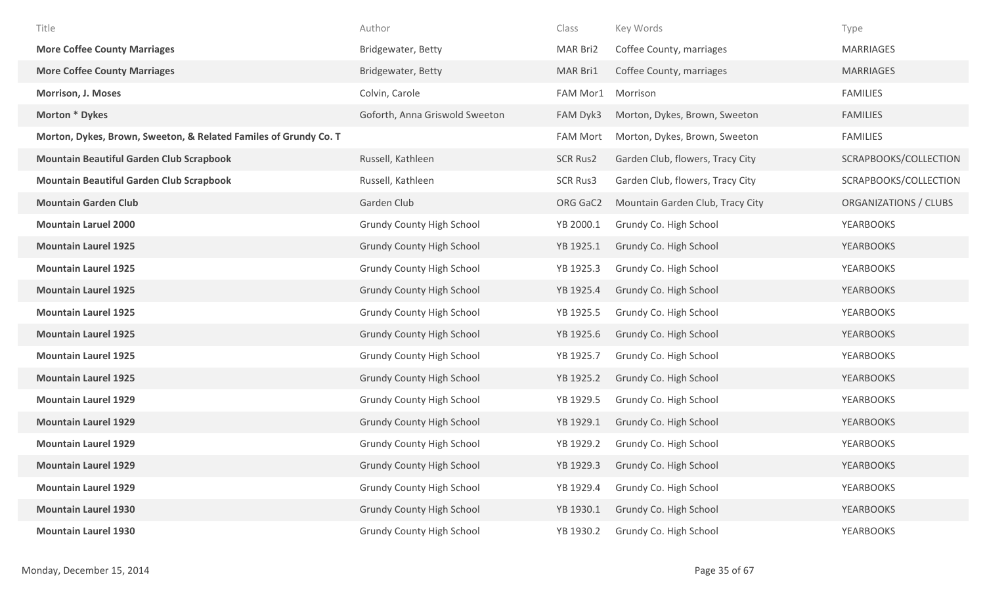| Title                                                            | Author                           | Class           | Key Words                        | Type                  |
|------------------------------------------------------------------|----------------------------------|-----------------|----------------------------------|-----------------------|
| <b>More Coffee County Marriages</b>                              | Bridgewater, Betty               | MAR Bri2        | Coffee County, marriages         | <b>MARRIAGES</b>      |
| <b>More Coffee County Marriages</b>                              | Bridgewater, Betty               | MAR Bri1        | Coffee County, marriages         | <b>MARRIAGES</b>      |
| <b>Morrison, J. Moses</b>                                        | Colvin, Carole                   | FAM Mor1        | Morrison                         | <b>FAMILIES</b>       |
| Morton * Dykes                                                   | Goforth, Anna Griswold Sweeton   | FAM Dyk3        | Morton, Dykes, Brown, Sweeton    | <b>FAMILIES</b>       |
| Morton, Dykes, Brown, Sweeton, & Related Familes of Grundy Co. T |                                  | <b>FAM Mort</b> | Morton, Dykes, Brown, Sweeton    | <b>FAMILIES</b>       |
| <b>Mountain Beautiful Garden Club Scrapbook</b>                  | Russell, Kathleen                | <b>SCR Rus2</b> | Garden Club, flowers, Tracy City | SCRAPBOOKS/COLLECTION |
| <b>Mountain Beautiful Garden Club Scrapbook</b>                  | Russell, Kathleen                | <b>SCR Rus3</b> | Garden Club, flowers, Tracy City | SCRAPBOOKS/COLLECTION |
| <b>Mountain Garden Club</b>                                      | Garden Club                      | ORG GaC2        | Mountain Garden Club, Tracy City | ORGANIZATIONS / CLUBS |
| <b>Mountain Laruel 2000</b>                                      | <b>Grundy County High School</b> | YB 2000.1       | Grundy Co. High School           | <b>YEARBOOKS</b>      |
| <b>Mountain Laurel 1925</b>                                      | <b>Grundy County High School</b> | YB 1925.1       | Grundy Co. High School           | <b>YEARBOOKS</b>      |
| <b>Mountain Laurel 1925</b>                                      | <b>Grundy County High School</b> | YB 1925.3       | Grundy Co. High School           | <b>YEARBOOKS</b>      |
| <b>Mountain Laurel 1925</b>                                      | <b>Grundy County High School</b> | YB 1925.4       | Grundy Co. High School           | <b>YEARBOOKS</b>      |
| <b>Mountain Laurel 1925</b>                                      | <b>Grundy County High School</b> | YB 1925.5       | Grundy Co. High School           | <b>YEARBOOKS</b>      |
| <b>Mountain Laurel 1925</b>                                      | <b>Grundy County High School</b> | YB 1925.6       | Grundy Co. High School           | <b>YEARBOOKS</b>      |
| <b>Mountain Laurel 1925</b>                                      | <b>Grundy County High School</b> | YB 1925.7       | Grundy Co. High School           | <b>YEARBOOKS</b>      |
| <b>Mountain Laurel 1925</b>                                      | <b>Grundy County High School</b> | YB 1925.2       | Grundy Co. High School           | <b>YEARBOOKS</b>      |
| <b>Mountain Laurel 1929</b>                                      | <b>Grundy County High School</b> | YB 1929.5       | Grundy Co. High School           | <b>YEARBOOKS</b>      |
| <b>Mountain Laurel 1929</b>                                      | <b>Grundy County High School</b> | YB 1929.1       | Grundy Co. High School           | <b>YEARBOOKS</b>      |
| <b>Mountain Laurel 1929</b>                                      | <b>Grundy County High School</b> | YB 1929.2       | Grundy Co. High School           | <b>YEARBOOKS</b>      |
| <b>Mountain Laurel 1929</b>                                      | <b>Grundy County High School</b> | YB 1929.3       | Grundy Co. High School           | <b>YEARBOOKS</b>      |
| <b>Mountain Laurel 1929</b>                                      | <b>Grundy County High School</b> | YB 1929.4       | Grundy Co. High School           | <b>YEARBOOKS</b>      |
| <b>Mountain Laurel 1930</b>                                      | <b>Grundy County High School</b> | YB 1930.1       | Grundy Co. High School           | <b>YEARBOOKS</b>      |
| <b>Mountain Laurel 1930</b>                                      | <b>Grundy County High School</b> | YB 1930.2       | Grundy Co. High School           | <b>YEARBOOKS</b>      |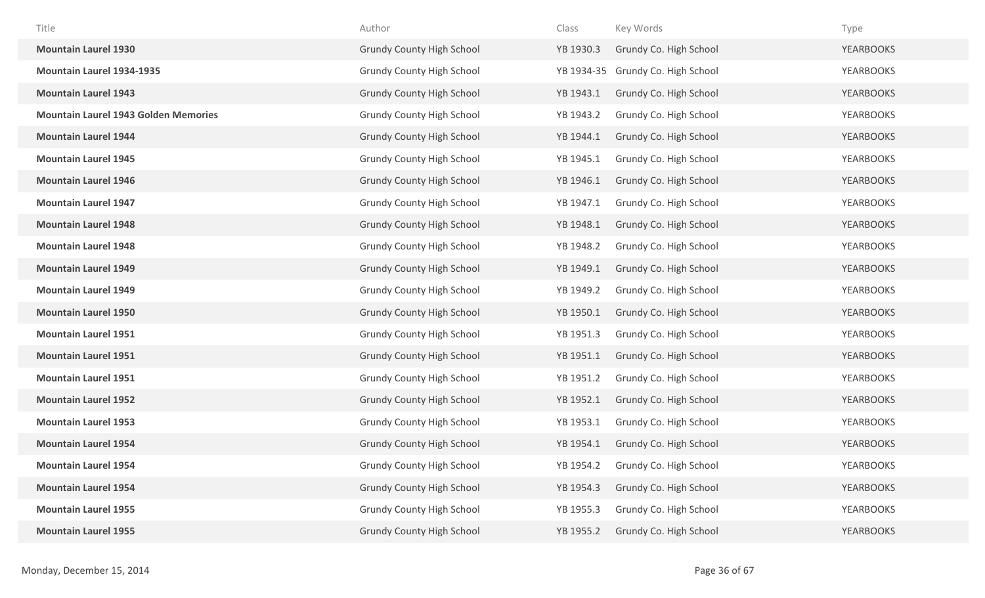| Title                                       | Author                           | Class      | Key Words              | Type             |
|---------------------------------------------|----------------------------------|------------|------------------------|------------------|
| <b>Mountain Laurel 1930</b>                 | <b>Grundy County High School</b> | YB 1930.3  | Grundy Co. High School | <b>YEARBOOKS</b> |
| <b>Mountain Laurel 1934-1935</b>            | <b>Grundy County High School</b> | YB 1934-35 | Grundy Co. High School | <b>YEARBOOKS</b> |
| <b>Mountain Laurel 1943</b>                 | <b>Grundy County High School</b> | YB 1943.1  | Grundy Co. High School | <b>YEARBOOKS</b> |
| <b>Mountain Laurel 1943 Golden Memories</b> | <b>Grundy County High School</b> | YB 1943.2  | Grundy Co. High School | <b>YEARBOOKS</b> |
| <b>Mountain Laurel 1944</b>                 | <b>Grundy County High School</b> | YB 1944.1  | Grundy Co. High School | <b>YEARBOOKS</b> |
| <b>Mountain Laurel 1945</b>                 | <b>Grundy County High School</b> | YB 1945.1  | Grundy Co. High School | <b>YEARBOOKS</b> |
| <b>Mountain Laurel 1946</b>                 | <b>Grundy County High School</b> | YB 1946.1  | Grundy Co. High School | <b>YEARBOOKS</b> |
| <b>Mountain Laurel 1947</b>                 | <b>Grundy County High School</b> | YB 1947.1  | Grundy Co. High School | <b>YEARBOOKS</b> |
| <b>Mountain Laurel 1948</b>                 | <b>Grundy County High School</b> | YB 1948.1  | Grundy Co. High School | <b>YEARBOOKS</b> |
| <b>Mountain Laurel 1948</b>                 | <b>Grundy County High School</b> | YB 1948.2  | Grundy Co. High School | <b>YEARBOOKS</b> |
| <b>Mountain Laurel 1949</b>                 | <b>Grundy County High School</b> | YB 1949.1  | Grundy Co. High School | <b>YEARBOOKS</b> |
| <b>Mountain Laurel 1949</b>                 | <b>Grundy County High School</b> | YB 1949.2  | Grundy Co. High School | <b>YEARBOOKS</b> |
| <b>Mountain Laurel 1950</b>                 | <b>Grundy County High School</b> | YB 1950.1  | Grundy Co. High School | <b>YEARBOOKS</b> |
| <b>Mountain Laurel 1951</b>                 | <b>Grundy County High School</b> | YB 1951.3  | Grundy Co. High School | YEARBOOKS        |
| <b>Mountain Laurel 1951</b>                 | <b>Grundy County High School</b> | YB 1951.1  | Grundy Co. High School | <b>YEARBOOKS</b> |
| <b>Mountain Laurel 1951</b>                 | <b>Grundy County High School</b> | YB 1951.2  | Grundy Co. High School | YEARBOOKS        |
| <b>Mountain Laurel 1952</b>                 | <b>Grundy County High School</b> | YB 1952.1  | Grundy Co. High School | <b>YEARBOOKS</b> |
| <b>Mountain Laurel 1953</b>                 | <b>Grundy County High School</b> | YB 1953.1  | Grundy Co. High School | <b>YEARBOOKS</b> |
| <b>Mountain Laurel 1954</b>                 | <b>Grundy County High School</b> | YB 1954.1  | Grundy Co. High School | <b>YEARBOOKS</b> |
| <b>Mountain Laurel 1954</b>                 | <b>Grundy County High School</b> | YB 1954.2  | Grundy Co. High School | <b>YEARBOOKS</b> |
| <b>Mountain Laurel 1954</b>                 | <b>Grundy County High School</b> | YB 1954.3  | Grundy Co. High School | <b>YEARBOOKS</b> |
| <b>Mountain Laurel 1955</b>                 | <b>Grundy County High School</b> | YB 1955.3  | Grundy Co. High School | <b>YEARBOOKS</b> |
| <b>Mountain Laurel 1955</b>                 | <b>Grundy County High School</b> | YB 1955.2  | Grundy Co. High School | <b>YEARBOOKS</b> |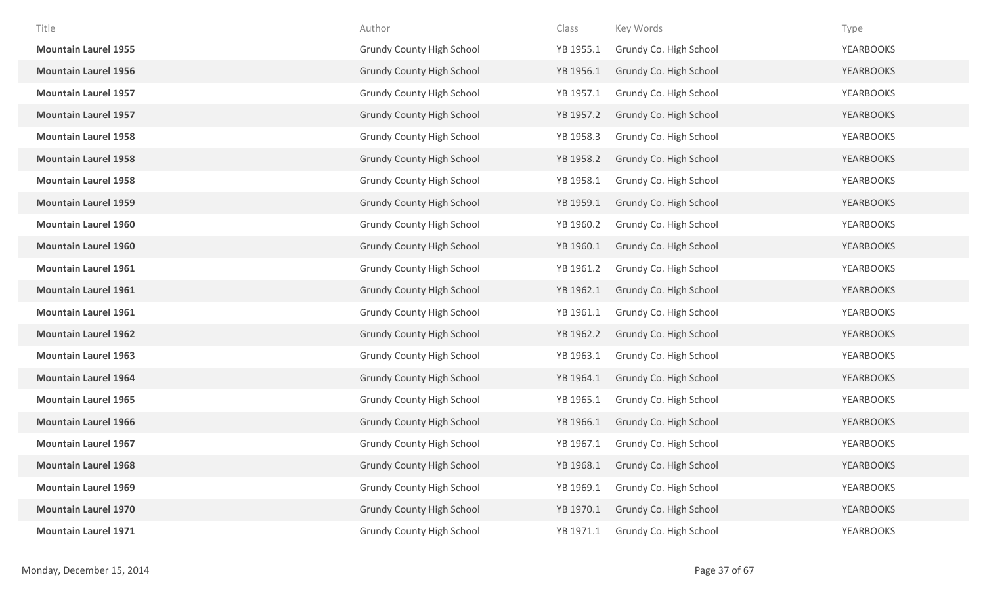| Title                       | Author                           | Class     | Key Words              | Type             |
|-----------------------------|----------------------------------|-----------|------------------------|------------------|
| <b>Mountain Laurel 1955</b> | <b>Grundy County High School</b> | YB 1955.1 | Grundy Co. High School | <b>YEARBOOKS</b> |
| <b>Mountain Laurel 1956</b> | <b>Grundy County High School</b> | YB 1956.1 | Grundy Co. High School | <b>YEARBOOKS</b> |
| <b>Mountain Laurel 1957</b> | <b>Grundy County High School</b> | YB 1957.1 | Grundy Co. High School | <b>YEARBOOKS</b> |
| <b>Mountain Laurel 1957</b> | <b>Grundy County High School</b> | YB 1957.2 | Grundy Co. High School | <b>YEARBOOKS</b> |
| <b>Mountain Laurel 1958</b> | <b>Grundy County High School</b> | YB 1958.3 | Grundy Co. High School | <b>YEARBOOKS</b> |
| <b>Mountain Laurel 1958</b> | <b>Grundy County High School</b> | YB 1958.2 | Grundy Co. High School | <b>YEARBOOKS</b> |
| <b>Mountain Laurel 1958</b> | <b>Grundy County High School</b> | YB 1958.1 | Grundy Co. High School | <b>YEARBOOKS</b> |
| <b>Mountain Laurel 1959</b> | <b>Grundy County High School</b> | YB 1959.1 | Grundy Co. High School | <b>YEARBOOKS</b> |
| <b>Mountain Laurel 1960</b> | <b>Grundy County High School</b> | YB 1960.2 | Grundy Co. High School | YEARBOOKS        |
| <b>Mountain Laurel 1960</b> | <b>Grundy County High School</b> | YB 1960.1 | Grundy Co. High School | <b>YEARBOOKS</b> |
| <b>Mountain Laurel 1961</b> | <b>Grundy County High School</b> | YB 1961.2 | Grundy Co. High School | <b>YEARBOOKS</b> |
| <b>Mountain Laurel 1961</b> | <b>Grundy County High School</b> | YB 1962.1 | Grundy Co. High School | <b>YEARBOOKS</b> |
| <b>Mountain Laurel 1961</b> | <b>Grundy County High School</b> | YB 1961.1 | Grundy Co. High School | <b>YEARBOOKS</b> |
| <b>Mountain Laurel 1962</b> | <b>Grundy County High School</b> | YB 1962.2 | Grundy Co. High School | <b>YEARBOOKS</b> |
| <b>Mountain Laurel 1963</b> | <b>Grundy County High School</b> | YB 1963.1 | Grundy Co. High School | YEARBOOKS        |
| <b>Mountain Laurel 1964</b> | <b>Grundy County High School</b> | YB 1964.1 | Grundy Co. High School | <b>YEARBOOKS</b> |
| <b>Mountain Laurel 1965</b> | <b>Grundy County High School</b> | YB 1965.1 | Grundy Co. High School | YEARBOOKS        |
| <b>Mountain Laurel 1966</b> | <b>Grundy County High School</b> | YB 1966.1 | Grundy Co. High School | <b>YEARBOOKS</b> |
| <b>Mountain Laurel 1967</b> | <b>Grundy County High School</b> | YB 1967.1 | Grundy Co. High School | YEARBOOKS        |
| <b>Mountain Laurel 1968</b> | <b>Grundy County High School</b> | YB 1968.1 | Grundy Co. High School | <b>YEARBOOKS</b> |
| <b>Mountain Laurel 1969</b> | <b>Grundy County High School</b> | YB 1969.1 | Grundy Co. High School | <b>YEARBOOKS</b> |
| <b>Mountain Laurel 1970</b> | <b>Grundy County High School</b> | YB 1970.1 | Grundy Co. High School | <b>YEARBOOKS</b> |
| <b>Mountain Laurel 1971</b> | <b>Grundy County High School</b> | YB 1971.1 | Grundy Co. High School | <b>YEARBOOKS</b> |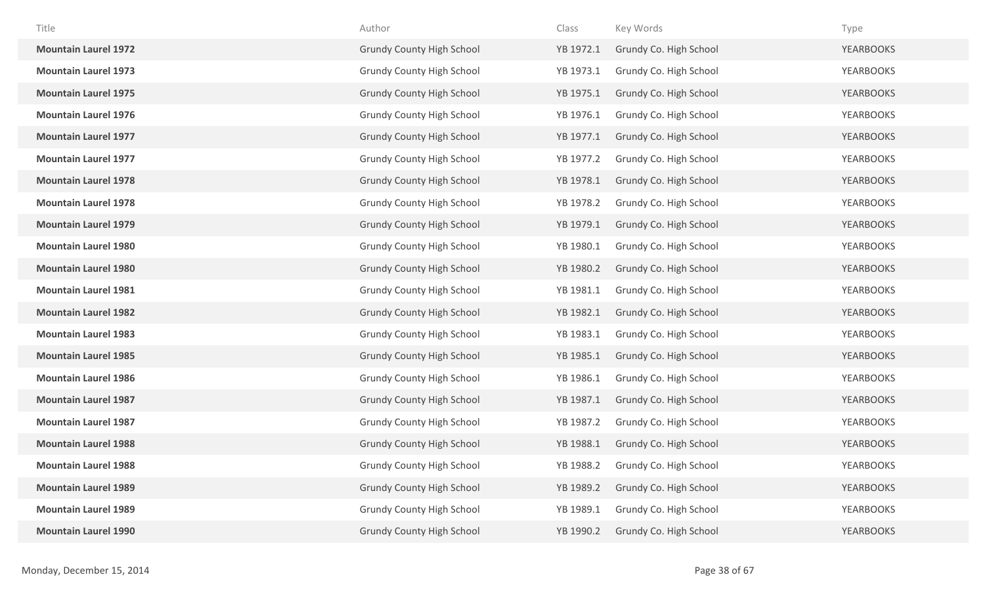| Title                       | Author                           | Class     | Key Words              | Type             |
|-----------------------------|----------------------------------|-----------|------------------------|------------------|
| <b>Mountain Laurel 1972</b> | <b>Grundy County High School</b> | YB 1972.1 | Grundy Co. High School | <b>YEARBOOKS</b> |
| <b>Mountain Laurel 1973</b> | <b>Grundy County High School</b> | YB 1973.1 | Grundy Co. High School | <b>YEARBOOKS</b> |
| <b>Mountain Laurel 1975</b> | <b>Grundy County High School</b> | YB 1975.1 | Grundy Co. High School | <b>YEARBOOKS</b> |
| <b>Mountain Laurel 1976</b> | <b>Grundy County High School</b> | YB 1976.1 | Grundy Co. High School | <b>YEARBOOKS</b> |
| <b>Mountain Laurel 1977</b> | <b>Grundy County High School</b> | YB 1977.1 | Grundy Co. High School | <b>YEARBOOKS</b> |
| <b>Mountain Laurel 1977</b> | <b>Grundy County High School</b> | YB 1977.2 | Grundy Co. High School | <b>YEARBOOKS</b> |
| <b>Mountain Laurel 1978</b> | <b>Grundy County High School</b> | YB 1978.1 | Grundy Co. High School | <b>YEARBOOKS</b> |
| <b>Mountain Laurel 1978</b> | <b>Grundy County High School</b> | YB 1978.2 | Grundy Co. High School | YEARBOOKS        |
| <b>Mountain Laurel 1979</b> | <b>Grundy County High School</b> | YB 1979.1 | Grundy Co. High School | <b>YEARBOOKS</b> |
| <b>Mountain Laurel 1980</b> | <b>Grundy County High School</b> | YB 1980.1 | Grundy Co. High School | <b>YEARBOOKS</b> |
| <b>Mountain Laurel 1980</b> | <b>Grundy County High School</b> | YB 1980.2 | Grundy Co. High School | <b>YEARBOOKS</b> |
| <b>Mountain Laurel 1981</b> | <b>Grundy County High School</b> | YB 1981.1 | Grundy Co. High School | <b>YEARBOOKS</b> |
| <b>Mountain Laurel 1982</b> | <b>Grundy County High School</b> | YB 1982.1 | Grundy Co. High School | <b>YEARBOOKS</b> |
| <b>Mountain Laurel 1983</b> | <b>Grundy County High School</b> | YB 1983.1 | Grundy Co. High School | <b>YEARBOOKS</b> |
| <b>Mountain Laurel 1985</b> | <b>Grundy County High School</b> | YB 1985.1 | Grundy Co. High School | <b>YEARBOOKS</b> |
| <b>Mountain Laurel 1986</b> | <b>Grundy County High School</b> | YB 1986.1 | Grundy Co. High School | YEARBOOKS        |
| <b>Mountain Laurel 1987</b> | <b>Grundy County High School</b> | YB 1987.1 | Grundy Co. High School | <b>YEARBOOKS</b> |
| <b>Mountain Laurel 1987</b> | <b>Grundy County High School</b> | YB 1987.2 | Grundy Co. High School | YEARBOOKS        |
| <b>Mountain Laurel 1988</b> | <b>Grundy County High School</b> | YB 1988.1 | Grundy Co. High School | <b>YEARBOOKS</b> |
| <b>Mountain Laurel 1988</b> | <b>Grundy County High School</b> | YB 1988.2 | Grundy Co. High School | <b>YEARBOOKS</b> |
| <b>Mountain Laurel 1989</b> | <b>Grundy County High School</b> | YB 1989.2 | Grundy Co. High School | <b>YEARBOOKS</b> |
| <b>Mountain Laurel 1989</b> | <b>Grundy County High School</b> | YB 1989.1 | Grundy Co. High School | YEARBOOKS        |
| <b>Mountain Laurel 1990</b> | <b>Grundy County High School</b> | YB 1990.2 | Grundy Co. High School | <b>YEARBOOKS</b> |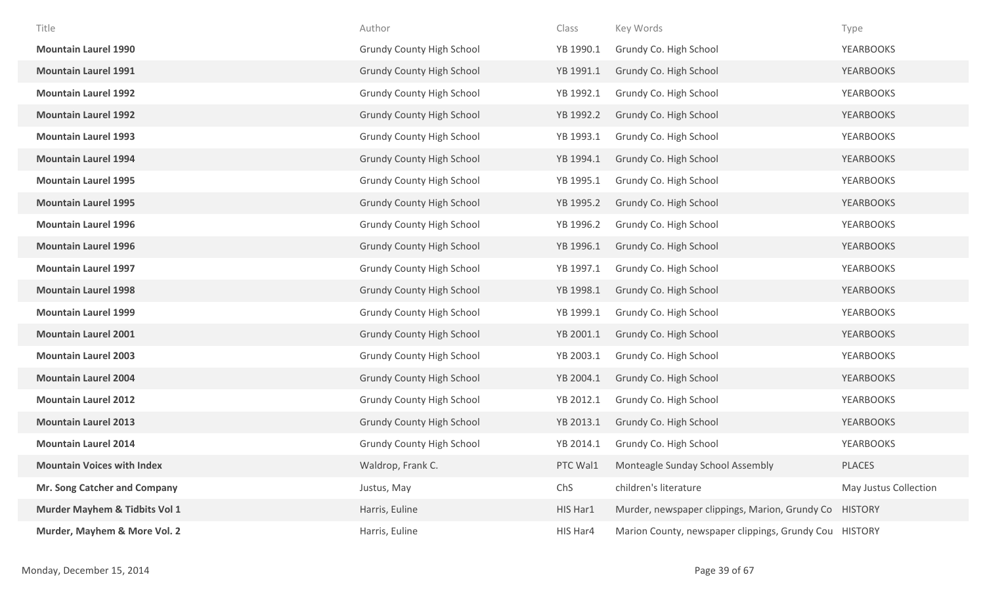| Title                             | Author                           | Class     | Key Words                                              | Type                  |
|-----------------------------------|----------------------------------|-----------|--------------------------------------------------------|-----------------------|
| <b>Mountain Laurel 1990</b>       | <b>Grundy County High School</b> | YB 1990.1 | Grundy Co. High School                                 | <b>YEARBOOKS</b>      |
| <b>Mountain Laurel 1991</b>       | <b>Grundy County High School</b> | YB 1991.1 | Grundy Co. High School                                 | <b>YEARBOOKS</b>      |
| <b>Mountain Laurel 1992</b>       | <b>Grundy County High School</b> | YB 1992.1 | Grundy Co. High School                                 | <b>YEARBOOKS</b>      |
| <b>Mountain Laurel 1992</b>       | <b>Grundy County High School</b> | YB 1992.2 | Grundy Co. High School                                 | <b>YEARBOOKS</b>      |
| <b>Mountain Laurel 1993</b>       | <b>Grundy County High School</b> | YB 1993.1 | Grundy Co. High School                                 | <b>YEARBOOKS</b>      |
| <b>Mountain Laurel 1994</b>       | <b>Grundy County High School</b> | YB 1994.1 | Grundy Co. High School                                 | <b>YEARBOOKS</b>      |
| <b>Mountain Laurel 1995</b>       | <b>Grundy County High School</b> | YB 1995.1 | Grundy Co. High School                                 | <b>YEARBOOKS</b>      |
| <b>Mountain Laurel 1995</b>       | <b>Grundy County High School</b> | YB 1995.2 | Grundy Co. High School                                 | <b>YEARBOOKS</b>      |
| <b>Mountain Laurel 1996</b>       | <b>Grundy County High School</b> | YB 1996.2 | Grundy Co. High School                                 | YEARBOOKS             |
| <b>Mountain Laurel 1996</b>       | <b>Grundy County High School</b> | YB 1996.1 | Grundy Co. High School                                 | <b>YEARBOOKS</b>      |
| <b>Mountain Laurel 1997</b>       | <b>Grundy County High School</b> | YB 1997.1 | Grundy Co. High School                                 | <b>YEARBOOKS</b>      |
| <b>Mountain Laurel 1998</b>       | <b>Grundy County High School</b> | YB 1998.1 | Grundy Co. High School                                 | <b>YEARBOOKS</b>      |
| <b>Mountain Laurel 1999</b>       | <b>Grundy County High School</b> | YB 1999.1 | Grundy Co. High School                                 | <b>YEARBOOKS</b>      |
| <b>Mountain Laurel 2001</b>       | <b>Grundy County High School</b> | YB 2001.1 | Grundy Co. High School                                 | <b>YEARBOOKS</b>      |
| <b>Mountain Laurel 2003</b>       | <b>Grundy County High School</b> | YB 2003.1 | Grundy Co. High School                                 | <b>YEARBOOKS</b>      |
| <b>Mountain Laurel 2004</b>       | <b>Grundy County High School</b> | YB 2004.1 | Grundy Co. High School                                 | <b>YEARBOOKS</b>      |
| <b>Mountain Laurel 2012</b>       | <b>Grundy County High School</b> | YB 2012.1 | Grundy Co. High School                                 | YEARBOOKS             |
| <b>Mountain Laurel 2013</b>       | <b>Grundy County High School</b> | YB 2013.1 | Grundy Co. High School                                 | <b>YEARBOOKS</b>      |
| <b>Mountain Laurel 2014</b>       | <b>Grundy County High School</b> | YB 2014.1 | Grundy Co. High School                                 | <b>YEARBOOKS</b>      |
| <b>Mountain Voices with Index</b> | Waldrop, Frank C.                | PTC Wal1  | Monteagle Sunday School Assembly                       | PLACES                |
| Mr. Song Catcher and Company      | Justus, May                      | ChS       | children's literature                                  | May Justus Collection |
| Murder Mayhem & Tidbits Vol 1     | Harris, Euline                   | HIS Har1  | Murder, newspaper clippings, Marion, Grundy Co HISTORY |                       |
| Murder, Mayhem & More Vol. 2      | Harris, Euline                   | HIS Har4  | Marion County, newspaper clippings, Grundy Cou HISTORY |                       |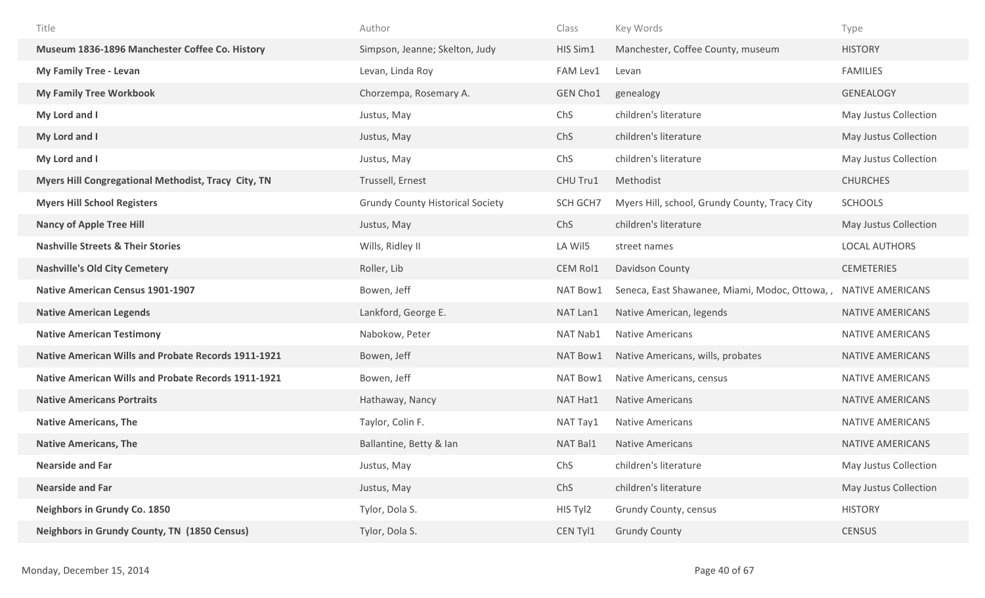| Title                                                      | Author                                  | Class    | Key Words                                                       | Type                    |
|------------------------------------------------------------|-----------------------------------------|----------|-----------------------------------------------------------------|-------------------------|
| Museum 1836-1896 Manchester Coffee Co. History             | Simpson, Jeanne; Skelton, Judy          | HIS Sim1 | Manchester, Coffee County, museum                               | <b>HISTORY</b>          |
| <b>My Family Tree - Levan</b>                              | Levan, Linda Roy                        | FAM Lev1 | Levan                                                           | <b>FAMILIES</b>         |
| <b>My Family Tree Workbook</b>                             | Chorzempa, Rosemary A.                  | GEN Cho1 | genealogy                                                       | <b>GENEALOGY</b>        |
| My Lord and I                                              | Justus, May                             | ChS      | children's literature                                           | May Justus Collection   |
| My Lord and I                                              | Justus, May                             | ChS      | children's literature                                           | May Justus Collection   |
| My Lord and I                                              | Justus, May                             | ChS      | children's literature                                           | May Justus Collection   |
| Myers Hill Congregational Methodist, Tracy City, TN        | Trussell, Ernest                        | CHU Tru1 | Methodist                                                       | <b>CHURCHES</b>         |
| <b>Myers Hill School Registers</b>                         | <b>Grundy County Historical Society</b> | SCH GCH7 | Myers Hill, school, Grundy County, Tracy City                   | <b>SCHOOLS</b>          |
| <b>Nancy of Apple Tree Hill</b>                            | Justus, May                             | ChS      | children's literature                                           | May Justus Collection   |
| <b>Nashville Streets &amp; Their Stories</b>               | Wills, Ridley II                        | LA Wil5  | street names                                                    | <b>LOCAL AUTHORS</b>    |
| <b>Nashville's Old City Cemetery</b>                       | Roller, Lib                             | CEM Rol1 | Davidson County                                                 | <b>CEMETERIES</b>       |
| <b>Native American Census 1901-1907</b>                    | Bowen, Jeff                             | NAT Bow1 | Seneca, East Shawanee, Miami, Modoc, Ottowa, , NATIVE AMERICANS |                         |
| <b>Native American Legends</b>                             | Lankford, George E.                     | NAT Lan1 | Native American, legends                                        | NATIVE AMERICANS        |
| <b>Native American Testimony</b>                           | Nabokow, Peter                          | NAT Nab1 | <b>Native Americans</b>                                         | NATIVE AMERICANS        |
| <b>Native American Wills and Probate Records 1911-1921</b> | Bowen, Jeff                             | NAT Bow1 | Native Americans, wills, probates                               | NATIVE AMERICANS        |
| <b>Native American Wills and Probate Records 1911-1921</b> | Bowen, Jeff                             | NAT Bow1 | Native Americans, census                                        | NATIVE AMERICANS        |
| <b>Native Americans Portraits</b>                          | Hathaway, Nancy                         | NAT Hat1 | <b>Native Americans</b>                                         | NATIVE AMERICANS        |
| <b>Native Americans, The</b>                               | Taylor, Colin F.                        | NAT Tay1 | <b>Native Americans</b>                                         | NATIVE AMERICANS        |
| <b>Native Americans, The</b>                               | Ballantine, Betty & Ian                 | NAT Bal1 | <b>Native Americans</b>                                         | <b>NATIVE AMERICANS</b> |
| <b>Nearside and Far</b>                                    | Justus, May                             | ChS      | children's literature                                           | May Justus Collection   |
| <b>Nearside and Far</b>                                    | Justus, May                             | ChS      | children's literature                                           | May Justus Collection   |
| <b>Neighbors in Grundy Co. 1850</b>                        | Tylor, Dola S.                          | HIS Tyl2 | Grundy County, census                                           | <b>HISTORY</b>          |
| Neighbors in Grundy County, TN (1850 Census)               | Tylor, Dola S.                          | CEN Tyl1 | <b>Grundy County</b>                                            | <b>CENSUS</b>           |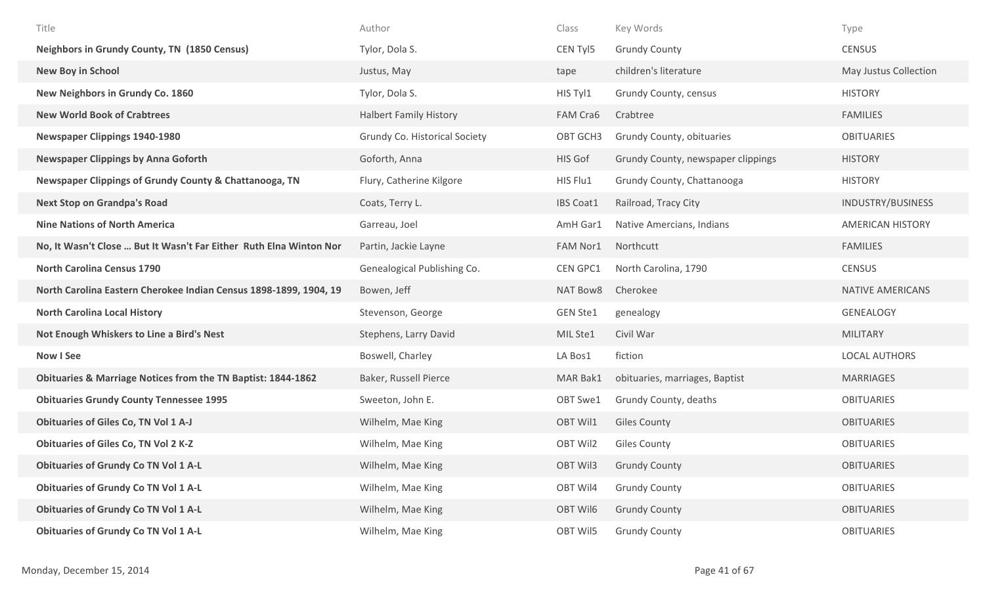| Title                                                                   | Author                        | Class            | Key Words                          | Type                    |
|-------------------------------------------------------------------------|-------------------------------|------------------|------------------------------------|-------------------------|
| Neighbors in Grundy County, TN (1850 Census)                            | Tylor, Dola S.                | CEN Tyl5         | <b>Grundy County</b>               | <b>CENSUS</b>           |
| New Boy in School                                                       | Justus, May                   | tape             | children's literature              | May Justus Collection   |
| New Neighbors in Grundy Co. 1860                                        | Tylor, Dola S.                | HIS Tyl1         | Grundy County, census              | <b>HISTORY</b>          |
| <b>New World Book of Crabtrees</b>                                      | <b>Halbert Family History</b> | FAM Cra6         | Crabtree                           | <b>FAMILIES</b>         |
| <b>Newspaper Clippings 1940-1980</b>                                    | Grundy Co. Historical Society | OBT GCH3         | Grundy County, obituaries          | <b>OBITUARIES</b>       |
| <b>Newspaper Clippings by Anna Goforth</b>                              | Goforth, Anna                 | HIS Gof          | Grundy County, newspaper clippings | <b>HISTORY</b>          |
| Newspaper Clippings of Grundy County & Chattanooga, TN                  | Flury, Catherine Kilgore      | HIS Flu1         | Grundy County, Chattanooga         | <b>HISTORY</b>          |
| <b>Next Stop on Grandpa's Road</b>                                      | Coats, Terry L.               | <b>IBS Coat1</b> | Railroad, Tracy City               | INDUSTRY/BUSINESS       |
| <b>Nine Nations of North America</b>                                    | Garreau, Joel                 | AmH Gar1         | Native Amercians, Indians          | <b>AMERICAN HISTORY</b> |
| No, It Wasn't Close  But It Wasn't Far Either Ruth Elna Winton Nor      | Partin, Jackie Layne          | FAM Nor1         | Northcutt                          | <b>FAMILIES</b>         |
| <b>North Carolina Census 1790</b>                                       | Genealogical Publishing Co.   | CEN GPC1         | North Carolina, 1790               | <b>CENSUS</b>           |
|                                                                         |                               |                  |                                    |                         |
| North Carolina Eastern Cherokee Indian Census 1898-1899, 1904, 19       | Bowen, Jeff                   | NAT Bow8         | Cherokee                           | NATIVE AMERICANS        |
| <b>North Carolina Local History</b>                                     | Stevenson, George             | <b>GEN Ste1</b>  | genealogy                          | <b>GENEALOGY</b>        |
| Not Enough Whiskers to Line a Bird's Nest                               | Stephens, Larry David         | MIL Ste1         | Civil War                          | <b>MILITARY</b>         |
| <b>Now I See</b>                                                        | Boswell, Charley              | LA Bos1          | fiction                            | <b>LOCAL AUTHORS</b>    |
| <b>Obituaries &amp; Marriage Notices from the TN Baptist: 1844-1862</b> | Baker, Russell Pierce         | MAR Bak1         | obituaries, marriages, Baptist     | <b>MARRIAGES</b>        |
| <b>Obituaries Grundy County Tennessee 1995</b>                          | Sweeton, John E.              | OBT Swe1         | Grundy County, deaths              | <b>OBITUARIES</b>       |
| <b>Obituaries of Giles Co, TN Vol 1 A-J</b>                             | Wilhelm, Mae King             | OBT Wil1         | <b>Giles County</b>                | <b>OBITUARIES</b>       |
| <b>Obituaries of Giles Co, TN Vol 2 K-Z</b>                             | Wilhelm, Mae King             | OBT Wil2         | <b>Giles County</b>                | <b>OBITUARIES</b>       |
| <b>Obituaries of Grundy Co TN Vol 1 A-L</b>                             | Wilhelm, Mae King             | <b>OBT Wil3</b>  | <b>Grundy County</b>               | <b>OBITUARIES</b>       |
| <b>Obituaries of Grundy Co TN Vol 1 A-L</b>                             | Wilhelm, Mae King             | OBT Wil4         | <b>Grundy County</b>               | <b>OBITUARIES</b>       |
| <b>Obituaries of Grundy Co TN Vol 1 A-L</b>                             | Wilhelm, Mae King             | OBT Wil6         | <b>Grundy County</b>               | <b>OBITUARIES</b>       |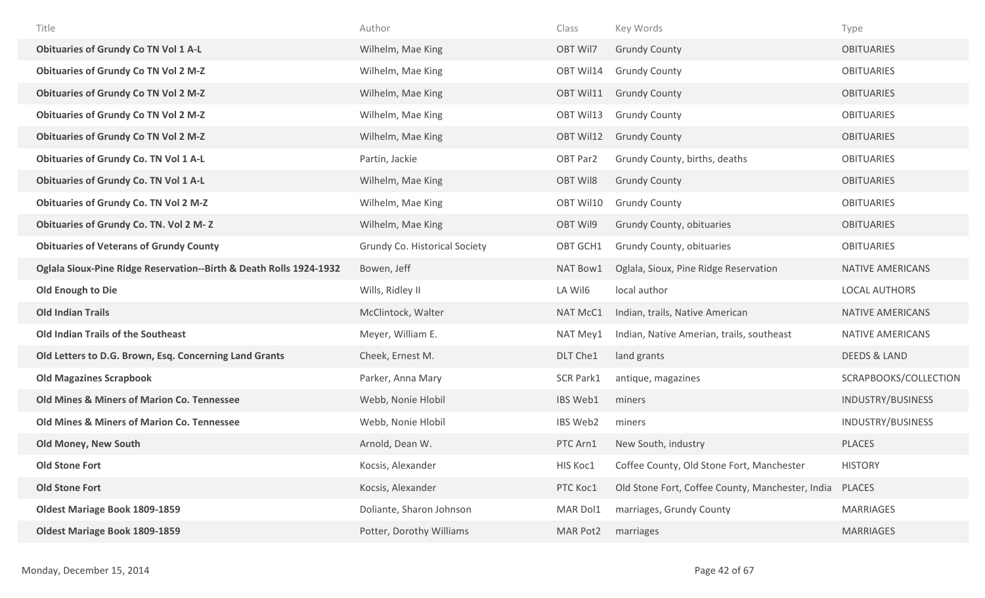| Title                                                              | Author                        | Class            | Key Words                                        | Type                  |
|--------------------------------------------------------------------|-------------------------------|------------------|--------------------------------------------------|-----------------------|
| <b>Obituaries of Grundy Co TN Vol 1 A-L</b>                        | Wilhelm, Mae King             | OBT Wil7         | <b>Grundy County</b>                             | <b>OBITUARIES</b>     |
| <b>Obituaries of Grundy Co TN Vol 2 M-Z</b>                        | Wilhelm, Mae King             | OBT Wil14        | <b>Grundy County</b>                             | <b>OBITUARIES</b>     |
| <b>Obituaries of Grundy Co TN Vol 2 M-Z</b>                        | Wilhelm, Mae King             | OBT Wil11        | <b>Grundy County</b>                             | <b>OBITUARIES</b>     |
| <b>Obituaries of Grundy Co TN Vol 2 M-Z</b>                        | Wilhelm, Mae King             | OBT Wil13        | <b>Grundy County</b>                             | <b>OBITUARIES</b>     |
| <b>Obituaries of Grundy Co TN Vol 2 M-Z</b>                        | Wilhelm, Mae King             | OBT Wil12        | <b>Grundy County</b>                             | <b>OBITUARIES</b>     |
| <b>Obituaries of Grundy Co. TN Vol 1 A-L</b>                       | Partin, Jackie                | OBT Par2         | Grundy County, births, deaths                    | <b>OBITUARIES</b>     |
| <b>Obituaries of Grundy Co. TN Vol 1 A-L</b>                       | Wilhelm, Mae King             | <b>OBT Wil8</b>  | <b>Grundy County</b>                             | <b>OBITUARIES</b>     |
| <b>Obituaries of Grundy Co. TN Vol 2 M-Z</b>                       | Wilhelm, Mae King             | OBT Wil10        | <b>Grundy County</b>                             | <b>OBITUARIES</b>     |
| <b>Obituaries of Grundy Co. TN. Vol 2 M-Z</b>                      | Wilhelm, Mae King             | OBT Wil9         | Grundy County, obituaries                        | <b>OBITUARIES</b>     |
| <b>Obituaries of Veterans of Grundy County</b>                     | Grundy Co. Historical Society | OBT GCH1         | Grundy County, obituaries                        | <b>OBITUARIES</b>     |
| Oglala Sioux-Pine Ridge Reservation--Birth & Death Rolls 1924-1932 | Bowen, Jeff                   | NAT Bow1         | Oglala, Sioux, Pine Ridge Reservation            | NATIVE AMERICANS      |
| Old Enough to Die                                                  | Wills, Ridley II              | LA Wil6          | local author                                     | <b>LOCAL AUTHORS</b>  |
| <b>Old Indian Trails</b>                                           | McClintock, Walter            | NAT McC1         | Indian, trails, Native American                  | NATIVE AMERICANS      |
| <b>Old Indian Trails of the Southeast</b>                          | Meyer, William E.             | NAT Mey1         | Indian, Native Amerian, trails, southeast        | NATIVE AMERICANS      |
| Old Letters to D.G. Brown, Esq. Concerning Land Grants             | Cheek, Ernest M.              | DLT Che1         | land grants                                      | DEEDS & LAND          |
| <b>Old Magazines Scrapbook</b>                                     | Parker, Anna Mary             | <b>SCR Park1</b> | antique, magazines                               | SCRAPBOOKS/COLLECTION |
| Old Mines & Miners of Marion Co. Tennessee                         | Webb, Nonie Hlobil            | IBS Web1         | miners                                           | INDUSTRY/BUSINESS     |
| Old Mines & Miners of Marion Co. Tennessee                         | Webb, Nonie Hlobil            | IBS Web2         | miners                                           | INDUSTRY/BUSINESS     |
|                                                                    |                               |                  |                                                  |                       |
| <b>Old Money, New South</b>                                        | Arnold, Dean W.               | PTC Arn1         | New South, industry                              | <b>PLACES</b>         |
| <b>Old Stone Fort</b>                                              | Kocsis, Alexander             | HIS Koc1         | Coffee County, Old Stone Fort, Manchester        | <b>HISTORY</b>        |
| <b>Old Stone Fort</b>                                              | Kocsis, Alexander             | PTC Koc1         | Old Stone Fort, Coffee County, Manchester, India | <b>PLACES</b>         |
| <b>Oldest Mariage Book 1809-1859</b>                               | Doliante, Sharon Johnson      | MAR Dol1         | marriages, Grundy County                         | <b>MARRIAGES</b>      |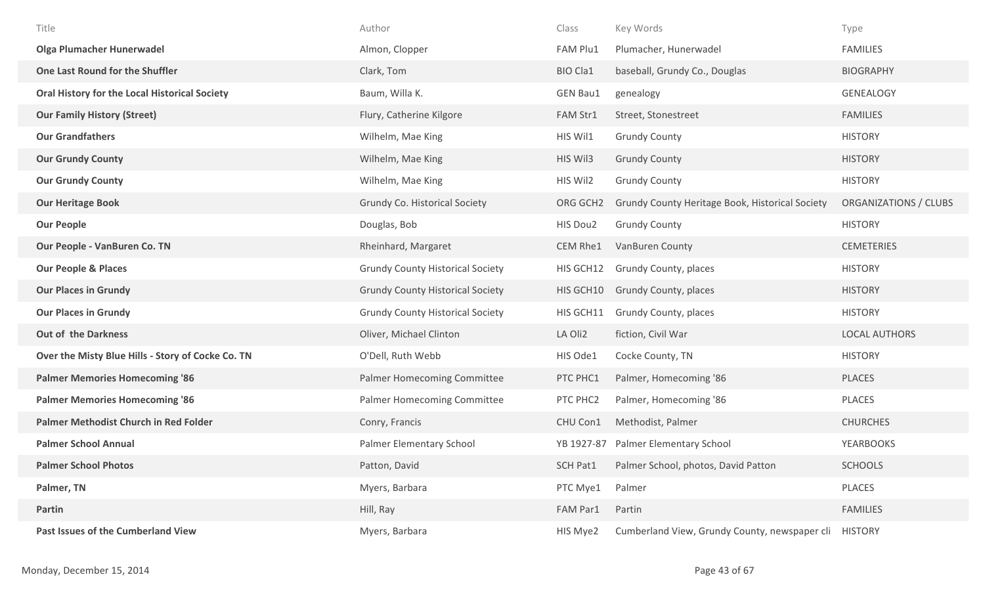| Title                                             | Author                                  | Class           | Key Words                                       | Type                  |
|---------------------------------------------------|-----------------------------------------|-----------------|-------------------------------------------------|-----------------------|
| <b>Olga Plumacher Hunerwadel</b>                  | Almon, Clopper                          | FAM Plu1        | Plumacher, Hunerwadel                           | <b>FAMILIES</b>       |
| One Last Round for the Shuffler                   | Clark, Tom                              | <b>BIO Cla1</b> | baseball, Grundy Co., Douglas                   | <b>BIOGRAPHY</b>      |
| Oral History for the Local Historical Society     | Baum, Willa K.                          | <b>GEN Bau1</b> | genealogy                                       | GENEALOGY             |
| <b>Our Family History (Street)</b>                | Flury, Catherine Kilgore                | FAM Str1        | Street, Stonestreet                             | <b>FAMILIES</b>       |
| <b>Our Grandfathers</b>                           | Wilhelm, Mae King                       | HIS Wil1        | <b>Grundy County</b>                            | <b>HISTORY</b>        |
| <b>Our Grundy County</b>                          | Wilhelm, Mae King                       | HIS Wil3        | <b>Grundy County</b>                            | <b>HISTORY</b>        |
| <b>Our Grundy County</b>                          | Wilhelm, Mae King                       | HIS Wil2        | <b>Grundy County</b>                            | <b>HISTORY</b>        |
| <b>Our Heritage Book</b>                          | Grundy Co. Historical Society           | ORG GCH2        | Grundy County Heritage Book, Historical Society | ORGANIZATIONS / CLUBS |
| <b>Our People</b>                                 | Douglas, Bob                            | HIS Dou2        | <b>Grundy County</b>                            | <b>HISTORY</b>        |
| Our People - VanBuren Co. TN                      | Rheinhard, Margaret                     | CEM Rhe1        | VanBuren County                                 | <b>CEMETERIES</b>     |
| <b>Our People &amp; Places</b>                    | <b>Grundy County Historical Society</b> | HIS GCH12       | Grundy County, places                           | <b>HISTORY</b>        |
| <b>Our Places in Grundy</b>                       | <b>Grundy County Historical Society</b> | HIS GCH10       | Grundy County, places                           | <b>HISTORY</b>        |
| <b>Our Places in Grundy</b>                       | <b>Grundy County Historical Society</b> | HIS GCH11       | Grundy County, places                           | <b>HISTORY</b>        |
| <b>Out of the Darkness</b>                        | Oliver, Michael Clinton                 | LA Oli2         | fiction, Civil War                              | <b>LOCAL AUTHORS</b>  |
| Over the Misty Blue Hills - Story of Cocke Co. TN | O'Dell, Ruth Webb                       | HIS Ode1        | Cocke County, TN                                | <b>HISTORY</b>        |
| <b>Palmer Memories Homecoming '86</b>             | Palmer Homecoming Committee             | PTC PHC1        | Palmer, Homecoming '86                          | <b>PLACES</b>         |
| <b>Palmer Memories Homecoming '86</b>             | Palmer Homecoming Committee             | PTC PHC2        | Palmer, Homecoming '86                          | PLACES                |
| Palmer Methodist Church in Red Folder             | Conry, Francis                          | CHU Con1        | Methodist, Palmer                               | <b>CHURCHES</b>       |
| <b>Palmer School Annual</b>                       | Palmer Elementary School                | YB 1927-87      | Palmer Elementary School                        | <b>YEARBOOKS</b>      |
| <b>Palmer School Photos</b>                       | Patton, David                           | <b>SCH Pat1</b> | Palmer School, photos, David Patton             | <b>SCHOOLS</b>        |
| Palmer, TN                                        | Myers, Barbara                          | PTC Mye1        | Palmer                                          | PLACES                |
| Partin                                            | Hill, Ray                               | FAM Par1        | Partin                                          | <b>FAMILIES</b>       |
| Past Issues of the Cumberland View                | Myers, Barbara                          | HIS Mye2        | Cumberland View, Grundy County, newspaper cli   | <b>HISTORY</b>        |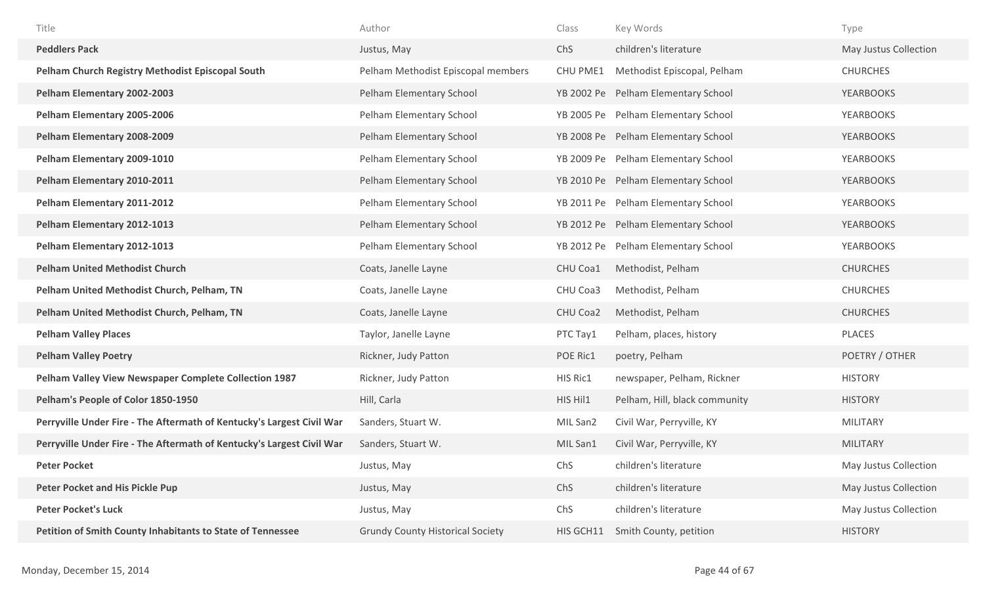| Title                                                                 | Author                                  | Class           | Key Words                           | Type                  |
|-----------------------------------------------------------------------|-----------------------------------------|-----------------|-------------------------------------|-----------------------|
| <b>Peddlers Pack</b>                                                  | Justus, May                             | ChS             | children's literature               | May Justus Collection |
| <b>Pelham Church Registry Methodist Episcopal South</b>               | Pelham Methodist Episcopal members      | CHU PME1        | Methodist Episcopal, Pelham         | <b>CHURCHES</b>       |
| Pelham Elementary 2002-2003                                           | Pelham Elementary School                |                 | YB 2002 Pe Pelham Elementary School | <b>YEARBOOKS</b>      |
| Pelham Elementary 2005-2006                                           | Pelham Elementary School                |                 | YB 2005 Pe Pelham Elementary School | <b>YEARBOOKS</b>      |
| Pelham Elementary 2008-2009                                           | Pelham Elementary School                |                 | YB 2008 Pe Pelham Elementary School | <b>YEARBOOKS</b>      |
| Pelham Elementary 2009-1010                                           | Pelham Elementary School                |                 | YB 2009 Pe Pelham Elementary School | <b>YEARBOOKS</b>      |
| Pelham Elementary 2010-2011                                           | Pelham Elementary School                |                 | YB 2010 Pe Pelham Elementary School | <b>YEARBOOKS</b>      |
| Pelham Elementary 2011-2012                                           | Pelham Elementary School                |                 | YB 2011 Pe Pelham Elementary School | <b>YEARBOOKS</b>      |
| Pelham Elementary 2012-1013                                           | Pelham Elementary School                |                 | YB 2012 Pe Pelham Elementary School | <b>YEARBOOKS</b>      |
| Pelham Elementary 2012-1013                                           | Pelham Elementary School                |                 | YB 2012 Pe Pelham Elementary School | <b>YEARBOOKS</b>      |
| <b>Pelham United Methodist Church</b>                                 | Coats, Janelle Layne                    | <b>CHU Coa1</b> | Methodist, Pelham                   | <b>CHURCHES</b>       |
| Pelham United Methodist Church, Pelham, TN                            | Coats, Janelle Layne                    | CHU Coa3        | Methodist, Pelham                   | <b>CHURCHES</b>       |
| Pelham United Methodist Church, Pelham, TN                            | Coats, Janelle Layne                    | CHU Coa2        | Methodist, Pelham                   | <b>CHURCHES</b>       |
| <b>Pelham Valley Places</b>                                           | Taylor, Janelle Layne                   | PTC Tay1        | Pelham, places, history             | PLACES                |
| <b>Pelham Valley Poetry</b>                                           | Rickner, Judy Patton                    | POE Ric1        | poetry, Pelham                      | POETRY / OTHER        |
| Pelham Valley View Newspaper Complete Collection 1987                 | Rickner, Judy Patton                    | HIS Ric1        | newspaper, Pelham, Rickner          | <b>HISTORY</b>        |
| Pelham's People of Color 1850-1950                                    | Hill, Carla                             | HIS Hil1        | Pelham, Hill, black community       | <b>HISTORY</b>        |
| Perryville Under Fire - The Aftermath of Kentucky's Largest Civil War | Sanders, Stuart W.                      | MIL San2        | Civil War, Perryville, KY           | <b>MILITARY</b>       |
| Perryville Under Fire - The Aftermath of Kentucky's Largest Civil War | Sanders, Stuart W.                      | MIL San1        | Civil War, Perryville, KY           | <b>MILITARY</b>       |
| <b>Peter Pocket</b>                                                   | Justus, May                             | ChS             | children's literature               | May Justus Collection |
| <b>Peter Pocket and His Pickle Pup</b>                                | Justus, May                             | ChS             | children's literature               | May Justus Collection |
| <b>Peter Pocket's Luck</b>                                            | Justus, May                             | ChS             | children's literature               | May Justus Collection |
| <b>Petition of Smith County Inhabitants to State of Tennessee</b>     | <b>Grundy County Historical Society</b> | HIS GCH11       | Smith County, petition              | <b>HISTORY</b>        |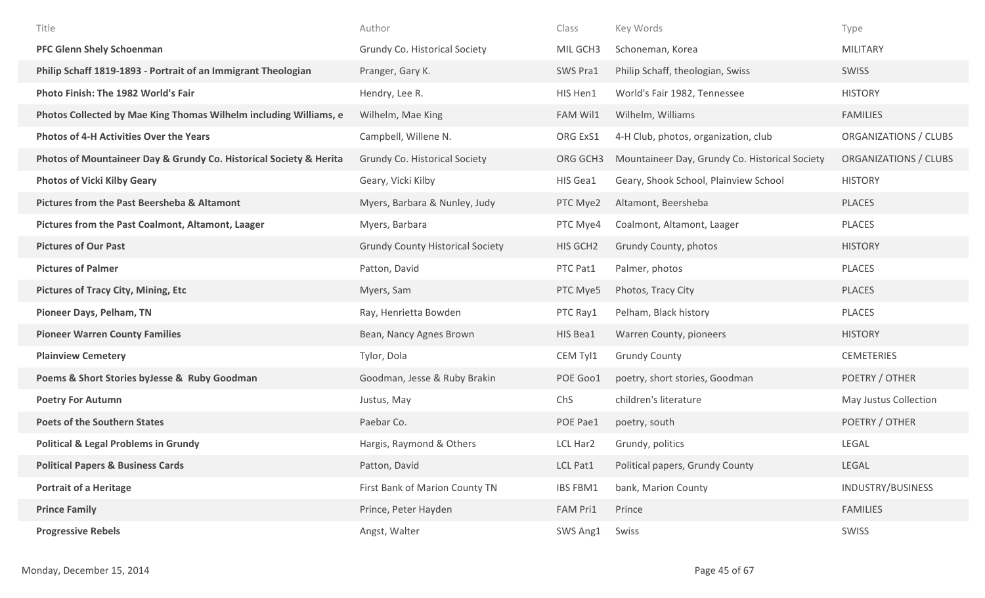| Title                                                              | Author                                  | Class    | Key Words                                      | Type                  |
|--------------------------------------------------------------------|-----------------------------------------|----------|------------------------------------------------|-----------------------|
| <b>PFC Glenn Shely Schoenman</b>                                   | Grundy Co. Historical Society           | MIL GCH3 | Schoneman, Korea                               | <b>MILITARY</b>       |
| Philip Schaff 1819-1893 - Portrait of an Immigrant Theologian      | Pranger, Gary K.                        | SWS Pra1 | Philip Schaff, theologian, Swiss               | <b>SWISS</b>          |
| Photo Finish: The 1982 World's Fair                                | Hendry, Lee R.                          | HIS Hen1 | World's Fair 1982, Tennessee                   | <b>HISTORY</b>        |
| Photos Collected by Mae King Thomas Wilhelm including Williams, e  | Wilhelm, Mae King                       | FAM Wil1 | Wilhelm, Williams                              | <b>FAMILIES</b>       |
| <b>Photos of 4-H Activities Over the Years</b>                     | Campbell, Willene N.                    | ORG ExS1 | 4-H Club, photos, organization, club           | ORGANIZATIONS / CLUBS |
| Photos of Mountaineer Day & Grundy Co. Historical Society & Herita | Grundy Co. Historical Society           | ORG GCH3 | Mountaineer Day, Grundy Co. Historical Society | ORGANIZATIONS / CLUBS |
| <b>Photos of Vicki Kilby Geary</b>                                 | Geary, Vicki Kilby                      | HIS Gea1 | Geary, Shook School, Plainview School          | <b>HISTORY</b>        |
| <b>Pictures from the Past Beersheba &amp; Altamont</b>             | Myers, Barbara & Nunley, Judy           | PTC Mye2 | Altamont, Beersheba                            | <b>PLACES</b>         |
| Pictures from the Past Coalmont, Altamont, Laager                  | Myers, Barbara                          | PTC Mye4 | Coalmont, Altamont, Laager                     | PLACES                |
| <b>Pictures of Our Past</b>                                        | <b>Grundy County Historical Society</b> | HIS GCH2 | Grundy County, photos                          | <b>HISTORY</b>        |
| <b>Pictures of Palmer</b>                                          | Patton, David                           | PTC Pat1 | Palmer, photos                                 | PLACES                |
| <b>Pictures of Tracy City, Mining, Etc</b>                         | Myers, Sam                              | PTC Mye5 | Photos, Tracy City                             | <b>PLACES</b>         |
| Pioneer Days, Pelham, TN                                           | Ray, Henrietta Bowden                   | PTC Ray1 | Pelham, Black history                          | PLACES                |
| <b>Pioneer Warren County Families</b>                              | Bean, Nancy Agnes Brown                 | HIS Bea1 | Warren County, pioneers                        | <b>HISTORY</b>        |
| <b>Plainview Cemetery</b>                                          | Tylor, Dola                             | CEM Tyl1 | <b>Grundy County</b>                           | <b>CEMETERIES</b>     |
| Poems & Short Stories by Jesse & Ruby Goodman                      | Goodman, Jesse & Ruby Brakin            | POE Goo1 | poetry, short stories, Goodman                 | POETRY / OTHER        |
| <b>Poetry For Autumn</b>                                           | Justus, May                             | ChS      | children's literature                          | May Justus Collection |
| <b>Poets of the Southern States</b>                                | Paebar Co.                              | POE Pae1 | poetry, south                                  | POETRY / OTHER        |
| <b>Political &amp; Legal Problems in Grundy</b>                    | Hargis, Raymond & Others                | LCL Har2 | Grundy, politics                               | LEGAL                 |
| <b>Political Papers &amp; Business Cards</b>                       | Patton, David                           | LCL Pat1 | Political papers, Grundy County                | LEGAL                 |
| <b>Portrait of a Heritage</b>                                      | First Bank of Marion County TN          | IBS FBM1 | bank, Marion County                            | INDUSTRY/BUSINESS     |
| <b>Prince Family</b>                                               | Prince, Peter Hayden                    | FAM Pri1 | Prince                                         | <b>FAMILIES</b>       |
| <b>Progressive Rebels</b>                                          | Angst, Walter                           | SWS Ang1 | Swiss                                          | SWISS                 |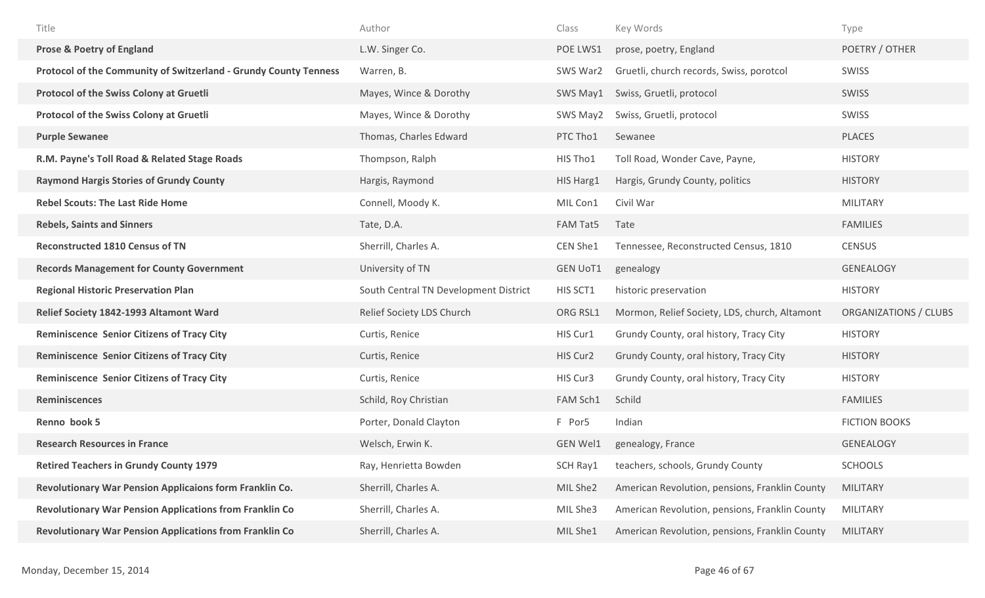| Title                                                            | Author                                | Class           | Key Words                                      | Type                  |
|------------------------------------------------------------------|---------------------------------------|-----------------|------------------------------------------------|-----------------------|
| <b>Prose &amp; Poetry of England</b>                             | L.W. Singer Co.                       | POE LWS1        | prose, poetry, England                         | POETRY / OTHER        |
| Protocol of the Community of Switzerland - Grundy County Tenness | Warren, B.                            | SWS War2        | Gruetli, church records, Swiss, porotcol       | SWISS                 |
| Protocol of the Swiss Colony at Gruetli                          | Mayes, Wince & Dorothy                | SWS May1        | Swiss, Gruetli, protocol                       | SWISS                 |
| Protocol of the Swiss Colony at Gruetli                          | Mayes, Wince & Dorothy                | SWS May2        | Swiss, Gruetli, protocol                       | SWISS                 |
| <b>Purple Sewanee</b>                                            | Thomas, Charles Edward                | PTC Tho1        | Sewanee                                        | <b>PLACES</b>         |
| R.M. Payne's Toll Road & Related Stage Roads                     | Thompson, Ralph                       | HIS Tho1        | Toll Road, Wonder Cave, Payne,                 | <b>HISTORY</b>        |
| <b>Raymond Hargis Stories of Grundy County</b>                   | Hargis, Raymond                       | HIS Harg1       | Hargis, Grundy County, politics                | <b>HISTORY</b>        |
| <b>Rebel Scouts: The Last Ride Home</b>                          | Connell, Moody K.                     | MIL Con1        | Civil War                                      | <b>MILITARY</b>       |
| <b>Rebels, Saints and Sinners</b>                                | Tate, D.A.                            | FAM Tat5        | Tate                                           | <b>FAMILIES</b>       |
| <b>Reconstructed 1810 Census of TN</b>                           | Sherrill, Charles A.                  | CEN She1        | Tennessee, Reconstructed Census, 1810          | <b>CENSUS</b>         |
| <b>Records Management for County Government</b>                  | University of TN                      | <b>GEN UoT1</b> | genealogy                                      | <b>GENEALOGY</b>      |
| <b>Regional Historic Preservation Plan</b>                       | South Central TN Development District | HIS SCT1        | historic preservation                          | <b>HISTORY</b>        |
| Relief Society 1842-1993 Altamont Ward                           | Relief Society LDS Church             | ORG RSL1        | Mormon, Relief Society, LDS, church, Altamont  | ORGANIZATIONS / CLUBS |
|                                                                  |                                       |                 |                                                |                       |
| <b>Reminiscence Senior Citizens of Tracy City</b>                | Curtis, Renice                        | HIS Cur1        | Grundy County, oral history, Tracy City        | <b>HISTORY</b>        |
| <b>Reminiscence Senior Citizens of Tracy City</b>                | Curtis, Renice                        | HIS Cur2        | Grundy County, oral history, Tracy City        | <b>HISTORY</b>        |
| <b>Reminiscence Senior Citizens of Tracy City</b>                | Curtis, Renice                        | HIS Cur3        | Grundy County, oral history, Tracy City        | <b>HISTORY</b>        |
| <b>Reminiscences</b>                                             | Schild, Roy Christian                 | FAM Sch1        | Schild                                         | <b>FAMILIES</b>       |
| Renno book 5                                                     | Porter, Donald Clayton                | F Por5          | Indian                                         | <b>FICTION BOOKS</b>  |
| <b>Research Resources in France</b>                              | Welsch, Erwin K.                      | <b>GEN Wel1</b> | genealogy, France                              | <b>GENEALOGY</b>      |
| <b>Retired Teachers in Grundy County 1979</b>                    | Ray, Henrietta Bowden                 | SCH Ray1        | teachers, schools, Grundy County               | <b>SCHOOLS</b>        |
| Revolutionary War Pension Applicaions form Franklin Co.          | Sherrill, Charles A.                  | MIL She2        | American Revolution, pensions, Franklin County | <b>MILITARY</b>       |
| <b>Revolutionary War Pension Applications from Franklin Co</b>   | Sherrill, Charles A.                  | MIL She3        | American Revolution, pensions, Franklin County | <b>MILITARY</b>       |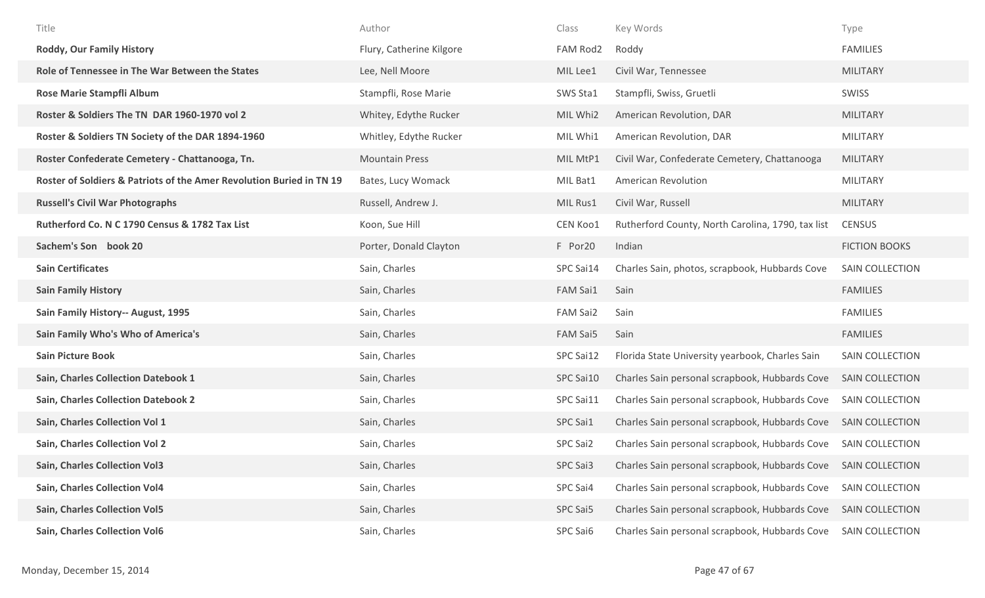| Title                                                                | Author                   | Class           | Key Words                                         | Type                   |
|----------------------------------------------------------------------|--------------------------|-----------------|---------------------------------------------------|------------------------|
| <b>Roddy, Our Family History</b>                                     | Flury, Catherine Kilgore | FAM Rod2        | Roddy                                             | <b>FAMILIES</b>        |
| Role of Tennessee in The War Between the States                      | Lee, Nell Moore          | MIL Lee1        | Civil War, Tennessee                              | <b>MILITARY</b>        |
| Rose Marie Stampfli Album                                            | Stampfli, Rose Marie     | SWS Sta1        | Stampfli, Swiss, Gruetli                          | SWISS                  |
| Roster & Soldiers The TN DAR 1960-1970 vol 2                         | Whitey, Edythe Rucker    | MIL Whi2        | American Revolution, DAR                          | <b>MILITARY</b>        |
| Roster & Soldiers TN Society of the DAR 1894-1960                    | Whitley, Edythe Rucker   | MIL Whi1        | American Revolution, DAR                          | <b>MILITARY</b>        |
| Roster Confederate Cemetery - Chattanooga, Tn.                       | <b>Mountain Press</b>    | MIL MtP1        | Civil War, Confederate Cemetery, Chattanooga      | <b>MILITARY</b>        |
| Roster of Soldiers & Patriots of the Amer Revolution Buried in TN 19 | Bates, Lucy Womack       | MIL Bat1        | American Revolution                               | <b>MILITARY</b>        |
| <b>Russell's Civil War Photographs</b>                               | Russell, Andrew J.       | MIL Rus1        | Civil War, Russell                                | <b>MILITARY</b>        |
| Rutherford Co. N C 1790 Census & 1782 Tax List                       | Koon, Sue Hill           | CEN Koo1        | Rutherford County, North Carolina, 1790, tax list | <b>CENSUS</b>          |
| Sachem's Son book 20                                                 | Porter, Donald Clayton   | F Por20         | Indian                                            | <b>FICTION BOOKS</b>   |
| <b>Sain Certificates</b>                                             | Sain, Charles            | SPC Sai14       | Charles Sain, photos, scrapbook, Hubbards Cove    | <b>SAIN COLLECTION</b> |
| <b>Sain Family History</b>                                           | Sain, Charles            | <b>FAM Sai1</b> | Sain                                              | <b>FAMILIES</b>        |
| Sain Family History-- August, 1995                                   | Sain, Charles            | FAM Sai2        | Sain                                              | <b>FAMILIES</b>        |
| Sain Family Who's Who of America's                                   | Sain, Charles            | FAM Sai5        | Sain                                              | <b>FAMILIES</b>        |
| <b>Sain Picture Book</b>                                             | Sain, Charles            | SPC Sai12       | Florida State University yearbook, Charles Sain   | SAIN COLLECTION        |
| Sain, Charles Collection Datebook 1                                  | Sain, Charles            | SPC Sai10       | Charles Sain personal scrapbook, Hubbards Cove    | SAIN COLLECTION        |
| <b>Sain, Charles Collection Datebook 2</b>                           | Sain, Charles            | SPC Sai11       | Charles Sain personal scrapbook, Hubbards Cove    | SAIN COLLECTION        |
| Sain, Charles Collection Vol 1                                       | Sain, Charles            | SPC Sai1        | Charles Sain personal scrapbook, Hubbards Cove    | <b>SAIN COLLECTION</b> |
| <b>Sain, Charles Collection Vol 2</b>                                | Sain, Charles            | SPC Sai2        | Charles Sain personal scrapbook, Hubbards Cove    | SAIN COLLECTION        |
| <b>Sain, Charles Collection Vol3</b>                                 | Sain, Charles            | SPC Sai3        | Charles Sain personal scrapbook, Hubbards Cove    | SAIN COLLECTION        |
| Sain, Charles Collection Vol4                                        | Sain, Charles            | SPC Sai4        | Charles Sain personal scrapbook, Hubbards Cove    | <b>SAIN COLLECTION</b> |
| <b>Sain, Charles Collection Vol5</b>                                 | Sain, Charles            | SPC Sai5        | Charles Sain personal scrapbook, Hubbards Cove    | SAIN COLLECTION        |
| <b>Sain, Charles Collection Vol6</b>                                 | Sain, Charles            | SPC Sai6        | Charles Sain personal scrapbook, Hubbards Cove    | SAIN COLLECTION        |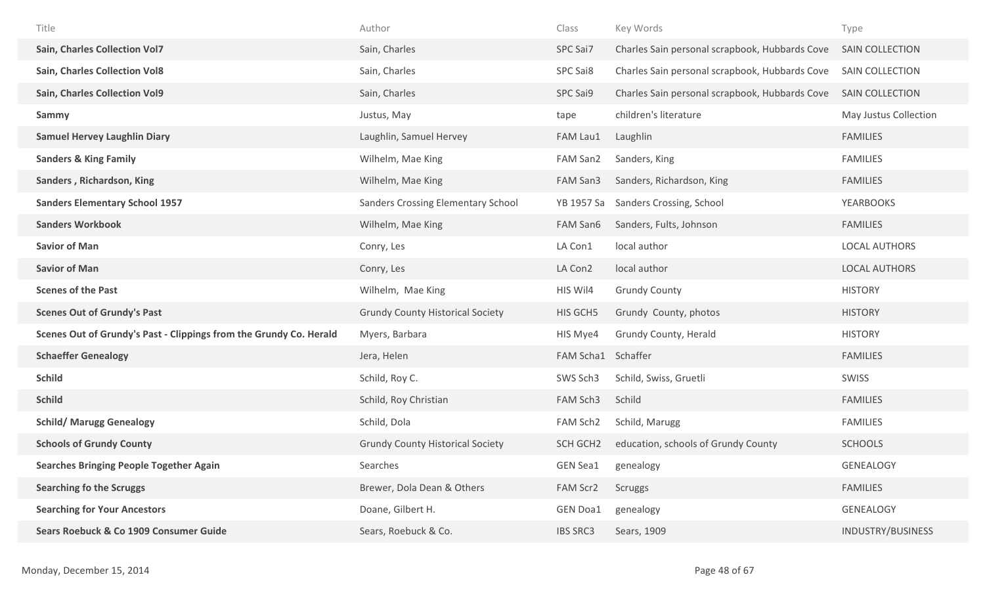| Title                                                              | Author                                    | Class              | Key Words                                      | Type                   |
|--------------------------------------------------------------------|-------------------------------------------|--------------------|------------------------------------------------|------------------------|
| <b>Sain, Charles Collection Vol7</b>                               | Sain, Charles                             | SPC Sai7           | Charles Sain personal scrapbook, Hubbards Cove | <b>SAIN COLLECTION</b> |
| <b>Sain, Charles Collection Vol8</b>                               | Sain, Charles                             | SPC Sai8           | Charles Sain personal scrapbook, Hubbards Cove | <b>SAIN COLLECTION</b> |
| <b>Sain, Charles Collection Vol9</b>                               | Sain, Charles                             | SPC Sai9           | Charles Sain personal scrapbook, Hubbards Cove | SAIN COLLECTION        |
| Sammy                                                              | Justus, May                               | tape               | children's literature                          | May Justus Collection  |
| <b>Samuel Hervey Laughlin Diary</b>                                | Laughlin, Samuel Hervey                   | FAM Lau1           | Laughlin                                       | <b>FAMILIES</b>        |
| <b>Sanders &amp; King Family</b>                                   | Wilhelm, Mae King                         | FAM San2           | Sanders, King                                  | <b>FAMILIES</b>        |
| Sanders, Richardson, King                                          | Wilhelm, Mae King                         | FAM San3           | Sanders, Richardson, King                      | <b>FAMILIES</b>        |
| <b>Sanders Elementary School 1957</b>                              | <b>Sanders Crossing Elementary School</b> | YB 1957 Sa         | Sanders Crossing, School                       | <b>YEARBOOKS</b>       |
| <b>Sanders Workbook</b>                                            | Wilhelm, Mae King                         | FAM San6           | Sanders, Fults, Johnson                        | <b>FAMILIES</b>        |
| <b>Savior of Man</b>                                               | Conry, Les                                | LA Con1            | local author                                   | <b>LOCAL AUTHORS</b>   |
| <b>Savior of Man</b>                                               | Conry, Les                                | LA Con2            | local author                                   | <b>LOCAL AUTHORS</b>   |
| <b>Scenes of the Past</b>                                          | Wilhelm, Mae King                         | HIS Wil4           | <b>Grundy County</b>                           | <b>HISTORY</b>         |
| <b>Scenes Out of Grundy's Past</b>                                 | <b>Grundy County Historical Society</b>   | HIS GCH5           | Grundy County, photos                          | <b>HISTORY</b>         |
| Scenes Out of Grundy's Past - Clippings from the Grundy Co. Herald | Myers, Barbara                            | HIS Mye4           | Grundy County, Herald                          | <b>HISTORY</b>         |
| <b>Schaeffer Genealogy</b>                                         | Jera, Helen                               | FAM Scha1 Schaffer |                                                | <b>FAMILIES</b>        |
| <b>Schild</b>                                                      | Schild, Roy C.                            | SWS Sch3           | Schild, Swiss, Gruetli                         | SWISS                  |
| <b>Schild</b>                                                      | Schild, Roy Christian                     | FAM Sch3           | Schild                                         | <b>FAMILIES</b>        |
| <b>Schild/ Marugg Genealogy</b>                                    | Schild, Dola                              | FAM Sch2           | Schild, Marugg                                 | <b>FAMILIES</b>        |
| <b>Schools of Grundy County</b>                                    | <b>Grundy County Historical Society</b>   | SCH GCH2           | education, schools of Grundy County            | <b>SCHOOLS</b>         |
| <b>Searches Bringing People Together Again</b>                     | Searches                                  | <b>GEN Sea1</b>    | genealogy                                      | GENEALOGY              |
| <b>Searching fo the Scruggs</b>                                    | Brewer, Dola Dean & Others                | FAM Scr2           | Scruggs                                        | <b>FAMILIES</b>        |
| <b>Searching for Your Ancestors</b>                                | Doane, Gilbert H.                         | <b>GEN Doa1</b>    | genealogy                                      | GENEALOGY              |
| Sears Roebuck & Co 1909 Consumer Guide                             | Sears, Roebuck & Co.                      | <b>IBS SRC3</b>    | Sears, 1909                                    | INDUSTRY/BUSINESS      |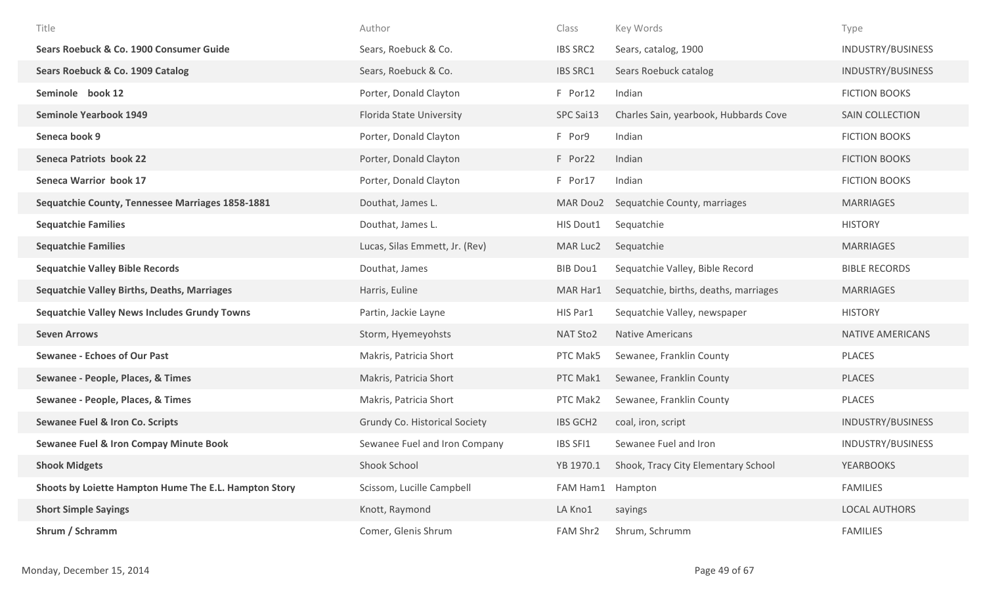| Title                                                 | Author                         | Class            | Key Words                             | Type                    |
|-------------------------------------------------------|--------------------------------|------------------|---------------------------------------|-------------------------|
| Sears Roebuck & Co. 1900 Consumer Guide               | Sears, Roebuck & Co.           | <b>IBS SRC2</b>  | Sears, catalog, 1900                  | INDUSTRY/BUSINESS       |
| Sears Roebuck & Co. 1909 Catalog                      | Sears, Roebuck & Co.           | <b>IBS SRC1</b>  | Sears Roebuck catalog                 | INDUSTRY/BUSINESS       |
| Seminole book 12                                      | Porter, Donald Clayton         | F Por12          | Indian                                | <b>FICTION BOOKS</b>    |
| <b>Seminole Yearbook 1949</b>                         | Florida State University       | SPC Sai13        | Charles Sain, yearbook, Hubbards Cove | SAIN COLLECTION         |
| Seneca book 9                                         | Porter, Donald Clayton         | F Por9           | Indian                                | <b>FICTION BOOKS</b>    |
| <b>Seneca Patriots book 22</b>                        | Porter, Donald Clayton         | F Por22          | Indian                                | <b>FICTION BOOKS</b>    |
| <b>Seneca Warrior book 17</b>                         | Porter, Donald Clayton         | F Por17          | Indian                                | <b>FICTION BOOKS</b>    |
| Sequatchie County, Tennessee Marriages 1858-1881      | Douthat, James L.              | MAR Dou2         | Sequatchie County, marriages          | <b>MARRIAGES</b>        |
| <b>Sequatchie Families</b>                            | Douthat, James L.              | HIS Dout1        | Sequatchie                            | <b>HISTORY</b>          |
| <b>Sequatchie Families</b>                            | Lucas, Silas Emmett, Jr. (Rev) | MAR Luc2         | Sequatchie                            | <b>MARRIAGES</b>        |
| <b>Sequatchie Valley Bible Records</b>                | Douthat, James                 | <b>BIB Dou1</b>  | Sequatchie Valley, Bible Record       | <b>BIBLE RECORDS</b>    |
| <b>Sequatchie Valley Births, Deaths, Marriages</b>    | Harris, Euline                 | MAR Har1         | Sequatchie, births, deaths, marriages | <b>MARRIAGES</b>        |
| <b>Sequatchie Valley News Includes Grundy Towns</b>   | Partin, Jackie Layne           | HIS Par1         | Sequatchie Valley, newspaper          | <b>HISTORY</b>          |
| <b>Seven Arrows</b>                                   | Storm, Hyemeyohsts             | NAT Sto2         | <b>Native Americans</b>               | <b>NATIVE AMERICANS</b> |
| <b>Sewanee - Echoes of Our Past</b>                   | Makris, Patricia Short         | PTC Mak5         | Sewanee, Franklin County              | PLACES                  |
| Sewanee - People, Places, & Times                     | Makris, Patricia Short         | PTC Mak1         | Sewanee, Franklin County              | <b>PLACES</b>           |
| Sewanee - People, Places, & Times                     | Makris, Patricia Short         | PTC Mak2         | Sewanee, Franklin County              | <b>PLACES</b>           |
| <b>Sewanee Fuel &amp; Iron Co. Scripts</b>            | Grundy Co. Historical Society  | <b>IBS GCH2</b>  | coal, iron, script                    | INDUSTRY/BUSINESS       |
| <b>Sewanee Fuel &amp; Iron Compay Minute Book</b>     | Sewanee Fuel and Iron Company  | IBS SFI1         | Sewanee Fuel and Iron                 | INDUSTRY/BUSINESS       |
| <b>Shook Midgets</b>                                  | Shook School                   | YB 1970.1        | Shook, Tracy City Elementary School   | <b>YEARBOOKS</b>        |
| Shoots by Loiette Hampton Hume The E.L. Hampton Story | Scissom, Lucille Campbell      | FAM Ham1 Hampton |                                       | <b>FAMILIES</b>         |
| <b>Short Simple Sayings</b>                           | Knott, Raymond                 | LA Kno1          | sayings                               | <b>LOCAL AUTHORS</b>    |
| Shrum / Schramm                                       | Comer, Glenis Shrum            | FAM Shr2         | Shrum, Schrumm                        | <b>FAMILIES</b>         |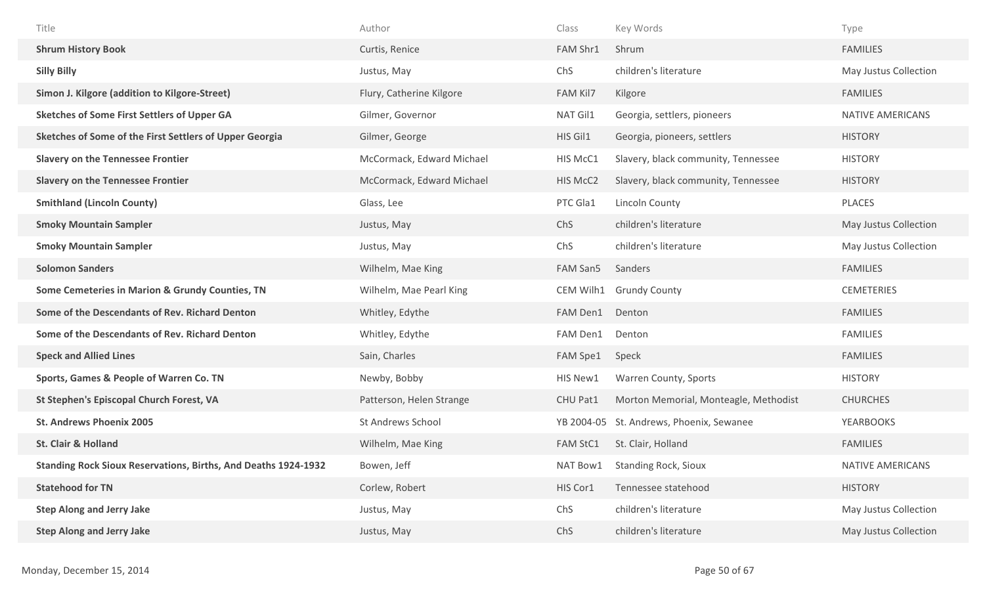| Title                                                                 | Author                    | Class           | Key Words                             | Type                    |
|-----------------------------------------------------------------------|---------------------------|-----------------|---------------------------------------|-------------------------|
| <b>Shrum History Book</b>                                             | Curtis, Renice            | FAM Shr1        | Shrum                                 | <b>FAMILIES</b>         |
| <b>Silly Billy</b>                                                    | Justus, May               | ChS             | children's literature                 | May Justus Collection   |
| Simon J. Kilgore (addition to Kilgore-Street)                         | Flury, Catherine Kilgore  | <b>FAM Kil7</b> | Kilgore                               | <b>FAMILIES</b>         |
| <b>Sketches of Some First Settlers of Upper GA</b>                    | Gilmer, Governor          | NAT Gil1        | Georgia, settlers, pioneers           | NATIVE AMERICANS        |
| Sketches of Some of the First Settlers of Upper Georgia               | Gilmer, George            | HIS Gil1        | Georgia, pioneers, settlers           | <b>HISTORY</b>          |
| <b>Slavery on the Tennessee Frontier</b>                              | McCormack, Edward Michael | HIS McC1        | Slavery, black community, Tennessee   | <b>HISTORY</b>          |
| <b>Slavery on the Tennessee Frontier</b>                              | McCormack, Edward Michael | HIS McC2        | Slavery, black community, Tennessee   | <b>HISTORY</b>          |
| <b>Smithland (Lincoln County)</b>                                     | Glass, Lee                | PTC Gla1        | Lincoln County                        | PLACES                  |
| <b>Smoky Mountain Sampler</b>                                         | Justus, May               | ChS             | children's literature                 | May Justus Collection   |
| <b>Smoky Mountain Sampler</b>                                         | Justus, May               | ChS             | children's literature                 | May Justus Collection   |
| <b>Solomon Sanders</b>                                                | Wilhelm, Mae King         | FAM San5        | Sanders                               | <b>FAMILIES</b>         |
| Some Cemeteries in Marion & Grundy Counties, TN                       | Wilhelm, Mae Pearl King   | CEM Wilh1       | <b>Grundy County</b>                  | <b>CEMETERIES</b>       |
| Some of the Descendants of Rev. Richard Denton                        | Whitley, Edythe           | FAM Den1        | Denton                                | <b>FAMILIES</b>         |
| Some of the Descendants of Rev. Richard Denton                        | Whitley, Edythe           | FAM Den1        | Denton                                | <b>FAMILIES</b>         |
| <b>Speck and Allied Lines</b>                                         | Sain, Charles             | FAM Spe1        | Speck                                 | <b>FAMILIES</b>         |
| Sports, Games & People of Warren Co. TN                               | Newby, Bobby              | HIS New1        | Warren County, Sports                 | <b>HISTORY</b>          |
| St Stephen's Episcopal Church Forest, VA                              | Patterson, Helen Strange  | CHU Pat1        | Morton Memorial, Monteagle, Methodist | <b>CHURCHES</b>         |
| <b>St. Andrews Phoenix 2005</b>                                       | <b>St Andrews School</b>  | YB 2004-05      | St. Andrews, Phoenix, Sewanee         | <b>YEARBOOKS</b>        |
| <b>St. Clair &amp; Holland</b>                                        | Wilhelm, Mae King         | <b>FAM StC1</b> | St. Clair, Holland                    | <b>FAMILIES</b>         |
| <b>Standing Rock Sioux Reservations, Births, And Deaths 1924-1932</b> | Bowen, Jeff               | NAT Bow1        | <b>Standing Rock, Sioux</b>           | <b>NATIVE AMERICANS</b> |
| <b>Statehood for TN</b>                                               | Corlew, Robert            | HIS Cor1        | Tennessee statehood                   | <b>HISTORY</b>          |
| <b>Step Along and Jerry Jake</b>                                      | Justus, May               | ChS             | children's literature                 | May Justus Collection   |
| <b>Step Along and Jerry Jake</b>                                      | Justus, May               | ChS             | children's literature                 | May Justus Collection   |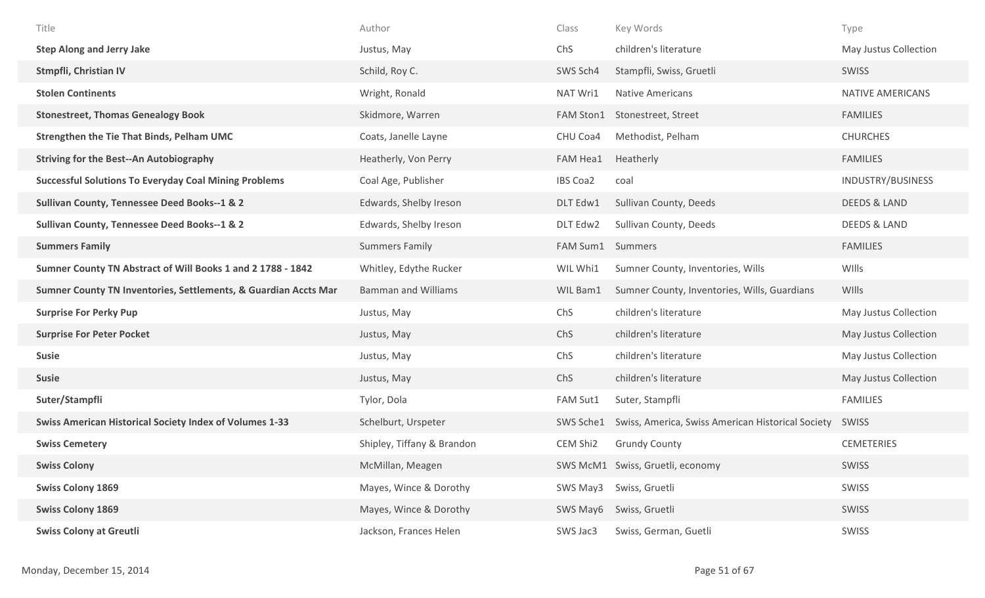| Title                                                           | Author                     | Class           | Key Words                                         | Type                    |
|-----------------------------------------------------------------|----------------------------|-----------------|---------------------------------------------------|-------------------------|
| <b>Step Along and Jerry Jake</b>                                | Justus, May                | ChS             | children's literature                             | May Justus Collection   |
| Stmpfli, Christian IV                                           | Schild, Roy C.             | SWS Sch4        | Stampfli, Swiss, Gruetli                          | SWISS                   |
| <b>Stolen Continents</b>                                        | Wright, Ronald             | NAT Wri1        | <b>Native Americans</b>                           | <b>NATIVE AMERICANS</b> |
| <b>Stonestreet, Thomas Genealogy Book</b>                       | Skidmore, Warren           | FAM Ston1       | Stonestreet, Street                               | <b>FAMILIES</b>         |
| Strengthen the Tie That Binds, Pelham UMC                       | Coats, Janelle Layne       | CHU Coa4        | Methodist, Pelham                                 | <b>CHURCHES</b>         |
| <b>Striving for the Best--An Autobiography</b>                  | Heatherly, Von Perry       | FAM Hea1        | Heatherly                                         | <b>FAMILIES</b>         |
| <b>Successful Solutions To Everyday Coal Mining Problems</b>    | Coal Age, Publisher        | <b>IBS Coa2</b> | coal                                              | INDUSTRY/BUSINESS       |
| Sullivan County, Tennessee Deed Books--1 & 2                    | Edwards, Shelby Ireson     | DLT Edw1        | Sullivan County, Deeds                            | <b>DEEDS &amp; LAND</b> |
| Sullivan County, Tennessee Deed Books--1 & 2                    | Edwards, Shelby Ireson     | DLT Edw2        | Sullivan County, Deeds                            | <b>DEEDS &amp; LAND</b> |
| <b>Summers Family</b>                                           | <b>Summers Family</b>      | FAM Sum1        | Summers                                           | <b>FAMILIES</b>         |
| Sumner County TN Abstract of Will Books 1 and 2 1788 - 1842     | Whitley, Edythe Rucker     | WIL Whi1        | Sumner County, Inventories, Wills                 | WIlls                   |
| Sumner County TN Inventories, Settlements, & Guardian Accts Mar | <b>Bamman and Williams</b> | WIL Bam1        | Sumner County, Inventories, Wills, Guardians      | WIlls                   |
|                                                                 |                            |                 |                                                   |                         |
| <b>Surprise For Perky Pup</b>                                   | Justus, May                | ChS             | children's literature                             | May Justus Collection   |
| <b>Surprise For Peter Pocket</b>                                | Justus, May                | ChS             | children's literature                             | May Justus Collection   |
| <b>Susie</b>                                                    | Justus, May                | ChS             | children's literature                             | May Justus Collection   |
| <b>Susie</b>                                                    | Justus, May                | ChS             | children's literature                             | May Justus Collection   |
| Suter/Stampfli                                                  | Tylor, Dola                | FAM Sut1        | Suter, Stampfli                                   | <b>FAMILIES</b>         |
| <b>Swiss American Historical Society Index of Volumes 1-33</b>  | Schelburt, Urspeter        | SWS Sche1       | Swiss, America, Swiss American Historical Society | SWISS                   |
| <b>Swiss Cemetery</b>                                           | Shipley, Tiffany & Brandon | CEM Shi2        | <b>Grundy County</b>                              | <b>CEMETERIES</b>       |
| <b>Swiss Colony</b>                                             | McMillan, Meagen           |                 | SWS McM1 Swiss, Gruetli, economy                  | SWISS                   |
| <b>Swiss Colony 1869</b>                                        | Mayes, Wince & Dorothy     | SWS May3        | Swiss, Gruetli                                    | <b>SWISS</b>            |
| <b>Swiss Colony 1869</b>                                        | Mayes, Wince & Dorothy     | SWS May6        | Swiss, Gruetli                                    | SWISS                   |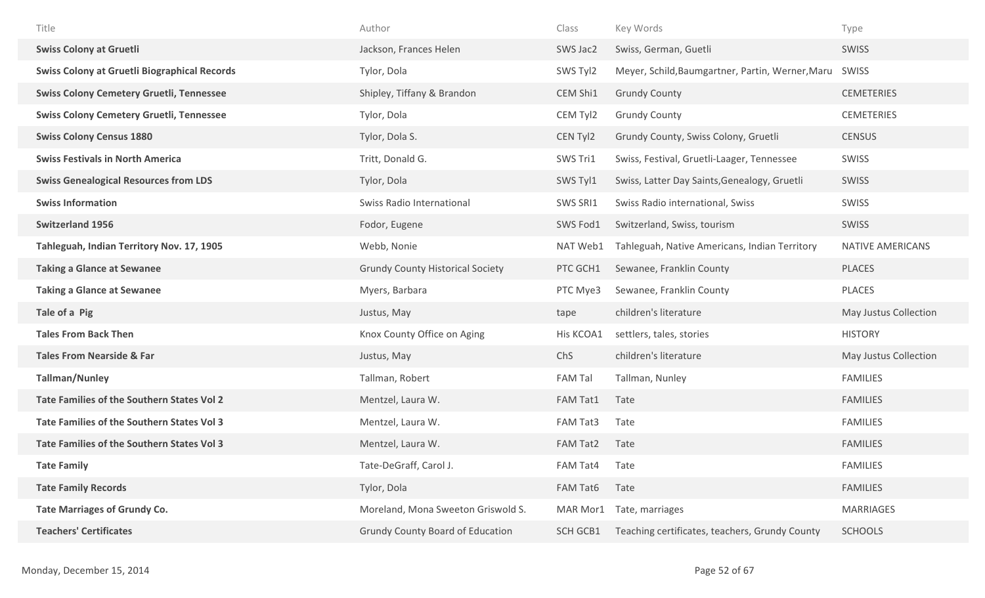| Title                                               | Author                                  | Class           | Key Words                                        | Type                    |
|-----------------------------------------------------|-----------------------------------------|-----------------|--------------------------------------------------|-------------------------|
| <b>Swiss Colony at Gruetli</b>                      | Jackson, Frances Helen                  | SWS Jac2        | Swiss, German, Guetli                            | <b>SWISS</b>            |
| <b>Swiss Colony at Gruetli Biographical Records</b> | Tylor, Dola                             | SWS Tyl2        | Meyer, Schild, Baumgartner, Partin, Werner, Maru | SWISS                   |
| <b>Swiss Colony Cemetery Gruetli, Tennessee</b>     | Shipley, Tiffany & Brandon              | CEM Shi1        | <b>Grundy County</b>                             | <b>CEMETERIES</b>       |
| <b>Swiss Colony Cemetery Gruetli, Tennessee</b>     | Tylor, Dola                             | CEM Tyl2        | <b>Grundy County</b>                             | <b>CEMETERIES</b>       |
| <b>Swiss Colony Census 1880</b>                     | Tylor, Dola S.                          | CEN Tyl2        | Grundy County, Swiss Colony, Gruetli             | <b>CENSUS</b>           |
| <b>Swiss Festivals in North America</b>             | Tritt, Donald G.                        | SWS Tri1        | Swiss, Festival, Gruetli-Laager, Tennessee       | SWISS                   |
| <b>Swiss Genealogical Resources from LDS</b>        | Tylor, Dola                             | SWS Tyl1        | Swiss, Latter Day Saints, Genealogy, Gruetli     | SWISS                   |
| <b>Swiss Information</b>                            | Swiss Radio International               | SWS SRI1        | Swiss Radio international, Swiss                 | SWISS                   |
| <b>Switzerland 1956</b>                             | Fodor, Eugene                           | SWS Fod1        | Switzerland, Swiss, tourism                      | <b>SWISS</b>            |
| Tahleguah, Indian Territory Nov. 17, 1905           | Webb, Nonie                             | NAT Web1        | Tahleguah, Native Americans, Indian Territory    | <b>NATIVE AMERICANS</b> |
| <b>Taking a Glance at Sewanee</b>                   | <b>Grundy County Historical Society</b> | PTC GCH1        | Sewanee, Franklin County                         | <b>PLACES</b>           |
| <b>Taking a Glance at Sewanee</b>                   | Myers, Barbara                          | PTC Mye3        | Sewanee, Franklin County                         | <b>PLACES</b>           |
| Tale of a Pig                                       | Justus, May                             | tape            | children's literature                            | May Justus Collection   |
| <b>Tales From Back Then</b>                         | Knox County Office on Aging             | His KCOA1       | settlers, tales, stories                         | <b>HISTORY</b>          |
| <b>Tales From Nearside &amp; Far</b>                | Justus, May                             | ChS             | children's literature                            | May Justus Collection   |
| <b>Tallman/Nunley</b>                               | Tallman, Robert                         | <b>FAM Tal</b>  | Tallman, Nunley                                  | <b>FAMILIES</b>         |
| Tate Families of the Southern States Vol 2          | Mentzel, Laura W.                       | FAM Tat1        | Tate                                             | <b>FAMILIES</b>         |
| Tate Families of the Southern States Vol 3          | Mentzel, Laura W.                       | FAM Tat3        | Tate                                             | <b>FAMILIES</b>         |
| Tate Families of the Southern States Vol 3          | Mentzel, Laura W.                       | FAM Tat2        | Tate                                             | <b>FAMILIES</b>         |
| <b>Tate Family</b>                                  | Tate-DeGraff, Carol J.                  | FAM Tat4        | Tate                                             | <b>FAMILIES</b>         |
| <b>Tate Family Records</b>                          | Tylor, Dola                             | FAM Tat6        | Tate                                             | <b>FAMILIES</b>         |
| <b>Tate Marriages of Grundy Co.</b>                 | Moreland, Mona Sweeton Griswold S.      | MAR Mor1        | Tate, marriages                                  | <b>MARRIAGES</b>        |
| <b>Teachers' Certificates</b>                       | <b>Grundy County Board of Education</b> | <b>SCH GCB1</b> | Teaching certificates, teachers, Grundy County   | <b>SCHOOLS</b>          |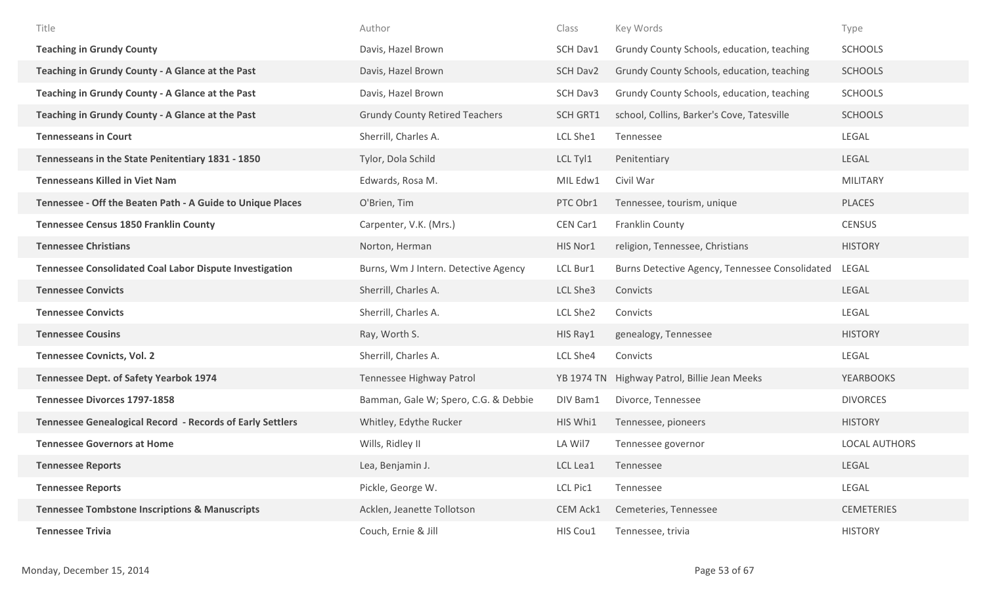| Title                                                            | Author                                | Class           | Key Words                                      | Type                 |
|------------------------------------------------------------------|---------------------------------------|-----------------|------------------------------------------------|----------------------|
| <b>Teaching in Grundy County</b>                                 | Davis, Hazel Brown                    | SCH Dav1        | Grundy County Schools, education, teaching     | <b>SCHOOLS</b>       |
| Teaching in Grundy County - A Glance at the Past                 | Davis, Hazel Brown                    | SCH Dav2        | Grundy County Schools, education, teaching     | <b>SCHOOLS</b>       |
| Teaching in Grundy County - A Glance at the Past                 | Davis, Hazel Brown                    | SCH Dav3        | Grundy County Schools, education, teaching     | <b>SCHOOLS</b>       |
| Teaching in Grundy County - A Glance at the Past                 | <b>Grundy County Retired Teachers</b> | <b>SCH GRT1</b> | school, Collins, Barker's Cove, Tatesville     | <b>SCHOOLS</b>       |
| <b>Tennesseans in Court</b>                                      | Sherrill, Charles A.                  | LCL She1        | Tennessee                                      | LEGAL                |
| Tennesseans in the State Penitentiary 1831 - 1850                | Tylor, Dola Schild                    | LCL Tyl1        | Penitentiary                                   | LEGAL                |
| <b>Tennesseans Killed in Viet Nam</b>                            | Edwards, Rosa M.                      | MIL Edw1        | Civil War                                      | <b>MILITARY</b>      |
| Tennessee - Off the Beaten Path - A Guide to Unique Places       | O'Brien, Tim                          | PTC Obr1        | Tennessee, tourism, unique                     | <b>PLACES</b>        |
| <b>Tennessee Census 1850 Franklin County</b>                     | Carpenter, V.K. (Mrs.)                | CEN Car1        | Franklin County                                | <b>CENSUS</b>        |
| <b>Tennessee Christians</b>                                      | Norton, Herman                        | HIS Nor1        | religion, Tennessee, Christians                | <b>HISTORY</b>       |
| <b>Tennessee Consolidated Coal Labor Dispute Investigation</b>   | Burns, Wm J Intern. Detective Agency  | LCL Bur1        | Burns Detective Agency, Tennessee Consolidated | LEGAL                |
| <b>Tennessee Convicts</b>                                        | Sherrill, Charles A.                  | LCL She3        | Convicts                                       | LEGAL                |
| <b>Tennessee Convicts</b>                                        | Sherrill, Charles A.                  | LCL She2        | Convicts                                       | LEGAL                |
| <b>Tennessee Cousins</b>                                         | Ray, Worth S.                         | HIS Ray1        | genealogy, Tennessee                           | <b>HISTORY</b>       |
| <b>Tennessee Covnicts, Vol. 2</b>                                | Sherrill, Charles A.                  | LCL She4        | Convicts                                       | LEGAL                |
| <b>Tennessee Dept. of Safety Yearbok 1974</b>                    | Tennessee Highway Patrol              |                 | YB 1974 TN Highway Patrol, Billie Jean Meeks   | YEARBOOKS            |
| <b>Tennessee Divorces 1797-1858</b>                              | Bamman, Gale W; Spero, C.G. & Debbie  | DIV Bam1        | Divorce, Tennessee                             | <b>DIVORCES</b>      |
| <b>Tennessee Genealogical Record - Records of Early Settlers</b> | Whitley, Edythe Rucker                | HIS Whi1        | Tennessee, pioneers                            | <b>HISTORY</b>       |
| <b>Tennessee Governors at Home</b>                               | Wills, Ridley II                      | LA Wil7         | Tennessee governor                             | <b>LOCAL AUTHORS</b> |
| <b>Tennessee Reports</b>                                         | Lea, Benjamin J.                      | LCL Lea1        | Tennessee                                      | LEGAL                |
| <b>Tennessee Reports</b>                                         | Pickle, George W.                     | LCL Pic1        | Tennessee                                      | LEGAL                |
| <b>Tennessee Tombstone Inscriptions &amp; Manuscripts</b>        | Acklen, Jeanette Tollotson            | CEM Ack1        | Cemeteries, Tennessee                          | <b>CEMETERIES</b>    |
| <b>Tennessee Trivia</b>                                          | Couch, Ernie & Jill                   | HIS Cou1        | Tennessee, trivia                              | <b>HISTORY</b>       |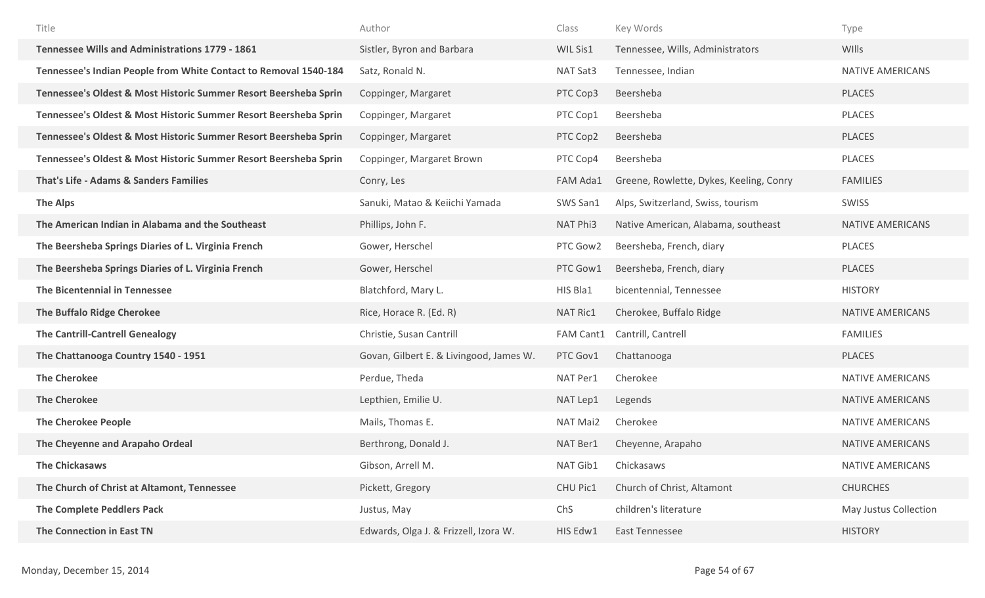| Title                                                            | Author                                  | Class     | Key Words                               | Type                    |
|------------------------------------------------------------------|-----------------------------------------|-----------|-----------------------------------------|-------------------------|
| <b>Tennessee Wills and Administrations 1779 - 1861</b>           | Sistler, Byron and Barbara              | WIL Sis1  | Tennessee, Wills, Administrators        | WIlls                   |
| Tennessee's Indian People from White Contact to Removal 1540-184 | Satz, Ronald N.                         | NAT Sat3  | Tennessee, Indian                       | <b>NATIVE AMERICANS</b> |
| Tennessee's Oldest & Most Historic Summer Resort Beersheba Sprin | Coppinger, Margaret                     | PTC Cop3  | Beersheba                               | <b>PLACES</b>           |
| Tennessee's Oldest & Most Historic Summer Resort Beersheba Sprin | Coppinger, Margaret                     | PTC Cop1  | Beersheba                               | <b>PLACES</b>           |
| Tennessee's Oldest & Most Historic Summer Resort Beersheba Sprin | Coppinger, Margaret                     | PTC Cop2  | Beersheba                               | <b>PLACES</b>           |
| Tennessee's Oldest & Most Historic Summer Resort Beersheba Sprin | Coppinger, Margaret Brown               | PTC Cop4  | Beersheba                               | <b>PLACES</b>           |
| <b>That's Life - Adams &amp; Sanders Families</b>                | Conry, Les                              | FAM Ada1  | Greene, Rowlette, Dykes, Keeling, Conry | <b>FAMILIES</b>         |
| <b>The Alps</b>                                                  | Sanuki, Matao & Keiichi Yamada          | SWS San1  | Alps, Switzerland, Swiss, tourism       | SWISS                   |
| The American Indian in Alabama and the Southeast                 | Phillips, John F.                       | NAT Phi3  | Native American, Alabama, southeast     | <b>NATIVE AMERICANS</b> |
| The Beersheba Springs Diaries of L. Virginia French              | Gower, Herschel                         | PTC Gow2  | Beersheba, French, diary                | <b>PLACES</b>           |
| The Beersheba Springs Diaries of L. Virginia French              | Gower, Herschel                         | PTC Gow1  | Beersheba, French, diary                | <b>PLACES</b>           |
| The Bicentennial in Tennessee                                    | Blatchford, Mary L.                     | HIS Bla1  | bicentennial, Tennessee                 | <b>HISTORY</b>          |
| <b>The Buffalo Ridge Cherokee</b>                                | Rice, Horace R. (Ed. R)                 | NAT Ric1  | Cherokee, Buffalo Ridge                 | <b>NATIVE AMERICANS</b> |
| <b>The Cantrill-Cantrell Genealogy</b>                           | Christie, Susan Cantrill                | FAM Cant1 | Cantrill, Cantrell                      | <b>FAMILIES</b>         |
| The Chattanooga Country 1540 - 1951                              | Govan, Gilbert E. & Livingood, James W. | PTC Gov1  | Chattanooga                             | <b>PLACES</b>           |
| <b>The Cherokee</b>                                              | Perdue, Theda                           | NAT Per1  | Cherokee                                | <b>NATIVE AMERICANS</b> |
| <b>The Cherokee</b>                                              | Lepthien, Emilie U.                     | NAT Lep1  | Legends                                 | <b>NATIVE AMERICANS</b> |
| <b>The Cherokee People</b>                                       | Mails, Thomas E.                        | NAT Mai2  | Cherokee                                | NATIVE AMERICANS        |
| The Cheyenne and Arapaho Ordeal                                  | Berthrong, Donald J.                    | NAT Ber1  | Cheyenne, Arapaho                       | <b>NATIVE AMERICANS</b> |
| <b>The Chickasaws</b>                                            | Gibson, Arrell M.                       | NAT Gib1  | Chickasaws                              | <b>NATIVE AMERICANS</b> |
| The Church of Christ at Altamont, Tennessee                      | Pickett, Gregory                        | CHU Pic1  | Church of Christ, Altamont              | <b>CHURCHES</b>         |
| The Complete Peddlers Pack                                       | Justus, May                             | ChS       | children's literature                   | May Justus Collection   |
| The Connection in East TN                                        | Edwards, Olga J. & Frizzell, Izora W.   | HIS Edw1  | <b>East Tennessee</b>                   | <b>HISTORY</b>          |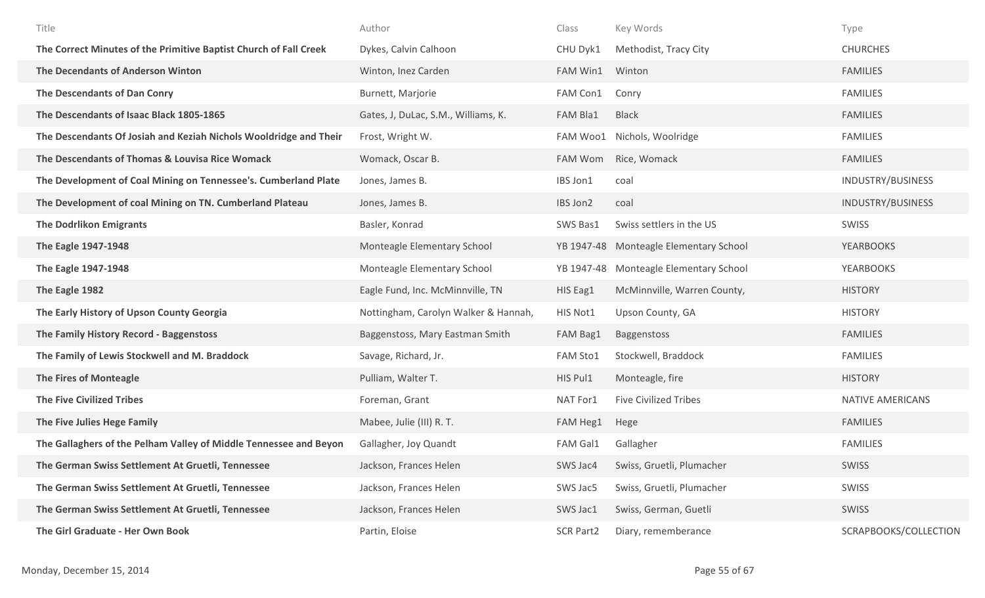| Title                                                             | Author                               | Class            | Key Words                          | Type                     |
|-------------------------------------------------------------------|--------------------------------------|------------------|------------------------------------|--------------------------|
| The Correct Minutes of the Primitive Baptist Church of Fall Creek | Dykes, Calvin Calhoon                | CHU Dyk1         | Methodist, Tracy City              | <b>CHURCHES</b>          |
| The Decendants of Anderson Winton                                 | Winton, Inez Carden                  | FAM Win1         | Winton                             | <b>FAMILIES</b>          |
| The Descendants of Dan Conry                                      | Burnett, Marjorie                    | FAM Con1         | Conry                              | <b>FAMILIES</b>          |
| The Descendants of Isaac Black 1805-1865                          | Gates, J, DuLac, S.M., Williams, K.  | <b>FAM Bla1</b>  | <b>Black</b>                       | <b>FAMILIES</b>          |
| The Descendants Of Josiah and Keziah Nichols Wooldridge and Their | Frost, Wright W.                     | FAM Woo1         | Nichols, Woolridge                 | <b>FAMILIES</b>          |
| The Descendants of Thomas & Louvisa Rice Womack                   | Womack, Oscar B.                     | FAM Wom          | Rice, Womack                       | <b>FAMILIES</b>          |
| The Development of Coal Mining on Tennessee's. Cumberland Plate   | Jones, James B.                      | IBS Jon1         | coal                               | INDUSTRY/BUSINESS        |
| The Development of coal Mining on TN. Cumberland Plateau          | Jones, James B.                      | IBS Jon2         | coal                               | <b>INDUSTRY/BUSINESS</b> |
| <b>The Dodrlikon Emigrants</b>                                    | Basler, Konrad                       | SWS Bas1         | Swiss settlers in the US           | SWISS                    |
| The Eagle 1947-1948                                               | Monteagle Elementary School          | YB 1947-48       | <b>Monteagle Elementary School</b> | <b>YEARBOOKS</b>         |
| The Eagle 1947-1948                                               | Monteagle Elementary School          | YB 1947-48       | Monteagle Elementary School        | <b>YEARBOOKS</b>         |
| The Eagle 1982                                                    | Eagle Fund, Inc. McMinnville, TN     | HIS Eag1         | McMinnville, Warren County,        | <b>HISTORY</b>           |
| The Early History of Upson County Georgia                         | Nottingham, Carolyn Walker & Hannah, | HIS Not1         | Upson County, GA                   | <b>HISTORY</b>           |
| The Family History Record - Baggenstoss                           | Baggenstoss, Mary Eastman Smith      | FAM Bag1         | Baggenstoss                        | <b>FAMILIES</b>          |
| The Family of Lewis Stockwell and M. Braddock                     | Savage, Richard, Jr.                 | <b>FAM Sto1</b>  | Stockwell, Braddock                | <b>FAMILIES</b>          |
| <b>The Fires of Monteagle</b>                                     | Pulliam, Walter T.                   | HIS Pul1         | Monteagle, fire                    | <b>HISTORY</b>           |
| <b>The Five Civilized Tribes</b>                                  | Foreman, Grant                       | NAT For1         | <b>Five Civilized Tribes</b>       | NATIVE AMERICANS         |
| The Five Julies Hege Family                                       | Mabee, Julie (III) R. T.             | FAM Heg1         | Hege                               | <b>FAMILIES</b>          |
| The Gallaghers of the Pelham Valley of Middle Tennessee and Beyon | Gallagher, Joy Quandt                | FAM Gal1         | Gallagher                          | <b>FAMILIES</b>          |
| The German Swiss Settlement At Gruetli, Tennessee                 | Jackson, Frances Helen               | SWS Jac4         | Swiss, Gruetli, Plumacher          | SWISS                    |
| The German Swiss Settlement At Gruetli, Tennessee                 | Jackson, Frances Helen               | SWS Jac5         | Swiss, Gruetli, Plumacher          | SWISS                    |
| The German Swiss Settlement At Gruetli, Tennessee                 | Jackson, Frances Helen               | SWS Jac1         | Swiss, German, Guetli              | SWISS                    |
| The Girl Graduate - Her Own Book                                  | Partin, Eloise                       | <b>SCR Part2</b> | Diary, rememberance                | SCRAPBOOKS/COLLECTION    |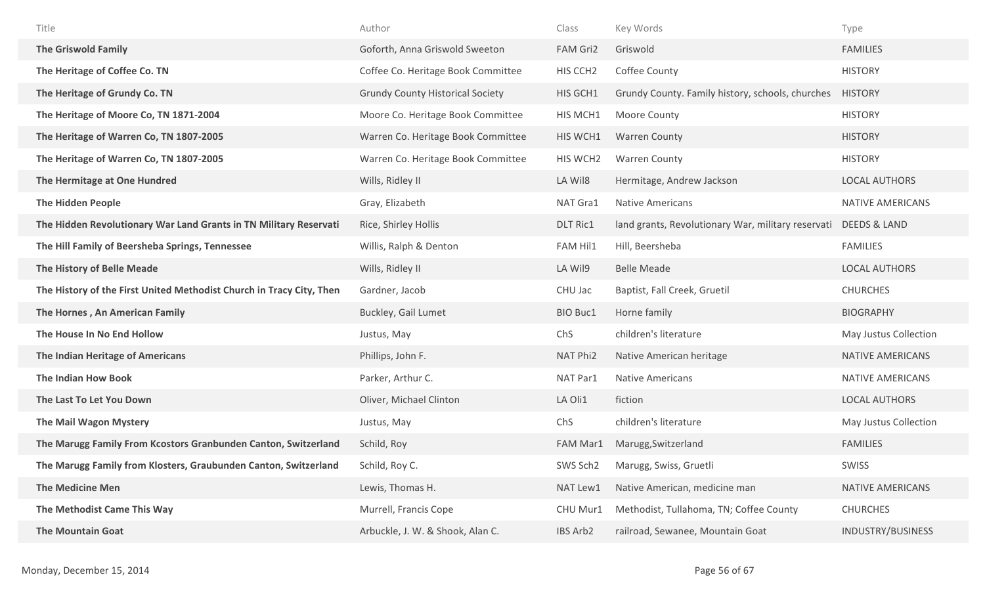| Title                                                                | Author                                  | Class                | Key Words                                                       | Type                  |
|----------------------------------------------------------------------|-----------------------------------------|----------------------|-----------------------------------------------------------------|-----------------------|
| <b>The Griswold Family</b>                                           | Goforth, Anna Griswold Sweeton          | FAM Gri2             | Griswold                                                        | <b>FAMILIES</b>       |
| The Heritage of Coffee Co. TN                                        | Coffee Co. Heritage Book Committee      | HIS CCH <sub>2</sub> | Coffee County                                                   | <b>HISTORY</b>        |
| The Heritage of Grundy Co. TN                                        | <b>Grundy County Historical Society</b> | HIS GCH1             | Grundy County. Family history, schools, churches                | <b>HISTORY</b>        |
| The Heritage of Moore Co, TN 1871-2004                               | Moore Co. Heritage Book Committee       | HIS MCH1             | Moore County                                                    | <b>HISTORY</b>        |
| The Heritage of Warren Co, TN 1807-2005                              | Warren Co. Heritage Book Committee      | HIS WCH1             | <b>Warren County</b>                                            | <b>HISTORY</b>        |
| The Heritage of Warren Co, TN 1807-2005                              | Warren Co. Heritage Book Committee      | HIS WCH2             | <b>Warren County</b>                                            | <b>HISTORY</b>        |
| The Hermitage at One Hundred                                         | Wills, Ridley II                        | LA Wil8              | Hermitage, Andrew Jackson                                       | <b>LOCAL AUTHORS</b>  |
| <b>The Hidden People</b>                                             | Gray, Elizabeth                         | NAT Gra1             | <b>Native Americans</b>                                         | NATIVE AMERICANS      |
| The Hidden Revolutionary War Land Grants in TN Military Reservati    | Rice, Shirley Hollis                    | <b>DLT Ric1</b>      | land grants, Revolutionary War, military reservati DEEDS & LAND |                       |
| The Hill Family of Beersheba Springs, Tennessee                      | Willis, Ralph & Denton                  | <b>FAM Hil1</b>      | Hill, Beersheba                                                 | <b>FAMILIES</b>       |
| The History of Belle Meade                                           | Wills, Ridley II                        | LA Wil9              | <b>Belle Meade</b>                                              | <b>LOCAL AUTHORS</b>  |
| The History of the First United Methodist Church in Tracy City, Then | Gardner, Jacob                          | CHU Jac              | Baptist, Fall Creek, Gruetil                                    | <b>CHURCHES</b>       |
| The Hornes, An American Family                                       | <b>Buckley, Gail Lumet</b>              | <b>BIO Buc1</b>      | Horne family                                                    | <b>BIOGRAPHY</b>      |
| The House In No End Hollow                                           | Justus, May                             | ChS                  | children's literature                                           | May Justus Collection |
| The Indian Heritage of Americans                                     | Phillips, John F.                       | NAT Phi2             | Native American heritage                                        | NATIVE AMERICANS      |
| The Indian How Book                                                  | Parker, Arthur C.                       | NAT Par1             | Native Americans                                                | NATIVE AMERICANS      |
| The Last To Let You Down                                             | Oliver, Michael Clinton                 | LA Oli1              | fiction                                                         | <b>LOCAL AUTHORS</b>  |
| <b>The Mail Wagon Mystery</b>                                        | Justus, May                             | ChS                  | children's literature                                           | May Justus Collection |
| The Marugg Family From Kcostors Granbunden Canton, Switzerland       | Schild, Roy                             | <b>FAM Mar1</b>      | Marugg, Switzerland                                             | <b>FAMILIES</b>       |
| The Marugg Family from Klosters, Graubunden Canton, Switzerland      | Schild, Roy C.                          | SWS Sch2             | Marugg, Swiss, Gruetli                                          | SWISS                 |
| <b>The Medicine Men</b>                                              | Lewis, Thomas H.                        | NAT Lew1             | Native American, medicine man                                   | NATIVE AMERICANS      |
| The Methodist Came This Way                                          | Murrell, Francis Cope                   | CHU Mur1             | Methodist, Tullahoma, TN; Coffee County                         | <b>CHURCHES</b>       |
| <b>The Mountain Goat</b>                                             | Arbuckle, J. W. & Shook, Alan C.        | IBS Arb2             | railroad, Sewanee, Mountain Goat                                | INDUSTRY/BUSINESS     |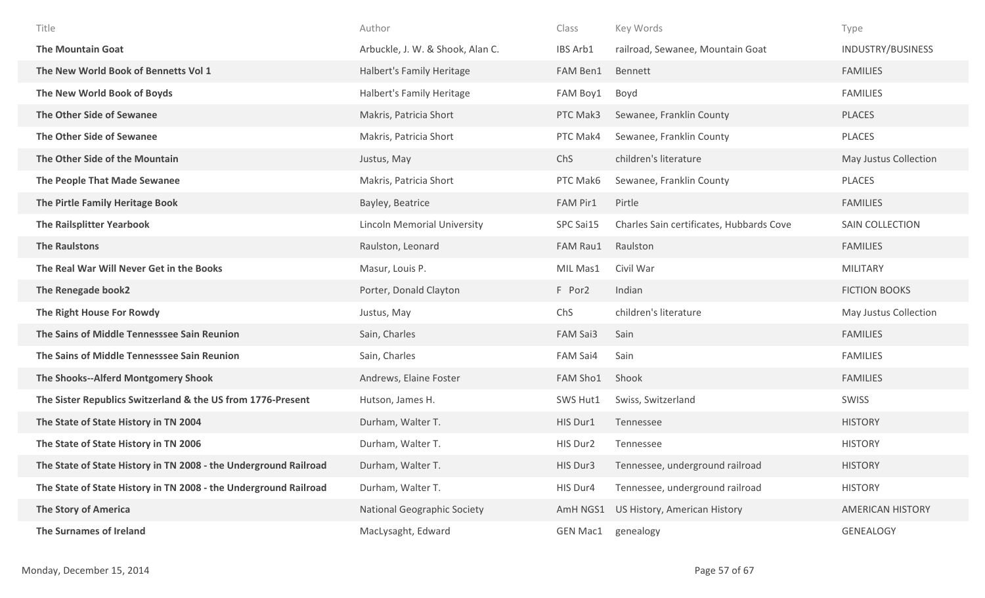| Title                                                            | Author                             | Class           | Key Words                                | Type                    |
|------------------------------------------------------------------|------------------------------------|-----------------|------------------------------------------|-------------------------|
| <b>The Mountain Goat</b>                                         | Arbuckle, J. W. & Shook, Alan C.   | IBS Arb1        | railroad, Sewanee, Mountain Goat         | INDUSTRY/BUSINESS       |
| The New World Book of Bennetts Vol 1                             | Halbert's Family Heritage          | FAM Ben1        | Bennett                                  | <b>FAMILIES</b>         |
| The New World Book of Boyds                                      | Halbert's Family Heritage          | FAM Boy1        | Boyd                                     | <b>FAMILIES</b>         |
| The Other Side of Sewanee                                        | Makris, Patricia Short             | PTC Mak3        | Sewanee, Franklin County                 | <b>PLACES</b>           |
| The Other Side of Sewanee                                        | Makris, Patricia Short             | PTC Mak4        | Sewanee, Franklin County                 | <b>PLACES</b>           |
| The Other Side of the Mountain                                   | Justus, May                        | ChS             | children's literature                    | May Justus Collection   |
| The People That Made Sewanee                                     | Makris, Patricia Short             | PTC Mak6        | Sewanee, Franklin County                 | PLACES                  |
| The Pirtle Family Heritage Book                                  | Bayley, Beatrice                   | FAM Pir1        | Pirtle                                   | <b>FAMILIES</b>         |
| <b>The Railsplitter Yearbook</b>                                 | <b>Lincoln Memorial University</b> | SPC Sai15       | Charles Sain certificates, Hubbards Cove | SAIN COLLECTION         |
| <b>The Raulstons</b>                                             | Raulston, Leonard                  | FAM Rau1        | Raulston                                 | <b>FAMILIES</b>         |
| The Real War Will Never Get in the Books                         | Masur, Louis P.                    | MIL Mas1        | Civil War                                | <b>MILITARY</b>         |
| The Renegade book2                                               | Porter, Donald Clayton             | F Por2          | Indian                                   | <b>FICTION BOOKS</b>    |
| The Right House For Rowdy                                        | Justus, May                        | ChS             | children's literature                    | May Justus Collection   |
| The Sains of Middle Tennesssee Sain Reunion                      | Sain, Charles                      | FAM Sai3        | Sain                                     | <b>FAMILIES</b>         |
| The Sains of Middle Tennesssee Sain Reunion                      | Sain, Charles                      | FAM Sai4        | Sain                                     | <b>FAMILIES</b>         |
| The Shooks--Alferd Montgomery Shook                              | Andrews, Elaine Foster             | FAM Sho1        | Shook                                    | <b>FAMILIES</b>         |
| The Sister Republics Switzerland & the US from 1776-Present      | Hutson, James H.                   | SWS Hut1        | Swiss, Switzerland                       | <b>SWISS</b>            |
| The State of State History in TN 2004                            | Durham, Walter T.                  | HIS Dur1        | Tennessee                                | <b>HISTORY</b>          |
| The State of State History in TN 2006                            | Durham, Walter T.                  | HIS Dur2        | Tennessee                                | <b>HISTORY</b>          |
| The State of State History in TN 2008 - the Underground Railroad | Durham, Walter T.                  | HIS Dur3        | Tennessee, underground railroad          | <b>HISTORY</b>          |
| The State of State History in TN 2008 - the Underground Railroad | Durham, Walter T.                  | HIS Dur4        | Tennessee, underground railroad          | <b>HISTORY</b>          |
| <b>The Story of America</b>                                      | <b>National Geographic Society</b> | AmH NGS1        | US History, American History             | <b>AMERICAN HISTORY</b> |
| The Surnames of Ireland                                          | MacLysaght, Edward                 | <b>GEN Mac1</b> | genealogy                                | <b>GENEALOGY</b>        |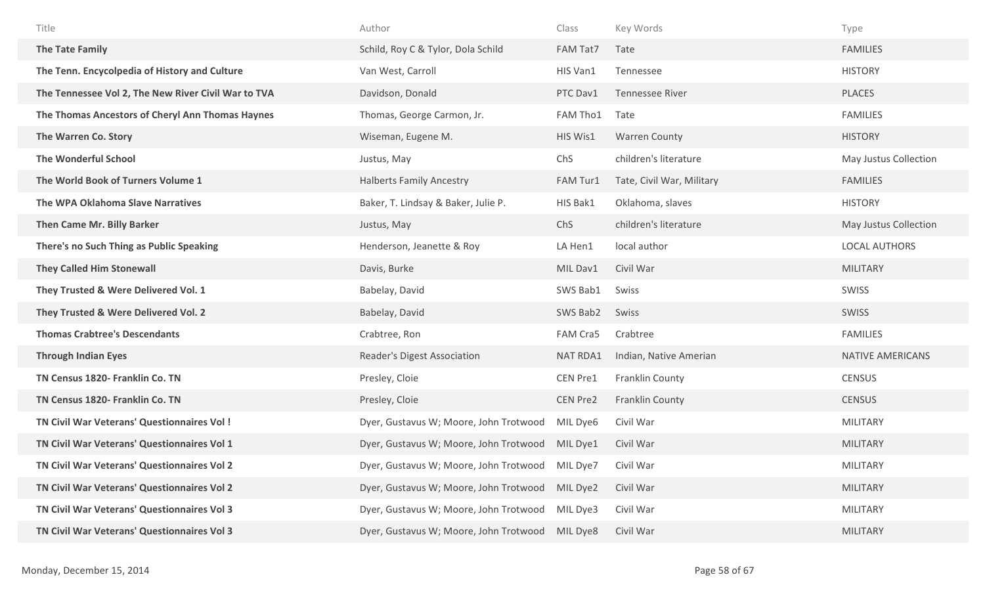| Title                                               | Author                                          | Class           | Key Words                 | Type                  |
|-----------------------------------------------------|-------------------------------------------------|-----------------|---------------------------|-----------------------|
| The Tate Family                                     | Schild, Roy C & Tylor, Dola Schild              | FAM Tat7        | Tate                      | <b>FAMILIES</b>       |
| The Tenn. Encycolpedia of History and Culture       | Van West, Carroll                               | HIS Van1        | Tennessee                 | <b>HISTORY</b>        |
| The Tennessee Vol 2, The New River Civil War to TVA | Davidson, Donald                                | PTC Dav1        | <b>Tennessee River</b>    | <b>PLACES</b>         |
| The Thomas Ancestors of Cheryl Ann Thomas Haynes    | Thomas, George Carmon, Jr.                      | FAM Tho1        | Tate                      | <b>FAMILIES</b>       |
| The Warren Co. Story                                | Wiseman, Eugene M.                              | HIS Wis1        | <b>Warren County</b>      | <b>HISTORY</b>        |
| <b>The Wonderful School</b>                         | Justus, May                                     | ChS             | children's literature     | May Justus Collection |
| The World Book of Turners Volume 1                  | <b>Halberts Family Ancestry</b>                 | FAM Tur1        | Tate, Civil War, Military | <b>FAMILIES</b>       |
| The WPA Oklahoma Slave Narratives                   | Baker, T. Lindsay & Baker, Julie P.             | HIS Bak1        | Oklahoma, slaves          | <b>HISTORY</b>        |
| Then Came Mr. Billy Barker                          | Justus, May                                     | ChS             | children's literature     | May Justus Collection |
| There's no Such Thing as Public Speaking            | Henderson, Jeanette & Roy                       | LA Hen1         | local author              | <b>LOCAL AUTHORS</b>  |
| <b>They Called Him Stonewall</b>                    | Davis, Burke                                    | MIL Dav1        | Civil War                 | <b>MILITARY</b>       |
| They Trusted & Were Delivered Vol. 1                | Babelay, David                                  | SWS Bab1        | Swiss                     | SWISS                 |
| They Trusted & Were Delivered Vol. 2                | Babelay, David                                  | SWS Bab2        | Swiss                     | SWISS                 |
| <b>Thomas Crabtree's Descendants</b>                | Crabtree, Ron                                   | FAM Cra5        | Crabtree                  | <b>FAMILIES</b>       |
| <b>Through Indian Eyes</b>                          | Reader's Digest Association                     | NAT RDA1        | Indian, Native Amerian    | NATIVE AMERICANS      |
| TN Census 1820- Franklin Co. TN                     | Presley, Cloie                                  | CEN Pre1        | Franklin County           | <b>CENSUS</b>         |
| TN Census 1820- Franklin Co. TN                     | Presley, Cloie                                  | <b>CEN Pre2</b> | Franklin County           | <b>CENSUS</b>         |
| TN Civil War Veterans' Questionnaires Vol!          | Dyer, Gustavus W; Moore, John Trotwood          | MIL Dye6        | Civil War                 | <b>MILITARY</b>       |
| TN Civil War Veterans' Questionnaires Vol 1         | Dyer, Gustavus W; Moore, John Trotwood          | MIL Dye1        | Civil War                 | <b>MILITARY</b>       |
| TN Civil War Veterans' Questionnaires Vol 2         | Dyer, Gustavus W; Moore, John Trotwood MIL Dye7 |                 | Civil War                 | <b>MILITARY</b>       |
| TN Civil War Veterans' Questionnaires Vol 2         | Dyer, Gustavus W; Moore, John Trotwood MIL Dye2 |                 | Civil War                 | <b>MILITARY</b>       |
| TN Civil War Veterans' Questionnaires Vol 3         | Dyer, Gustavus W; Moore, John Trotwood MIL Dye3 |                 | Civil War                 | <b>MILITARY</b>       |
| TN Civil War Veterans' Questionnaires Vol 3         | Dyer, Gustavus W; Moore, John Trotwood MIL Dye8 |                 | Civil War                 | MILITARY              |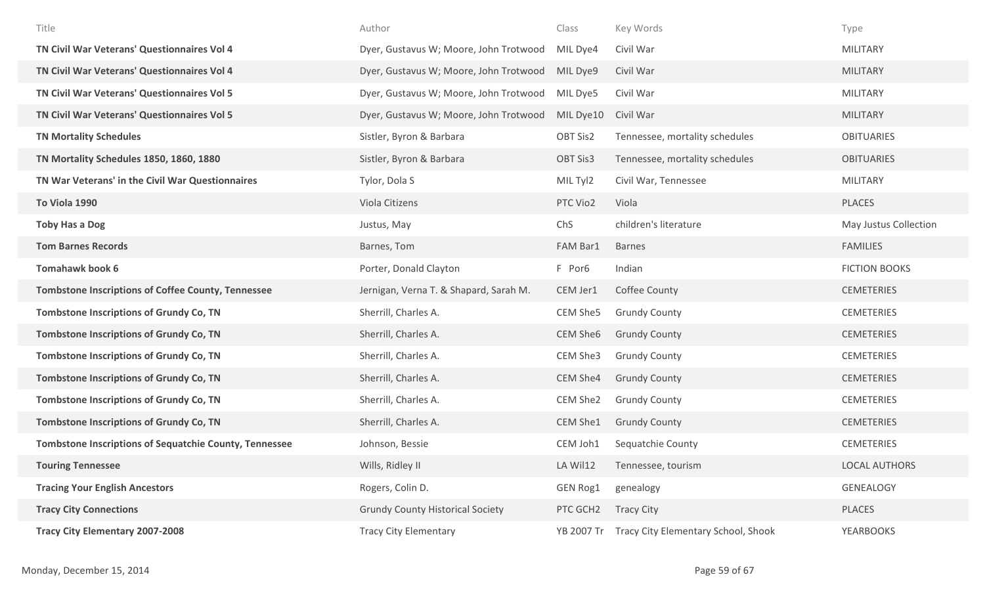| Title                                                         | Author                                  | Class           | Key Words                           | Type                  |
|---------------------------------------------------------------|-----------------------------------------|-----------------|-------------------------------------|-----------------------|
| TN Civil War Veterans' Questionnaires Vol 4                   | Dyer, Gustavus W; Moore, John Trotwood  | MIL Dye4        | Civil War                           | MILITARY              |
| TN Civil War Veterans' Questionnaires Vol 4                   | Dyer, Gustavus W; Moore, John Trotwood  | MIL Dye9        | Civil War                           | <b>MILITARY</b>       |
| TN Civil War Veterans' Questionnaires Vol 5                   | Dyer, Gustavus W; Moore, John Trotwood  | MIL Dye5        | Civil War                           | <b>MILITARY</b>       |
| TN Civil War Veterans' Questionnaires Vol 5                   | Dyer, Gustavus W; Moore, John Trotwood  | MIL Dye10       | Civil War                           | <b>MILITARY</b>       |
| <b>TN Mortality Schedules</b>                                 | Sistler, Byron & Barbara                | OBT Sis2        | Tennessee, mortality schedules      | <b>OBITUARIES</b>     |
| TN Mortality Schedules 1850, 1860, 1880                       | Sistler, Byron & Barbara                | <b>OBT Sis3</b> | Tennessee, mortality schedules      | <b>OBITUARIES</b>     |
| TN War Veterans' in the Civil War Questionnaires              | Tylor, Dola S                           | MIL Tyl2        | Civil War, Tennessee                | <b>MILITARY</b>       |
| To Viola 1990                                                 | Viola Citizens                          | PTC Vio2        | Viola                               | <b>PLACES</b>         |
| <b>Toby Has a Dog</b>                                         | Justus, May                             | ChS             | children's literature               | May Justus Collection |
| <b>Tom Barnes Records</b>                                     | Barnes, Tom                             | FAM Bar1        | <b>Barnes</b>                       | <b>FAMILIES</b>       |
| <b>Tomahawk book 6</b>                                        | Porter, Donald Clayton                  | F Por6          | Indian                              | <b>FICTION BOOKS</b>  |
| <b>Tombstone Inscriptions of Coffee County, Tennessee</b>     | Jernigan, Verna T. & Shapard, Sarah M.  | CEM Jer1        | Coffee County                       | <b>CEMETERIES</b>     |
| <b>Tombstone Inscriptions of Grundy Co, TN</b>                | Sherrill, Charles A.                    | CEM She5        | <b>Grundy County</b>                | <b>CEMETERIES</b>     |
| <b>Tombstone Inscriptions of Grundy Co, TN</b>                | Sherrill, Charles A.                    | CEM She6        | <b>Grundy County</b>                | <b>CEMETERIES</b>     |
| <b>Tombstone Inscriptions of Grundy Co, TN</b>                | Sherrill, Charles A.                    | CEM She3        | <b>Grundy County</b>                | <b>CEMETERIES</b>     |
| <b>Tombstone Inscriptions of Grundy Co, TN</b>                | Sherrill, Charles A.                    | CEM She4        | <b>Grundy County</b>                | <b>CEMETERIES</b>     |
| <b>Tombstone Inscriptions of Grundy Co, TN</b>                | Sherrill, Charles A.                    | CEM She2        | <b>Grundy County</b>                | <b>CEMETERIES</b>     |
| Tombstone Inscriptions of Grundy Co, TN                       | Sherrill, Charles A.                    | CEM She1        | <b>Grundy County</b>                | <b>CEMETERIES</b>     |
| <b>Tombstone Inscriptions of Sequatchie County, Tennessee</b> | Johnson, Bessie                         | CEM Joh1        | Sequatchie County                   | <b>CEMETERIES</b>     |
| <b>Touring Tennessee</b>                                      | Wills, Ridley II                        | LA Wil12        | Tennessee, tourism                  | <b>LOCAL AUTHORS</b>  |
| <b>Tracing Your English Ancestors</b>                         | Rogers, Colin D.                        | <b>GEN Rog1</b> | genealogy                           | GENEALOGY             |
| <b>Tracy City Connections</b>                                 | <b>Grundy County Historical Society</b> | PTC GCH2        | <b>Tracy City</b>                   | PLACES                |
| Tracy City Elementary 2007-2008                               | <b>Tracy City Elementary</b>            | YB 2007 Tr      | Tracy City Elementary School, Shook | <b>YEARBOOKS</b>      |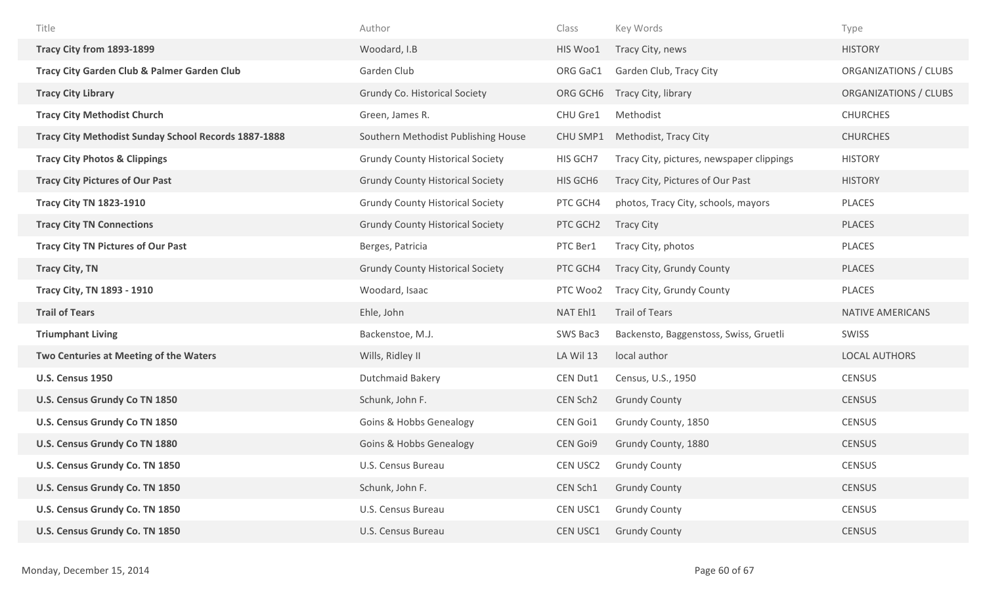| Title                                                | Author                                  | Class           | Key Words                                 | Type                    |
|------------------------------------------------------|-----------------------------------------|-----------------|-------------------------------------------|-------------------------|
| Tracy City from 1893-1899                            | Woodard, I.B                            | HIS Woo1        | Tracy City, news                          | <b>HISTORY</b>          |
| Tracy City Garden Club & Palmer Garden Club          | Garden Club                             | ORG GaC1        | Garden Club, Tracy City                   | ORGANIZATIONS / CLUBS   |
| <b>Tracy City Library</b>                            | Grundy Co. Historical Society           | ORG GCH6        | Tracy City, library                       | ORGANIZATIONS / CLUBS   |
| <b>Tracy City Methodist Church</b>                   | Green, James R.                         | CHU Gre1        | Methodist                                 | <b>CHURCHES</b>         |
| Tracy City Methodist Sunday School Records 1887-1888 | Southern Methodist Publishing House     | CHU SMP1        | Methodist, Tracy City                     | <b>CHURCHES</b>         |
| <b>Tracy City Photos &amp; Clippings</b>             | <b>Grundy County Historical Society</b> | HIS GCH7        | Tracy City, pictures, newspaper clippings | <b>HISTORY</b>          |
| <b>Tracy City Pictures of Our Past</b>               | <b>Grundy County Historical Society</b> | HIS GCH6        | Tracy City, Pictures of Our Past          | <b>HISTORY</b>          |
| <b>Tracy City TN 1823-1910</b>                       | <b>Grundy County Historical Society</b> | PTC GCH4        | photos, Tracy City, schools, mayors       | PLACES                  |
| <b>Tracy City TN Connections</b>                     | <b>Grundy County Historical Society</b> | PTC GCH2        | <b>Tracy City</b>                         | <b>PLACES</b>           |
| <b>Tracy City TN Pictures of Our Past</b>            | Berges, Patricia                        | PTC Ber1        | Tracy City, photos                        | PLACES                  |
| <b>Tracy City, TN</b>                                | <b>Grundy County Historical Society</b> | PTC GCH4        | Tracy City, Grundy County                 | <b>PLACES</b>           |
| Tracy City, TN 1893 - 1910                           | Woodard, Isaac                          | PTC Woo2        | Tracy City, Grundy County                 | PLACES                  |
| <b>Trail of Tears</b>                                | Ehle, John                              | NAT Ehl1        | <b>Trail of Tears</b>                     | <b>NATIVE AMERICANS</b> |
| <b>Triumphant Living</b>                             | Backenstoe, M.J.                        | SWS Bac3        | Backensto, Baggenstoss, Swiss, Gruetli    | SWISS                   |
| Two Centuries at Meeting of the Waters               | Wills, Ridley II                        | LA Wil 13       | local author                              | <b>LOCAL AUTHORS</b>    |
| <b>U.S. Census 1950</b>                              | <b>Dutchmaid Bakery</b>                 | CEN Dut1        | Census, U.S., 1950                        | <b>CENSUS</b>           |
| U.S. Census Grundy Co TN 1850                        | Schunk, John F.                         | CEN Sch2        | <b>Grundy County</b>                      | <b>CENSUS</b>           |
| U.S. Census Grundy Co TN 1850                        | <b>Goins &amp; Hobbs Genealogy</b>      | CEN Goi1        | Grundy County, 1850                       | <b>CENSUS</b>           |
| U.S. Census Grundy Co TN 1880                        | <b>Goins &amp; Hobbs Genealogy</b>      | <b>CEN Goi9</b> | Grundy County, 1880                       | <b>CENSUS</b>           |
| U.S. Census Grundy Co. TN 1850                       | U.S. Census Bureau                      | CEN USC2        | <b>Grundy County</b>                      | <b>CENSUS</b>           |
| U.S. Census Grundy Co. TN 1850                       | Schunk, John F.                         | CEN Sch1        | <b>Grundy County</b>                      | <b>CENSUS</b>           |
| U.S. Census Grundy Co. TN 1850                       | U.S. Census Bureau                      | CEN USC1        | <b>Grundy County</b>                      | <b>CENSUS</b>           |
| U.S. Census Grundy Co. TN 1850                       | U.S. Census Bureau                      | CEN USC1        | <b>Grundy County</b>                      | <b>CENSUS</b>           |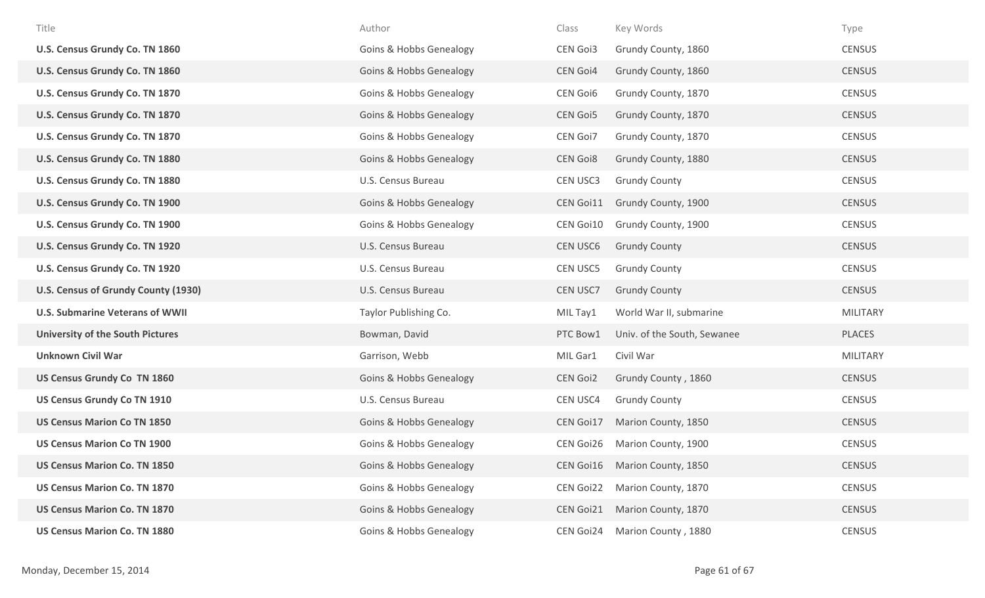| Title                                   | Author                             | Class           | Key Words                     | Type            |
|-----------------------------------------|------------------------------------|-----------------|-------------------------------|-----------------|
| U.S. Census Grundy Co. TN 1860          | <b>Goins &amp; Hobbs Genealogy</b> | <b>CEN Goi3</b> | Grundy County, 1860           | <b>CENSUS</b>   |
| U.S. Census Grundy Co. TN 1860          | <b>Goins &amp; Hobbs Genealogy</b> | <b>CEN Goi4</b> | Grundy County, 1860           | <b>CENSUS</b>   |
| U.S. Census Grundy Co. TN 1870          | <b>Goins &amp; Hobbs Genealogy</b> | <b>CEN Goi6</b> | Grundy County, 1870           | <b>CENSUS</b>   |
| U.S. Census Grundy Co. TN 1870          | <b>Goins &amp; Hobbs Genealogy</b> | <b>CEN Goi5</b> | Grundy County, 1870           | <b>CENSUS</b>   |
| U.S. Census Grundy Co. TN 1870          | <b>Goins &amp; Hobbs Genealogy</b> | CEN Goi7        | Grundy County, 1870           | <b>CENSUS</b>   |
| U.S. Census Grundy Co. TN 1880          | <b>Goins &amp; Hobbs Genealogy</b> | <b>CEN Goi8</b> | Grundy County, 1880           | <b>CENSUS</b>   |
| U.S. Census Grundy Co. TN 1880          | U.S. Census Bureau                 | CEN USC3        | <b>Grundy County</b>          | <b>CENSUS</b>   |
| U.S. Census Grundy Co. TN 1900          | <b>Goins &amp; Hobbs Genealogy</b> | CEN Goi11       | Grundy County, 1900           | <b>CENSUS</b>   |
| U.S. Census Grundy Co. TN 1900          | <b>Goins &amp; Hobbs Genealogy</b> | CEN Goi10       | Grundy County, 1900           | <b>CENSUS</b>   |
| U.S. Census Grundy Co. TN 1920          | U.S. Census Bureau                 | <b>CEN USC6</b> | <b>Grundy County</b>          | <b>CENSUS</b>   |
| U.S. Census Grundy Co. TN 1920          | U.S. Census Bureau                 | <b>CEN USC5</b> | <b>Grundy County</b>          | <b>CENSUS</b>   |
| U.S. Census of Grundy County (1930)     | U.S. Census Bureau                 | <b>CEN USC7</b> | <b>Grundy County</b>          | <b>CENSUS</b>   |
| <b>U.S. Submarine Veterans of WWII</b>  | Taylor Publishing Co.              | MIL Tay1        | World War II, submarine       | <b>MILITARY</b> |
| <b>University of the South Pictures</b> | Bowman, David                      | PTC Bow1        | Univ. of the South, Sewanee   | PLACES          |
| <b>Unknown Civil War</b>                | Garrison, Webb                     | MIL Gar1        | Civil War                     | MILITARY        |
| US Census Grundy Co TN 1860             | <b>Goins &amp; Hobbs Genealogy</b> | <b>CEN Goi2</b> | Grundy County, 1860           | <b>CENSUS</b>   |
| <b>US Census Grundy Co TN 1910</b>      | U.S. Census Bureau                 | CEN USC4        | <b>Grundy County</b>          | <b>CENSUS</b>   |
| <b>US Census Marion Co TN 1850</b>      | <b>Goins &amp; Hobbs Genealogy</b> | CEN Goi17       | Marion County, 1850           | <b>CENSUS</b>   |
| <b>US Census Marion Co TN 1900</b>      | <b>Goins &amp; Hobbs Genealogy</b> | CEN Goi26       | Marion County, 1900           | <b>CENSUS</b>   |
| <b>US Census Marion Co. TN 1850</b>     | <b>Goins &amp; Hobbs Genealogy</b> |                 | CEN Goi16 Marion County, 1850 | <b>CENSUS</b>   |
| <b>US Census Marion Co. TN 1870</b>     | <b>Goins &amp; Hobbs Genealogy</b> | CEN Goi22       | Marion County, 1870           | <b>CENSUS</b>   |
| <b>US Census Marion Co. TN 1870</b>     | <b>Goins &amp; Hobbs Genealogy</b> | CEN Goi21       | Marion County, 1870           | <b>CENSUS</b>   |
| <b>US Census Marion Co. TN 1880</b>     | <b>Goins &amp; Hobbs Genealogy</b> | CEN Goi24       | Marion County, 1880           | <b>CENSUS</b>   |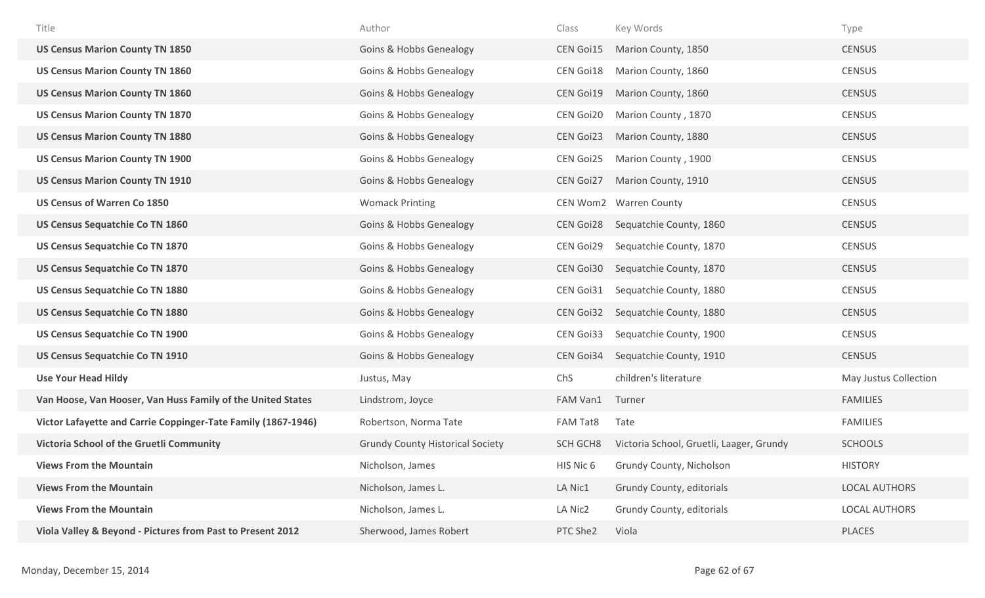| Title                                                         | Author                                  | Class            | Key Words                                | Type                  |
|---------------------------------------------------------------|-----------------------------------------|------------------|------------------------------------------|-----------------------|
| <b>US Census Marion County TN 1850</b>                        | <b>Goins &amp; Hobbs Genealogy</b>      | <b>CEN Goi15</b> | Marion County, 1850                      | <b>CENSUS</b>         |
| <b>US Census Marion County TN 1860</b>                        | Goins & Hobbs Genealogy                 | CEN Goi18        | Marion County, 1860                      | <b>CENSUS</b>         |
| <b>US Census Marion County TN 1860</b>                        | <b>Goins &amp; Hobbs Genealogy</b>      | <b>CEN Goi19</b> | Marion County, 1860                      | <b>CENSUS</b>         |
| <b>US Census Marion County TN 1870</b>                        | <b>Goins &amp; Hobbs Genealogy</b>      | CEN Goi20        | Marion County, 1870                      | <b>CENSUS</b>         |
| <b>US Census Marion County TN 1880</b>                        | <b>Goins &amp; Hobbs Genealogy</b>      | CEN Goi23        | Marion County, 1880                      | <b>CENSUS</b>         |
| <b>US Census Marion County TN 1900</b>                        | <b>Goins &amp; Hobbs Genealogy</b>      | CEN Goi25        | Marion County, 1900                      | <b>CENSUS</b>         |
| <b>US Census Marion County TN 1910</b>                        | <b>Goins &amp; Hobbs Genealogy</b>      | CEN Goi27        | Marion County, 1910                      | <b>CENSUS</b>         |
| <b>US Census of Warren Co 1850</b>                            | <b>Womack Printing</b>                  |                  | CEN Wom2 Warren County                   | <b>CENSUS</b>         |
| <b>US Census Sequatchie Co TN 1860</b>                        | <b>Goins &amp; Hobbs Genealogy</b>      | <b>CEN Goi28</b> | Sequatchie County, 1860                  | <b>CENSUS</b>         |
| US Census Sequatchie Co TN 1870                               | <b>Goins &amp; Hobbs Genealogy</b>      | CEN Goi29        | Sequatchie County, 1870                  | <b>CENSUS</b>         |
| US Census Sequatchie Co TN 1870                               | <b>Goins &amp; Hobbs Genealogy</b>      | CEN Goi30        | Sequatchie County, 1870                  | <b>CENSUS</b>         |
| US Census Sequatchie Co TN 1880                               | <b>Goins &amp; Hobbs Genealogy</b>      | CEN Goi31        | Sequatchie County, 1880                  | <b>CENSUS</b>         |
| US Census Sequatchie Co TN 1880                               | <b>Goins &amp; Hobbs Genealogy</b>      | CEN Goi32        | Sequatchie County, 1880                  | <b>CENSUS</b>         |
| <b>US Census Sequatchie Co TN 1900</b>                        | <b>Goins &amp; Hobbs Genealogy</b>      | CEN Goi33        | Sequatchie County, 1900                  | <b>CENSUS</b>         |
| <b>US Census Sequatchie Co TN 1910</b>                        | <b>Goins &amp; Hobbs Genealogy</b>      | CEN Goi34        | Sequatchie County, 1910                  | <b>CENSUS</b>         |
| <b>Use Your Head Hildy</b>                                    | Justus, May                             | ChS              | children's literature                    | May Justus Collection |
| Van Hoose, Van Hooser, Van Huss Family of the United States   | Lindstrom, Joyce                        | FAM Van1         | Turner                                   | <b>FAMILIES</b>       |
| Victor Lafayette and Carrie Coppinger-Tate Family (1867-1946) | Robertson, Norma Tate                   | FAM Tat8         | Tate                                     | <b>FAMILIES</b>       |
| Victoria School of the Gruetli Community                      | <b>Grundy County Historical Society</b> | SCH GCH8         | Victoria School, Gruetli, Laager, Grundy | <b>SCHOOLS</b>        |
| <b>Views From the Mountain</b>                                | Nicholson, James                        | HIS Nic 6        | Grundy County, Nicholson                 | <b>HISTORY</b>        |
| <b>Views From the Mountain</b>                                | Nicholson, James L.                     | LA Nic1          | Grundy County, editorials                | <b>LOCAL AUTHORS</b>  |
| <b>Views From the Mountain</b>                                | Nicholson, James L.                     | LA Nic2          | Grundy County, editorials                | <b>LOCAL AUTHORS</b>  |
| Viola Valley & Beyond - Pictures from Past to Present 2012    | Sherwood, James Robert                  | PTC She2         | Viola                                    | PLACES                |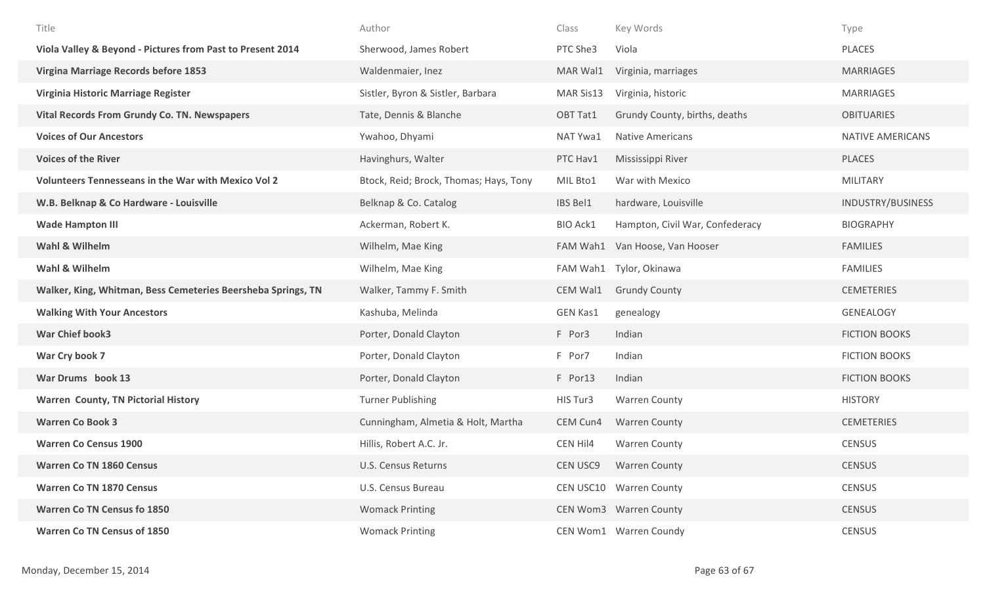| Title                                                        | Author                                 | Class           | Key Words                       | Type                     |
|--------------------------------------------------------------|----------------------------------------|-----------------|---------------------------------|--------------------------|
| Viola Valley & Beyond - Pictures from Past to Present 2014   | Sherwood, James Robert                 | PTC She3        | Viola                           | <b>PLACES</b>            |
| Virgina Marriage Records before 1853                         | Waldenmaier, Inez                      | MAR Wal1        | Virginia, marriages             | <b>MARRIAGES</b>         |
| Virginia Historic Marriage Register                          | Sistler, Byron & Sistler, Barbara      | MAR Sis13       | Virginia, historic              | <b>MARRIAGES</b>         |
| <b>Vital Records From Grundy Co. TN. Newspapers</b>          | Tate, Dennis & Blanche                 | OBT Tat1        | Grundy County, births, deaths   | <b>OBITUARIES</b>        |
| <b>Voices of Our Ancestors</b>                               | Ywahoo, Dhyami                         | NAT Ywa1        | <b>Native Americans</b>         | NATIVE AMERICANS         |
| <b>Voices of the River</b>                                   | Havinghurs, Walter                     | PTC Hav1        | Mississippi River               | PLACES                   |
| <b>Volunteers Tennesseans in the War with Mexico Vol 2</b>   | Btock, Reid; Brock, Thomas; Hays, Tony | MIL Bto1        | War with Mexico                 | <b>MILITARY</b>          |
| W.B. Belknap & Co Hardware - Louisville                      | Belknap & Co. Catalog                  | IBS Bel1        | hardware, Louisville            | <b>INDUSTRY/BUSINESS</b> |
| <b>Wade Hampton III</b>                                      | Ackerman, Robert K.                    | <b>BIO Ack1</b> | Hampton, Civil War, Confederacy | <b>BIOGRAPHY</b>         |
| Wahl & Wilhelm                                               | Wilhelm, Mae King                      | FAM Wah1        | Van Hoose, Van Hooser           | <b>FAMILIES</b>          |
| Wahl & Wilhelm                                               | Wilhelm, Mae King                      | FAM Wah1        | Tylor, Okinawa                  | <b>FAMILIES</b>          |
| Walker, King, Whitman, Bess Cemeteries Beersheba Springs, TN | Walker, Tammy F. Smith                 | CEM Wal1        | <b>Grundy County</b>            | <b>CEMETERIES</b>        |
| <b>Walking With Your Ancestors</b>                           | Kashuba, Melinda                       | <b>GEN Kas1</b> | genealogy                       | GENEALOGY                |
| <b>War Chief book3</b>                                       | Porter, Donald Clayton                 | F Por3          | Indian                          | <b>FICTION BOOKS</b>     |
| War Cry book 7                                               | Porter, Donald Clayton                 | F Por7          | Indian                          | <b>FICTION BOOKS</b>     |
| War Drums book 13                                            | Porter, Donald Clayton                 | F Por13         | Indian                          | <b>FICTION BOOKS</b>     |
| <b>Warren County, TN Pictorial History</b>                   | <b>Turner Publishing</b>               | HIS Tur3        | <b>Warren County</b>            | <b>HISTORY</b>           |
| <b>Warren Co Book 3</b>                                      | Cunningham, Almetia & Holt, Martha     | CEM Cun4        | <b>Warren County</b>            | <b>CEMETERIES</b>        |
| <b>Warren Co Census 1900</b>                                 | Hillis, Robert A.C. Jr.                | CEN Hil4        | <b>Warren County</b>            | <b>CENSUS</b>            |
| <b>Warren Co TN 1860 Census</b>                              | U.S. Census Returns                    | <b>CEN USC9</b> | <b>Warren County</b>            | <b>CENSUS</b>            |
| <b>Warren Co TN 1870 Census</b>                              | U.S. Census Bureau                     |                 | CEN USC10 Warren County         | <b>CENSUS</b>            |
| <b>Warren Co TN Census fo 1850</b>                           | <b>Womack Printing</b>                 |                 | CEN Wom3 Warren County          | <b>CENSUS</b>            |
| <b>Warren Co TN Census of 1850</b>                           | <b>Womack Printing</b>                 |                 | CEN Wom1 Warren Coundy          | CENSUS                   |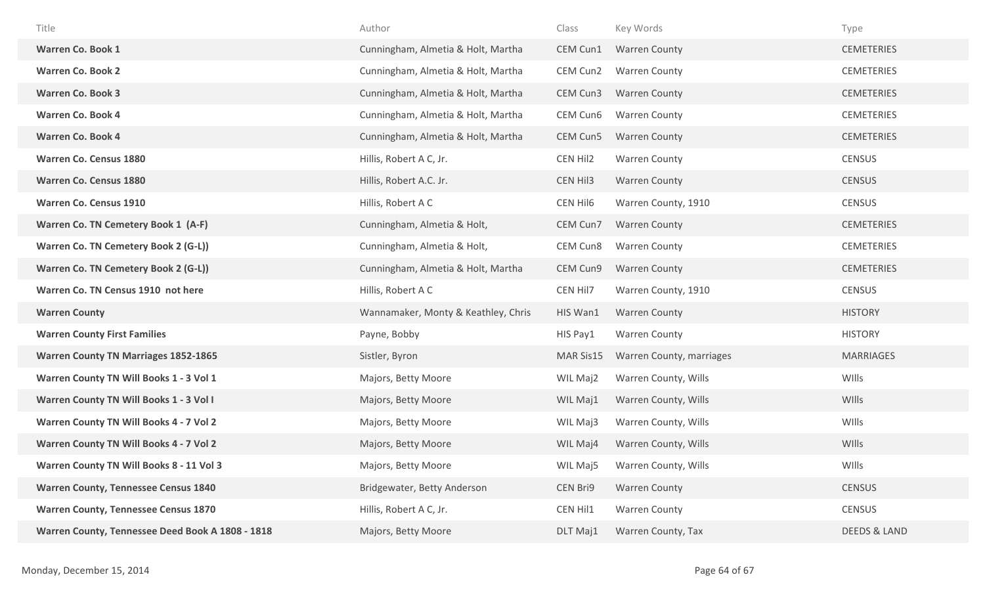| Title                                       | Author                              | Class     | Key Words                | Type              |
|---------------------------------------------|-------------------------------------|-----------|--------------------------|-------------------|
| <b>Warren Co. Book 1</b>                    | Cunningham, Almetia & Holt, Martha  | CEM Cun1  | <b>Warren County</b>     | <b>CEMETERIES</b> |
| <b>Warren Co. Book 2</b>                    | Cunningham, Almetia & Holt, Martha  | CEM Cun2  | <b>Warren County</b>     | <b>CEMETERIES</b> |
| <b>Warren Co. Book 3</b>                    | Cunningham, Almetia & Holt, Martha  | CEM Cun3  | <b>Warren County</b>     | <b>CEMETERIES</b> |
| <b>Warren Co. Book 4</b>                    | Cunningham, Almetia & Holt, Martha  | CEM Cun6  | <b>Warren County</b>     | <b>CEMETERIES</b> |
| <b>Warren Co. Book 4</b>                    | Cunningham, Almetia & Holt, Martha  | CEM Cun5  | <b>Warren County</b>     | <b>CEMETERIES</b> |
| <b>Warren Co. Census 1880</b>               | Hillis, Robert A C, Jr.             | CEN Hil2  | <b>Warren County</b>     | <b>CENSUS</b>     |
| <b>Warren Co. Census 1880</b>               | Hillis, Robert A.C. Jr.             | CEN Hil3  | <b>Warren County</b>     | <b>CENSUS</b>     |
| <b>Warren Co. Census 1910</b>               | Hillis, Robert A C                  | CEN Hil6  | Warren County, 1910      | <b>CENSUS</b>     |
| Warren Co. TN Cemetery Book 1 (A-F)         | Cunningham, Almetia & Holt,         | CEM Cun7  | <b>Warren County</b>     | <b>CEMETERIES</b> |
| Warren Co. TN Cemetery Book 2 (G-L))        | Cunningham, Almetia & Holt,         | CEM Cun8  | <b>Warren County</b>     | <b>CEMETERIES</b> |
| Warren Co. TN Cemetery Book 2 (G-L))        | Cunningham, Almetia & Holt, Martha  | CEM Cun9  | <b>Warren County</b>     | <b>CEMETERIES</b> |
|                                             |                                     |           |                          |                   |
| Warren Co. TN Census 1910 not here          | Hillis, Robert A C                  | CEN Hil7  | Warren County, 1910      | <b>CENSUS</b>     |
| <b>Warren County</b>                        | Wannamaker, Monty & Keathley, Chris | HIS Wan1  | <b>Warren County</b>     | <b>HISTORY</b>    |
| <b>Warren County First Families</b>         | Payne, Bobby                        | HIS Pay1  | <b>Warren County</b>     | <b>HISTORY</b>    |
| <b>Warren County TN Marriages 1852-1865</b> | Sistler, Byron                      | MAR Sis15 | Warren County, marriages | <b>MARRIAGES</b>  |
| Warren County TN Will Books 1 - 3 Vol 1     | Majors, Betty Moore                 | WIL Maj2  | Warren County, Wills     | WIlls             |
| Warren County TN Will Books 1 - 3 Vol I     | Majors, Betty Moore                 | WIL Maj1  | Warren County, Wills     | WIlls             |
| Warren County TN Will Books 4 - 7 Vol 2     | Majors, Betty Moore                 | WIL Maj3  | Warren County, Wills     | WIlls             |
| Warren County TN Will Books 4 - 7 Vol 2     | Majors, Betty Moore                 | WIL Maj4  | Warren County, Wills     | WIlls             |
| Warren County TN Will Books 8 - 11 Vol 3    | Majors, Betty Moore                 | WIL Maj5  | Warren County, Wills     | WIlls             |
| <b>Warren County, Tennessee Census 1840</b> | Bridgewater, Betty Anderson         | CEN Bri9  | <b>Warren County</b>     | <b>CENSUS</b>     |
| <b>Warren County, Tennessee Census 1870</b> | Hillis, Robert A C, Jr.             | CEN Hil1  | <b>Warren County</b>     | <b>CENSUS</b>     |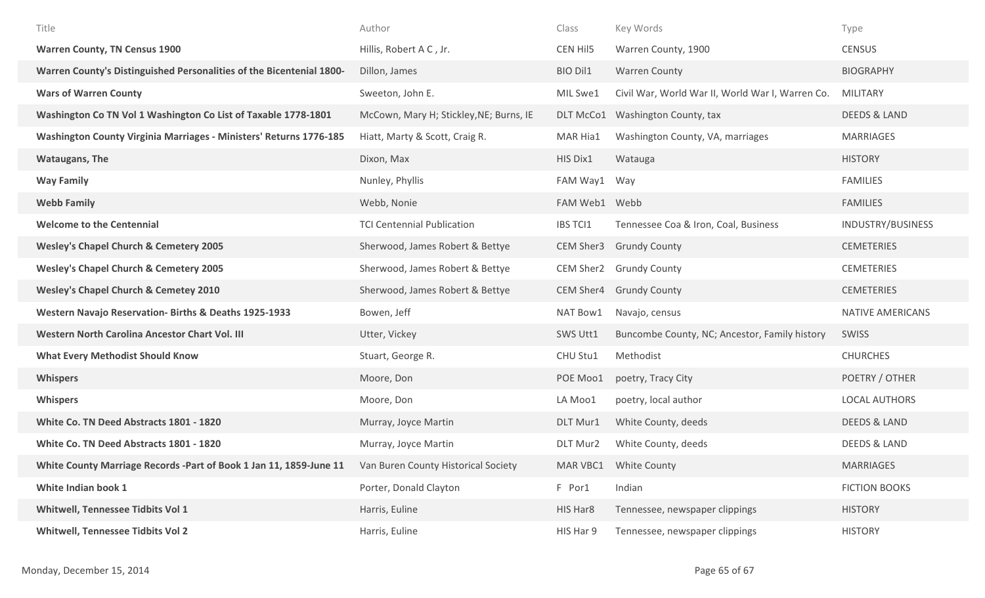| Title                                                                | Author                                  | Class           | Key Words                                        | Type                    |
|----------------------------------------------------------------------|-----------------------------------------|-----------------|--------------------------------------------------|-------------------------|
| <b>Warren County, TN Census 1900</b>                                 | Hillis, Robert A C, Jr.                 | CEN Hil5        | Warren County, 1900                              | <b>CENSUS</b>           |
| Warren County's Distinguished Personalities of the Bicentenial 1800- | Dillon, James                           | BIO Dil1        | <b>Warren County</b>                             | <b>BIOGRAPHY</b>        |
| <b>Wars of Warren County</b>                                         | Sweeton, John E.                        | MIL Swe1        | Civil War, World War II, World War I, Warren Co. | <b>MILITARY</b>         |
| Washington Co TN Vol 1 Washington Co List of Taxable 1778-1801       | McCown, Mary H; Stickley, NE; Burns, IE | DLT McCo1       | Washington County, tax                           | <b>DEEDS &amp; LAND</b> |
| Washington County Virginia Marriages - Ministers' Returns 1776-185   | Hiatt, Marty & Scott, Craig R.          | MAR Hia1        | Washington County, VA, marriages                 | MARRIAGES               |
| <b>Wataugans, The</b>                                                | Dixon, Max                              | HIS Dix1        | Watauga                                          | <b>HISTORY</b>          |
| <b>Way Family</b>                                                    | Nunley, Phyllis                         | FAM Way1        | Way                                              | <b>FAMILIES</b>         |
| <b>Webb Family</b>                                                   | Webb, Nonie                             | FAM Web1 Webb   |                                                  | <b>FAMILIES</b>         |
| <b>Welcome to the Centennial</b>                                     | <b>TCI Centennial Publication</b>       | <b>IBS TCI1</b> | Tennessee Coa & Iron, Coal, Business             | INDUSTRY/BUSINESS       |
| <b>Wesley's Chapel Church &amp; Cemetery 2005</b>                    | Sherwood, James Robert & Bettye         | CEM Sher3       | <b>Grundy County</b>                             | <b>CEMETERIES</b>       |
| <b>Wesley's Chapel Church &amp; Cemetery 2005</b>                    | Sherwood, James Robert & Bettye         | CEM Sher2       | <b>Grundy County</b>                             | <b>CEMETERIES</b>       |
| <b>Wesley's Chapel Church &amp; Cemetey 2010</b>                     | Sherwood, James Robert & Bettye         | CEM Sher4       | <b>Grundy County</b>                             | <b>CEMETERIES</b>       |
| Western Navajo Reservation- Births & Deaths 1925-1933                | Bowen, Jeff                             | NAT Bow1        | Navajo, census                                   | NATIVE AMERICANS        |
| Western North Carolina Ancestor Chart Vol. III                       | Utter, Vickey                           | SWS Utt1        | Buncombe County, NC; Ancestor, Family history    | SWISS                   |
| <b>What Every Methodist Should Know</b>                              | Stuart, George R.                       | CHU Stu1        | Methodist                                        | <b>CHURCHES</b>         |
| <b>Whispers</b>                                                      | Moore, Don                              | POE Moo1        | poetry, Tracy City                               | POETRY / OTHER          |
| <b>Whispers</b>                                                      | Moore, Don                              | LA Moo1         | poetry, local author                             | <b>LOCAL AUTHORS</b>    |
| White Co. TN Deed Abstracts 1801 - 1820                              | Murray, Joyce Martin                    | DLT Mur1        | White County, deeds                              | <b>DEEDS &amp; LAND</b> |
| White Co. TN Deed Abstracts 1801 - 1820                              | Murray, Joyce Martin                    | DLT Mur2        | White County, deeds                              | <b>DEEDS &amp; LAND</b> |
| White County Marriage Records -Part of Book 1 Jan 11, 1859-June 11   | Van Buren County Historical Society     | MAR VBC1        | <b>White County</b>                              | <b>MARRIAGES</b>        |
| White Indian book 1                                                  | Porter, Donald Clayton                  | F Por1          | Indian                                           | <b>FICTION BOOKS</b>    |
| <b>Whitwell, Tennessee Tidbits Vol 1</b>                             | Harris, Euline                          | HIS Har8        | Tennessee, newspaper clippings                   | <b>HISTORY</b>          |
| <b>Whitwell, Tennessee Tidbits Vol 2</b>                             | Harris, Euline                          | HIS Har 9       | Tennessee, newspaper clippings                   | <b>HISTORY</b>          |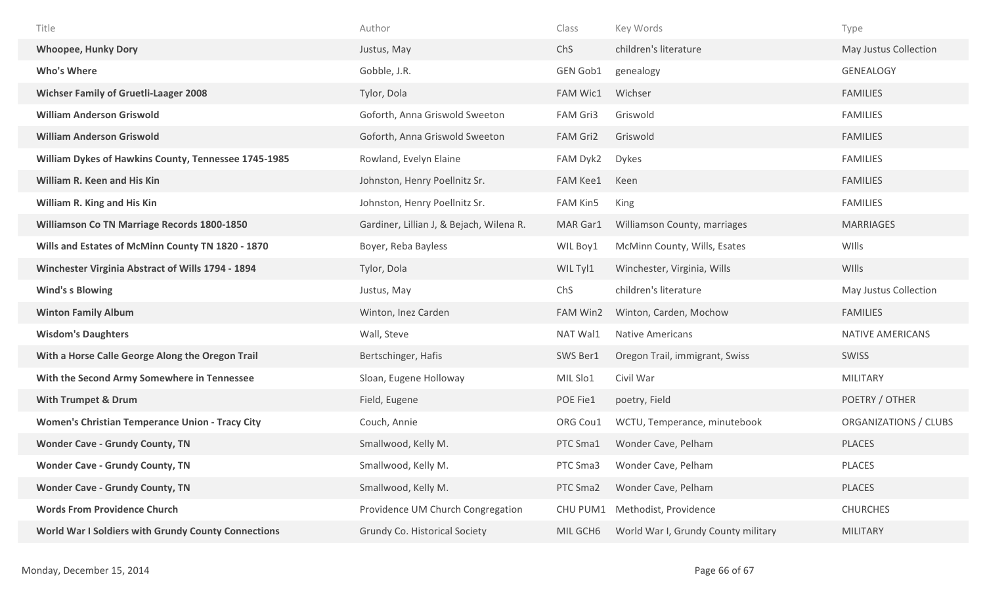| Title                                                  | Author                                   | Class           | Key Words                      | Type                  |
|--------------------------------------------------------|------------------------------------------|-----------------|--------------------------------|-----------------------|
| <b>Whoopee, Hunky Dory</b>                             | Justus, May                              | ChS             | children's literature          | May Justus Collection |
| <b>Who's Where</b>                                     | Gobble, J.R.                             | <b>GEN Gob1</b> | genealogy                      | <b>GENEALOGY</b>      |
| <b>Wichser Family of Gruetli-Laager 2008</b>           | Tylor, Dola                              | FAM Wic1        | Wichser                        | <b>FAMILIES</b>       |
| <b>William Anderson Griswold</b>                       | Goforth, Anna Griswold Sweeton           | FAM Gri3        | Griswold                       | <b>FAMILIES</b>       |
| <b>William Anderson Griswold</b>                       | Goforth, Anna Griswold Sweeton           | FAM Gri2        | Griswold                       | <b>FAMILIES</b>       |
| William Dykes of Hawkins County, Tennessee 1745-1985   | Rowland, Evelyn Elaine                   | FAM Dyk2        | <b>Dykes</b>                   | <b>FAMILIES</b>       |
| <b>William R. Keen and His Kin</b>                     | Johnston, Henry Poellnitz Sr.            | <b>FAM Kee1</b> | Keen                           | <b>FAMILIES</b>       |
| William R. King and His Kin                            | Johnston, Henry Poellnitz Sr.            | FAM Kin5        | King                           | <b>FAMILIES</b>       |
| Williamson Co TN Marriage Records 1800-1850            | Gardiner, Lillian J, & Bejach, Wilena R. | MAR Gar1        | Williamson County, marriages   | <b>MARRIAGES</b>      |
| Wills and Estates of McMinn County TN 1820 - 1870      | Boyer, Reba Bayless                      | WIL Boy1        | McMinn County, Wills, Esates   | WIlls                 |
| Winchester Virginia Abstract of Wills 1794 - 1894      | Tylor, Dola                              | WIL Tyl1        | Winchester, Virginia, Wills    | WIlls                 |
|                                                        |                                          |                 |                                |                       |
| <b>Wind's s Blowing</b>                                | Justus, May                              | ChS             | children's literature          | May Justus Collection |
| <b>Winton Family Album</b>                             | Winton, Inez Carden                      | FAM Win2        | Winton, Carden, Mochow         | <b>FAMILIES</b>       |
| <b>Wisdom's Daughters</b>                              | Wall, Steve                              | NAT Wal1        | <b>Native Americans</b>        | NATIVE AMERICANS      |
| With a Horse Calle George Along the Oregon Trail       | Bertschinger, Hafis                      | SWS Ber1        | Oregon Trail, immigrant, Swiss | SWISS                 |
| With the Second Army Somewhere in Tennessee            | Sloan, Eugene Holloway                   | MIL Slo1        | Civil War                      | <b>MILITARY</b>       |
| <b>With Trumpet &amp; Drum</b>                         | Field, Eugene                            | POE Fie1        | poetry, Field                  | POETRY / OTHER        |
| <b>Women's Christian Temperance Union - Tracy City</b> | Couch, Annie                             | ORG Cou1        | WCTU, Temperance, minutebook   | ORGANIZATIONS / CLUBS |
| <b>Wonder Cave - Grundy County, TN</b>                 | Smallwood, Kelly M.                      | PTC Sma1        | Wonder Cave, Pelham            | <b>PLACES</b>         |
| <b>Wonder Cave - Grundy County, TN</b>                 | Smallwood, Kelly M.                      | PTC Sma3        | Wonder Cave, Pelham            | PLACES                |
| <b>Wonder Cave - Grundy County, TN</b>                 | Smallwood, Kelly M.                      | PTC Sma2        | Wonder Cave, Pelham            | PLACES                |
| <b>Words From Providence Church</b>                    | Providence UM Church Congregation        | CHU PUM1        | Methodist, Providence          | <b>CHURCHES</b>       |